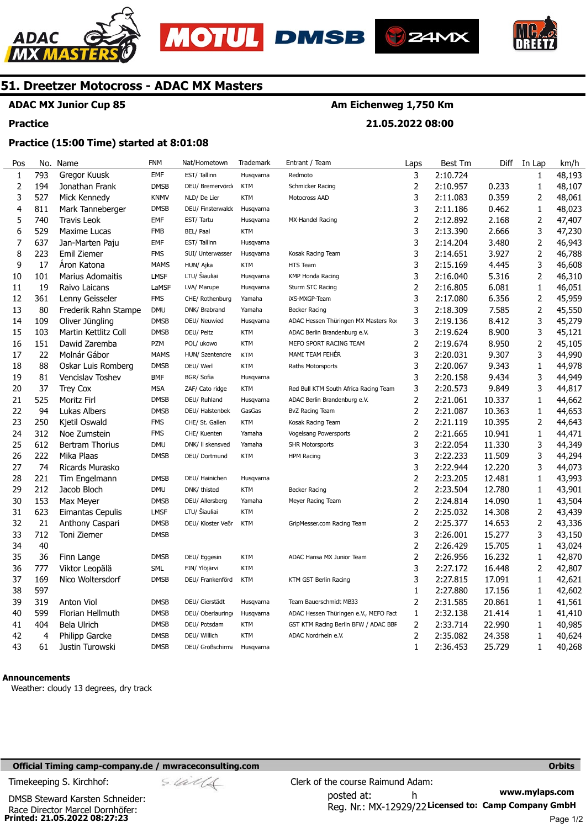





**21.05.2022 08:00** 



## **51. Dreetzer Motocross - ADAC MX Masters**

## **ADAC MX Junior Cup 85**

#### **Practice**

## **Practice (15:00 Time) started at 8:01:08**

| Pos            | No.            | Name                    | <b>FNM</b>  | Nat/Hometown      | Trademark  | Entrant / Team                        | Laps           | <b>Best Tm</b> | Diff   | In Lap                  | km/h   |
|----------------|----------------|-------------------------|-------------|-------------------|------------|---------------------------------------|----------------|----------------|--------|-------------------------|--------|
| $\mathbf{1}$   | 793            | Gregor Kuusk            | <b>EMF</b>  | EST/Tallinn       | Husqvarna  | Redmoto                               | 3              | 2:10.724       |        | $\mathbf{1}$            | 48,193 |
| $\overline{2}$ | 194            | Jonathan Frank          | <b>DMSB</b> | DEU/ Bremervörd   | <b>KTM</b> | Schmicker Racing                      | 2              | 2:10.957       | 0.233  | $\mathbf{1}$            | 48,107 |
| 3              | 527            | Mick Kennedy            | <b>KNMV</b> | NLD/ De Lier      | <b>KTM</b> | Motocross AAD                         | 3              | 2:11.083       | 0.359  | $\overline{\mathbf{c}}$ | 48,061 |
| 4              | 811            | Mark Tanneberger        | <b>DMSB</b> | DEU/ Finsterwalde | Husqvarna  |                                       | 3              | 2:11.186       | 0.462  | 1                       | 48,023 |
| 5              | 740            | Travis Leok             | <b>EMF</b>  | EST/Tartu         | Husqvarna  | MX-Handel Racing                      | $\overline{2}$ | 2:12.892       | 2.168  | 2                       | 47,407 |
| 6              | 529            | Maxime Lucas            | <b>FMB</b>  | BEL/ Paal         | <b>KTM</b> |                                       | 3              | 2:13.390       | 2.666  | 3                       | 47,230 |
| 7              | 637            | Jan-Marten Paju         | <b>EMF</b>  | EST/Tallinn       | Husqvarna  |                                       | 3              | 2:14.204       | 3.480  | $\overline{c}$          | 46,943 |
| 8              | 223            | Emil Ziemer             | <b>FMS</b>  | SUI/ Unterwasser  | Husqvarna  | Kosak Racing Team                     | 3              | 2:14.651       | 3.927  | $\overline{2}$          | 46,788 |
| 9              | 17             | Aron Katona             | <b>MAMS</b> | HUN/ Ajka         | <b>KTM</b> | <b>HTS Team</b>                       | 3              | 2:15.169       | 4.445  | 3                       | 46,608 |
| 10             | 101            | <b>Marius Adomaitis</b> | <b>LMSF</b> | LTU/ Šiauliai     | Husqvarna  | <b>KMP Honda Racing</b>               | 3              | 2:16.040       | 5.316  | $\overline{\mathbf{c}}$ | 46,310 |
| 11             | 19             | Raivo Laicans           | LaMSF       | LVA/ Marupe       | Husqvarna  | Sturm STC Racing                      | $\overline{c}$ | 2:16.805       | 6.081  | 1                       | 46,051 |
| 12             | 361            | Lenny Geisseler         | <b>FMS</b>  | CHE/ Rothenburg   | Yamaha     | iXS-MXGP-Team                         | 3              | 2:17.080       | 6.356  | 2                       | 45,959 |
| 13             | 80             | Frederik Rahn Stampe    | <b>DMU</b>  | DNK/ Brabrand     | Yamaha     | Becker Racing                         | 3              | 2:18.309       | 7.585  | $\overline{2}$          | 45,550 |
| 14             | 109            | Oliver Jüngling         | <b>DMSB</b> | DEU/ Neuwied      | Husqvarna  | ADAC Hessen Thüringen MX Masters Ro   | 3              | 2:19.136       | 8.412  | 3                       | 45,279 |
| 15             | 103            | Martin Kettlitz Coll    | <b>DMSB</b> | DEU/ Peitz        | <b>KTM</b> | ADAC Berlin Brandenburg e.V.          | 3              | 2:19.624       | 8.900  | 3                       | 45,121 |
| 16             | 151            | Dawid Zaremba           | PZM         | POL/ ukowo        | <b>KTM</b> | MEFO SPORT RACING TEAM                | $\overline{c}$ | 2:19.674       | 8.950  | $\overline{\mathbf{c}}$ | 45,105 |
| 17             | 22             | Molnár Gábor            | <b>MAMS</b> | HUN/ Szentendre   | <b>KTM</b> | MAMI TEAM FEHÉR                       | 3              | 2:20.031       | 9.307  | 3                       | 44,990 |
| 18             | 88             | Oskar Luis Romberg      | <b>DMSB</b> | DEU/ Werl         | <b>KTM</b> | Raths Motorsports                     | 3              | 2:20.067       | 9.343  | 1                       | 44,978 |
| 19             | 81             | Vencislav Toshev        | <b>BMF</b>  | BGR/ Sofia        | Husqvarna  |                                       | 3              | 2:20.158       | 9.434  | 3                       | 44,949 |
| 20             | 37             | <b>Trey Cox</b>         | <b>MSA</b>  | ZAF/ Cato ridge   | <b>KTM</b> | Red Bull KTM South Africa Racing Team | 3              | 2:20.573       | 9.849  | 3                       | 44,817 |
| 21             | 525            | Moritz Firl             | <b>DMSB</b> | DEU/ Ruhland      | Husqvarna  | ADAC Berlin Brandenburg e.V.          | 2              | 2:21.061       | 10.337 | $\mathbf{1}$            | 44,662 |
| 22             | 94             | Lukas Albers            | <b>DMSB</b> | DEU/ Halstenbek   | GasGas     | <b>BvZ Racing Team</b>                | $\overline{2}$ | 2:21.087       | 10.363 | $\mathbf{1}$            | 44,653 |
| 23             | 250            | Kjetil Oswald           | <b>FMS</b>  | CHE/ St. Gallen   | <b>KTM</b> | Kosak Racing Team                     | $\overline{2}$ | 2:21.119       | 10.395 | 2                       | 44,643 |
| 24             | 312            | Noe Zumstein            | <b>FMS</b>  | CHE/ Kuenten      | Yamaha     | Vogelsang Powersports                 | $\overline{2}$ | 2:21.665       | 10.941 | 1                       | 44,471 |
| 25             | 612            | Bertram Thorius         | <b>DMU</b>  | DNK/ II skensved  | Yamaha     | <b>SHR Motorsports</b>                | 3              | 2:22.054       | 11.330 | 3                       | 44,349 |
| 26             | 222            | Mika Plaas              | <b>DMSB</b> | DEU/ Dortmund     | <b>KTM</b> | <b>HPM Racing</b>                     | 3              | 2:22.233       | 11.509 | 3                       | 44,294 |
| 27             | 74             | Ricards Murasko         |             |                   |            |                                       | 3              | 2:22.944       | 12.220 | 3                       | 44,073 |
| 28             | 221            | Tim Engelmann           | <b>DMSB</b> | DEU/ Hainichen    | Husqvarna  |                                       | $\overline{2}$ | 2:23.205       | 12.481 | 1                       | 43,993 |
| 29             | 212            | Jacob Bloch             | <b>DMU</b>  | DNK/ thisted      | <b>KTM</b> | Becker Racing                         | $\overline{2}$ | 2:23.504       | 12.780 | 1                       | 43,901 |
| 30             | 153            | Max Meyer               | <b>DMSB</b> | DEU/ Allersberg   | Yamaha     | Meyer Racing Team                     | $\overline{2}$ | 2:24.814       | 14.090 | $\mathbf{1}$            | 43,504 |
| 31             | 623            | Eimantas Cepulis        | <b>LMSF</b> | LTU/ Šiauliai     | <b>KTM</b> |                                       | $\overline{2}$ | 2:25.032       | 14.308 | $\overline{c}$          | 43,439 |
| 32             | 21             | Anthony Caspari         | <b>DMSB</b> | DEU/ Kloster Veßr | <b>KTM</b> | GripMesser.com Racing Team            | $\overline{c}$ | 2:25.377       | 14.653 | 2                       | 43,336 |
| 33             | 712            | Toni Ziemer             | <b>DMSB</b> |                   |            |                                       | 3              | 2:26.001       | 15.277 | 3                       | 43,150 |
| 34             | 40             |                         |             |                   |            |                                       | $\overline{2}$ | 2:26.429       | 15.705 | $\mathbf{1}$            | 43,024 |
| 35             | 36             | Finn Lange              | <b>DMSB</b> | DEU/ Eggesin      | <b>KTM</b> | ADAC Hansa MX Junior Team             | $\overline{2}$ | 2:26.956       | 16.232 | 1                       | 42,870 |
| 36             | 777            | Viktor Leopälä          | SML         | FIN/ Ylöjärvi     | <b>KTM</b> |                                       | 3              | 2:27.172       | 16.448 | 2                       | 42,807 |
| 37             | 169            | Nico Woltersdorf        | <b>DMSB</b> | DEU/ Frankenförd  | <b>KTM</b> | KTM GST Berlin Racing                 | 3              | 2:27.815       | 17.091 | $\mathbf{1}$            | 42,621 |
| 38             | 597            |                         |             |                   |            |                                       | 1              | 2:27.880       | 17.156 | 1                       | 42,602 |
| 39             | 319            | Anton Viol              | <b>DMSB</b> | DEU/ Gierstädt    | Husqvarna  | Team Bauerschmidt MB33                | 2              | 2:31.585       | 20.861 | 1                       | 41,561 |
| 40             | 599            | Florian Hellmuth        | <b>DMSB</b> | DEU/ Oberlauring  | Husqvarna  | ADAC Hessen Thüringen e.V., MEFO Fact | 1              | 2:32.138       | 21.414 | 1                       | 41,410 |
| 41             | 404            | Bela Ulrich             | <b>DMSB</b> | DEU/ Potsdam      | <b>KTM</b> | GST KTM Racing Berlin BFW / ADAC BBF  | $\overline{2}$ | 2:33.714       | 22.990 | 1                       | 40,985 |
| 42             | $\overline{4}$ | <b>Philipp Garcke</b>   | <b>DMSB</b> | DEU/ Willich      | <b>KTM</b> | ADAC Nordrhein e.V.                   | 2              | 2:35.082       | 24.358 | 1                       | 40,624 |
| 43             | 61             | Justin Turowski         | <b>DMSB</b> | DEU/ Großschirma  | Husqvarna  |                                       | $\mathbf{1}$   | 2:36.453       | 25.729 | $\mathbf{1}$            | 40,268 |

#### **Announcements**

Weather: cloudy 13 degrees, dry track

#### **Official Timing camp-company.de / mwraceconsulting.com <b>Orbits and Company.de Company** orbits **Orbits Orbits**

**www.mylaps.com**  Reg. Nr.: MX-12929/22 Licensed to: Camp Company GmbH posted at: h Timekeeping S. Kirchhof:  $\le \frac{1}{2}$  Clerk of the course Raimund Adam:

**Printed: 21.05.2022 08:27:23**  Race Director Marcel Dornhöfer: DMSB Steward Karsten Schneider: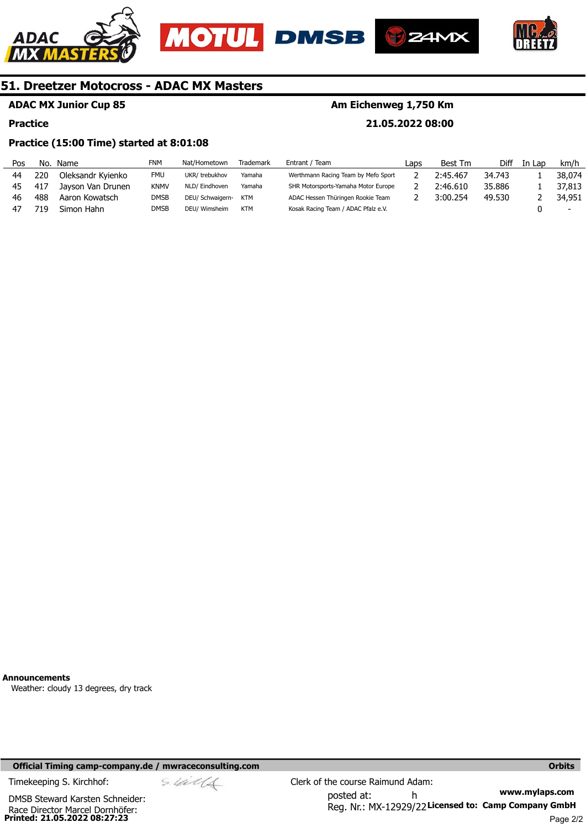





**21.05.2022 08:00** 



## **51. Dreetzer Motocross - ADAC MX Masters**

## **ADAC MX Junior Cup 85**

#### **Practice**

## **Practice (15:00 Time) started at 8:01:08**

| Laps                                | <b>Best Tm</b> | Diff   | In Lap | km/h                     |
|-------------------------------------|----------------|--------|--------|--------------------------|
| Werthmann Racing Team by Mefo Sport | 2:45.467       | 34.743 |        | 38,074                   |
| SHR Motorsports-Yamaha Motor Europe | 2:46.610       | 35,886 |        | 37,813                   |
| ADAC Hessen Thüringen Rookie Team   | 3:00.254       | 49.530 |        | 34,951                   |
| Kosak Racing Team / ADAC Pfalz e.V. |                |        |        | $\overline{\phantom{0}}$ |
|                                     |                |        |        |                          |

**Announcements** 

Weather: cloudy 13 degrees, dry track

#### **Official Timing camp-company.de / mwraceconsulting.com <b>Orbits and Company.de Company** orbits **Orbits Orbits**

$$
\mathop{S\mathscr{A}\mathscr{U}}\mathscr{A}\mathscr{A}
$$

**Printed: 21.05.2022 08:27:23**  Race Director Marcel Dornhöfer: DMSB Steward Karsten Schneider: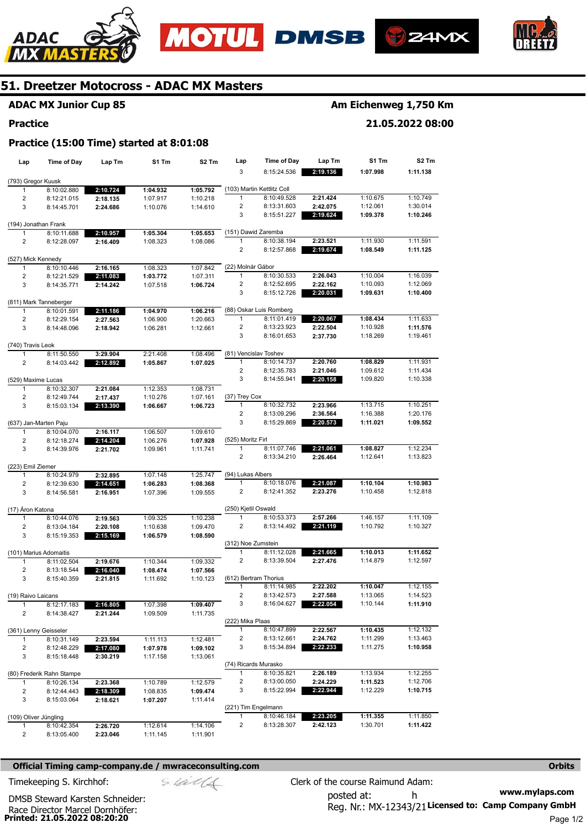





**21.05.2022 08:00** 



## **51. Dreetzer Motocross - ADAC MX Masters**

## **ADAC MX Junior Cup 85**

#### **Practice**

## **Practice (15:00 Time) started at 8:01:08**

| Lap                   | Time of Day                          | Lap Tm               | S1 Tm                | S2 Tm                | Lap                      | <b>Time of Day</b>         | Lap Tm               | S1 Tm                | S <sub>2</sub> Tm    |
|-----------------------|--------------------------------------|----------------------|----------------------|----------------------|--------------------------|----------------------------|----------------------|----------------------|----------------------|
|                       |                                      |                      |                      |                      | 3                        | 8:15:24.536                | 2:19.136             | 1:07.998             | 1:11.138             |
| (793) Gregor Kuusk    |                                      |                      |                      |                      |                          |                            |                      |                      |                      |
| 1                     | 8:10:02.880                          | 2:10.724             | 1:04.932             | 1:05.792             |                          | (103) Martin Kettlitz Coll |                      |                      |                      |
| 2                     | 8:12:21.015                          | 2:18.135             | 1:07.917             | 1:10.218             | 1                        | 8:10:49.528                | 2:21.424             | 1:10.675             | 1:10.749             |
| 3                     | 8:14:45.701                          | 2:24.686             | 1:10.076             | 1:14.610             | 2<br>3                   | 8:13:31.603<br>8:15:51.227 | 2:42.075<br>2:19.624 | 1:12.061<br>1:09.378 | 1:30.014<br>1:10.246 |
|                       | (194) Jonathan Frank                 |                      |                      |                      |                          |                            |                      |                      |                      |
| 1                     | 8:10:11.688                          | 2:10.957             | 1:05.304             | 1:05.653             |                          | (151) Dawid Zaremba        |                      |                      |                      |
| 2                     | 8:12:28.097                          | 2:16.409             | 1:08.323             | 1:08.086             | 1                        | 8:10:38.194                | 2:23.521             | 1:11.930             | 1:11.591             |
|                       |                                      |                      |                      |                      | 2                        | 8:12:57.868                | 2:19.674             | 1:08.549             | 1:11.125             |
| (527) Mick Kennedy    | 8:10:10.446                          |                      |                      |                      | (22) Molnár Gábor        |                            |                      |                      |                      |
| 1<br>$\overline{c}$   | 8:12:21.529                          | 2:16.165<br>2:11.083 | 1:08.323<br>1:03.772 | 1:07.842<br>1:07.311 | $\mathbf{1}$             | 8:10:30.533                | 2:26.043             | 1:10.004             | 1:16.039             |
| 3                     | 8:14:35.771                          | 2:14.242             | 1:07.518             | 1:06.724             | 2                        | 8:12:52.695                | 2:22.162             | 1:10.093             | 1:12.069             |
|                       |                                      |                      |                      |                      | 3                        | 8:15:12.726                | 2:20.031             | 1:09.631             | 1:10.400             |
|                       | (811) Mark Tanneberger               |                      |                      |                      |                          |                            |                      |                      |                      |
| 1                     | 8:10:01.591                          | 2:11.186             | 1:04.970             | 1:06.216             |                          | (88) Oskar Luis Romberg    |                      |                      |                      |
| 2                     | 8:12:29.154                          | 2:27.563             | 1:06.900             | 1:20.663             | 1                        | 8:11:01.419                | 2:20.067             | 1:08.434             | 1:11.633             |
| 3                     | 8:14:48.096                          | 2:18.942             | 1:06.281             | 1:12.661             | $\overline{2}$           | 8:13:23.923                | 2:22.504             | 1:10.928             | 1:11.576             |
| (740) Travis Leok     |                                      |                      |                      |                      | 3                        | 8:16:01.653                | 2:37.730             | 1:18.269             | 1:19.461             |
| 1                     | 8:11:50.550                          | 3:29.904             | 2:21.408             | 1:08.496             |                          | (81) Vencislav Toshev      |                      |                      |                      |
| $\overline{2}$        | 8:14:03.442                          | 2:12.892             | 1:05.867             | 1:07.025             | $\mathbf{1}$             | 8:10:14.737                | 2:20.760             | 1:08.829             | 1:11.931             |
|                       |                                      |                      |                      |                      | $\overline{c}$           | 8:12:35.783                | 2:21.046             | 1:09.612             | 1:11.434             |
| (529) Maxime Lucas    |                                      |                      |                      |                      | 3                        | 8:14:55.941                | 2:20.158             | 1:09.820             | 1:10.338             |
| 1                     | 8:10:32.307                          | 2:21.084             | 1:12.353             | 1:08.731             |                          |                            |                      |                      |                      |
| 2                     | 8:12:49.744                          | 2:17.437             | 1:10.276             | 1:07.161             | (37) Trey Cox            |                            |                      |                      |                      |
| 3                     | 8:15:03.134                          | 2:13.390             | 1:06.667             | 1:06.723             | $\mathbf{1}$             | 8:10:32.732                | 2:23.966             | 1:13.715             | 1:10.251             |
|                       |                                      |                      |                      |                      | 2                        | 8:13:09.296                | 2:36.564             | 1:16.388             | 1:20.176             |
|                       | (637) Jan-Marten Paju                |                      |                      |                      | 3                        | 8:15:29.869                | 2:20.573             | 1:11.021             | 1:09.552             |
| 1                     | 8:10:04.070                          | 2:16.117             | 1:06.507             | 1:09.610             |                          |                            |                      |                      |                      |
| 2<br>3                | 8:12:18.274<br>8:14:39.976           | 2:14.204             | 1:06.276             | 1:07.928             | (525) Moritz Firl<br>1   | 8:11:07.746                | 2:21.061             | 1:08.827             | 1:12.234             |
|                       |                                      | 2:21.702             | 1:09.961             | 1:11.741             | $\overline{2}$           | 8:13:34.210                | 2:26.464             | 1:12.641             | 1:13.823             |
| (223) Emil Ziemer     |                                      |                      |                      |                      |                          |                            |                      |                      |                      |
| 1                     | 8:10:24.979                          | 2:32.895             | 1:07.148             | 1:25.747             | (94) Lukas Albers        |                            |                      |                      |                      |
| 2                     | 8:12:39.630                          | 2:14.651             | 1:06.283             | 1:08.368             | 1                        | 8:10:18.076                | 2:21.087             | 1:10.104             | 1:10.983             |
| 3                     | 8:14:56.581                          | 2:16.951             | 1:07.396             | 1:09.555             | 2                        | 8:12:41.352                | 2:23.276             | 1:10.458             | 1:12.818             |
|                       |                                      |                      |                      |                      |                          |                            |                      |                      |                      |
| (17) Áron Katona      |                                      |                      |                      |                      | (250) Kjetil Oswald<br>1 | 8:10:53.373                | 2:57.266             | 1:46.157             |                      |
| $\mathbf{1}$          | 8:10:44.076<br>8:13:04.184           | 2:19.563             | 1:09.325             | 1:10.238<br>1:09.470 | 2                        | 8:13:14.492                | 2:21.119             | 1:10.792             | 1:11.109<br>1:10.327 |
| 2<br>3                | 8:15:19.353                          | 2:20.108<br>2:15.169 | 1:10.638<br>1:06.579 | 1:08.590             |                          |                            |                      |                      |                      |
|                       |                                      |                      |                      |                      | (312) Noe Zumstein       |                            |                      |                      |                      |
|                       | (101) Marius Adomaitis               |                      |                      |                      | 1                        | 8:11:12.028                | 2:21.665             | 1:10.013             | 1:11.652             |
| 1                     | 8:11:02.504                          | 2:19.676             | 1:10.344             | 1:09.332             | 2                        | 8:13:39.504                | 2:27.476             | 1:14.879             | 1:12.597             |
| 2                     | 8:13:18.544                          | 2:16.040             | 1:08.474             | 1:07.566             |                          |                            |                      |                      |                      |
| 3                     | 8:15:40.359                          | 2:21.815             | 1:11.692             | 1:10.123             |                          | (612) Bertram Thorius      |                      |                      |                      |
|                       |                                      |                      |                      |                      | 1                        | 8:11:14.985                | 2:22.202             | 1:10.047             | 1:12.155             |
| (19) Raivo Laicans    |                                      |                      |                      |                      | z                        | 8:13:42.573                | 2:27.588             | 1:13.065             | 1:14.523             |
| $\mathbf{1}$          | 8:12:17.183                          | 2:16.805             | 1:07.398             | 1:09.407             | 3                        | 8:16:04.627                | 2:22.054             | 1:10.144             | 1:11.910             |
| 2                     | 8:14:38.427                          | 2:21.244             | 1:09.509             | 1:11.735             |                          |                            |                      |                      |                      |
|                       |                                      |                      |                      |                      | (222) Mika Plaas<br>1    | 8:10:47.899                | 2:22.567             | 1:10.435             | 1:12.132             |
| 1                     | (361) Lenny Geisseler<br>8:10:31.149 | 2:23.594             | 1:11.113             | 1:12.481             | 2                        | 8:13:12.661                | 2:24.762             | 1:11.299             | 1:13.463             |
| 2                     | 8:12:48.229                          | 2:17.080             | 1:07.978             | 1:09.102             | 3                        | 8:15:34.894                | 2:22.233             | 1:11.275             | 1:10.958             |
| 3                     | 8:15:18.448                          | 2:30.219             | 1:17.158             | 1:13.061             |                          |                            |                      |                      |                      |
|                       |                                      |                      |                      |                      |                          | (74) Ricards Murasko       |                      |                      |                      |
|                       | (80) Frederik Rahn Stampe            |                      |                      |                      | $\mathbf{1}$             | 8:10:35.821                | 2:26.189             | 1:13.934             | 1:12.255             |
| $\mathbf{1}$          | 8:10:26.134                          | 2:23.368             | 1:10.789             | 1:12.579             | $\overline{2}$           | 8:13:00.050                | 2:24.229             | 1:11.523             | 1:12.706             |
| 2                     | 8:12:44.443                          | 2:18.309             | 1:08.835             | 1:09.474             | 3                        | 8:15:22.994                | 2:22.944             | 1:12.229             | 1:10.715             |
| 3                     | 8:15:03.064                          | 2:18.621             | 1:07.207             | 1:11.414             |                          |                            |                      |                      |                      |
|                       |                                      |                      |                      |                      |                          | (221) Tim Engelmann        |                      |                      |                      |
| (109) Oliver Jüngling |                                      |                      |                      |                      | $\mathbf{1}$             | 8:10:46.184                | 2:23.205             | 1:11.355             | 1:11.850             |
| 1                     | 8:10:42.354                          | 2:26.720             | 1:12.614             | 1:14.106             | 2                        | 8:13:28.307                | 2:42.123             | 1:30.701             | 1:11.422             |
| 2                     | 8:13:05.400                          | 2:23.046             | 1:11.145             | 1:11.901             |                          |                            |                      |                      |                      |

#### **Official Timing camp-company.de / mwraceconsulting.com <b>Orbits Orbits Orbits Orbits**

**www.mylaps.com**  Reg. Nr.: MX-12343/21 Licensed to: Camp Company GmbH posted at: h Timekeeping S. Kirchhof:  $\frac{1}{2}$  Clerk of the course Raimund Adam:

**Printed: 21.05.2022 08:20:20**  Race Director Marcel Dornhöfer: DMSB Steward Karsten Schneider: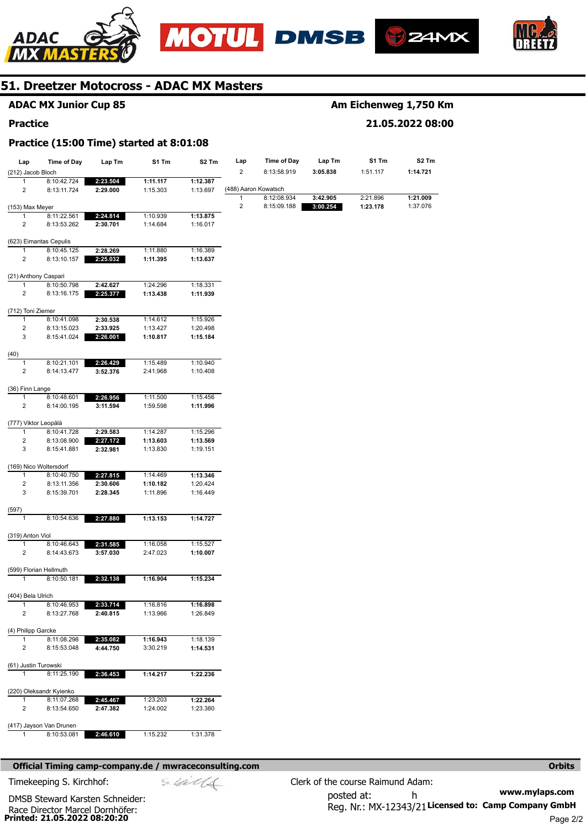





**21.05.2022 08:00** 



## **51. Dreetzer Motocross - ADAC MX Masters**

## **ADAC MX Junior Cup 85**

#### **Practice**

## **Practice (15:00 Time) started at 8:01:08**

| Lap                       | Time of Day             | Lap Tm   | S1 Tm    | S2 Tm    | Lap            | Time of Day                         | Lap Tm   | S1 Tm    | S2 Tm    |
|---------------------------|-------------------------|----------|----------|----------|----------------|-------------------------------------|----------|----------|----------|
| (212) Jacob Bloch         |                         |          |          |          | $\overline{2}$ | 8:13:58.919                         | 3:05.838 | 1:51.117 | 1:14.721 |
| $\mathbf{1}$              | 8:10:42.724             | 2:23.504 | 1:11.117 | 1:12.387 |                |                                     |          |          |          |
| $\overline{2}$            | 8:13:11.724             | 2:29.000 | 1:15.303 | 1:13.697 | 1              | (488) Aaron Kowatsch<br>8:12:08.934 | 3:42.905 | 2:21.896 | 1:21.009 |
| (153) Max Meyer           |                         |          |          |          | 2              | 8:15:09.188                         | 3:00.254 | 1:23.178 | 1:37.076 |
| 1                         | 8:11:22.561             | 2:24.814 | 1:10.939 | 1:13.875 |                |                                     |          |          |          |
| 2                         | 8:13:53.262             | 2:30.701 | 1:14.684 | 1:16.017 |                |                                     |          |          |          |
|                           |                         |          |          |          |                |                                     |          |          |          |
|                           | (623) Eimantas Cepulis  |          |          |          |                |                                     |          |          |          |
| 1                         | 8:10:45.125             | 2:28.269 | 1:11.880 | 1:16.389 |                |                                     |          |          |          |
| $\overline{2}$            | 8:13:10.157             | 2:25.032 | 1:11.395 | 1:13.637 |                |                                     |          |          |          |
|                           | (21) Anthony Caspari    |          |          |          |                |                                     |          |          |          |
| 1                         | 8:10:50.798             | 2:42.627 | 1:24.296 | 1:18.331 |                |                                     |          |          |          |
| 2                         | 8:13:16.175             | 2:25.377 | 1:13.438 | 1:11.939 |                |                                     |          |          |          |
|                           |                         |          |          |          |                |                                     |          |          |          |
| (712) Toni Ziemer         |                         |          |          |          |                |                                     |          |          |          |
| $\mathbf{1}$              | 8:10:41.098             | 2:30.538 | 1:14.612 | 1:15.926 |                |                                     |          |          |          |
| 2                         | 8:13:15.023             | 2:33.925 | 1:13.427 | 1:20.498 |                |                                     |          |          |          |
| 3                         | 8:15:41.024             | 2:26.001 | 1:10.817 | 1:15.184 |                |                                     |          |          |          |
| (40)                      |                         |          |          |          |                |                                     |          |          |          |
| 1                         | 8:10:21.101             | 2:26.429 | 1:15.489 | 1:10.940 |                |                                     |          |          |          |
| 2                         | 8:14:13.477             | 3:52.376 | 2:41.968 | 1:10.408 |                |                                     |          |          |          |
|                           |                         |          |          |          |                |                                     |          |          |          |
| (36) Finn Lange           |                         |          |          |          |                |                                     |          |          |          |
| $\mathbf{1}$              | 8:10:48.601             | 2:26.956 | 1:11.500 | 1:15.456 |                |                                     |          |          |          |
| 2                         | 8:14:00.195             | 3:11.594 | 1:59.598 | 1:11.996 |                |                                     |          |          |          |
|                           |                         |          |          |          |                |                                     |          |          |          |
| (777) Viktor Leopälä<br>1 | 8:10:41.728             | 2:29.583 | 1:14.287 | 1:15.296 |                |                                     |          |          |          |
| 2                         | 8:13:08.900             | 2:27.172 | 1:13.603 | 1:13.569 |                |                                     |          |          |          |
| 3                         | 8:15:41.881             | 2:32.981 | 1:13.830 | 1:19.151 |                |                                     |          |          |          |
|                           |                         |          |          |          |                |                                     |          |          |          |
|                           | (169) Nico Woltersdorf  |          |          |          |                |                                     |          |          |          |
| 1                         | 8:10:40.750             | 2:27.815 | 1:14.469 | 1:13.346 |                |                                     |          |          |          |
| 2                         | 8:13:11.356             | 2:30.606 | 1:10.182 | 1:20.424 |                |                                     |          |          |          |
| 3                         | 8:15:39.701             | 2:28.345 | 1:11.896 | 1:16.449 |                |                                     |          |          |          |
|                           |                         |          |          |          |                |                                     |          |          |          |
| (597)<br>1                | 8:10:54.636             | 2:27.880 | 1:13.153 | 1:14.727 |                |                                     |          |          |          |
|                           |                         |          |          |          |                |                                     |          |          |          |
| (319) Anton Viol          |                         |          |          |          |                |                                     |          |          |          |
| $\mathbf{1}$              | 8:10:46.643             | 2:31.585 | 1:16.058 | 1:15.527 |                |                                     |          |          |          |
| 2                         | 8:14:43.673             | 3:57.030 | 2:47.023 | 1:10.007 |                |                                     |          |          |          |
|                           |                         |          |          |          |                |                                     |          |          |          |
|                           | (599) Florian Hellmuth  |          |          |          |                |                                     |          |          |          |
| $\mathbf{1}$              | 8:10:50.181             | 2:32.138 | 1:16.904 | 1:15.234 |                |                                     |          |          |          |
| (404) Bela Ulrich         |                         |          |          |          |                |                                     |          |          |          |
| 1                         | 8:10:46.953             | 2:33.714 | 1:16.816 | 1:16.898 |                |                                     |          |          |          |
| $\overline{2}$            | 8:13:27.768             | 2:40.815 | 1:13.966 | 1:26.849 |                |                                     |          |          |          |
|                           |                         |          |          |          |                |                                     |          |          |          |
| (4) Philipp Garcke        |                         |          |          |          |                |                                     |          |          |          |
| $\mathbf{1}$              | 8:11:08.298             | 2:35.082 | 1:16.943 | 1:18.139 |                |                                     |          |          |          |
| 2                         | 8:15:53.048             | 4:44.750 | 3:30.219 | 1:14.531 |                |                                     |          |          |          |
|                           |                         |          |          |          |                |                                     |          |          |          |
| (61) Justin Turowski      |                         |          |          |          |                |                                     |          |          |          |
| $\mathbf{1}$              | 8:11:25.190             | 2:36.453 | 1:14.217 | 1:22.236 |                |                                     |          |          |          |
|                           | (220) Oleksandr Kyienko |          |          |          |                |                                     |          |          |          |
| 1                         | 8:11:07.268             | 2:45.467 | 1:23.203 | 1:22.264 |                |                                     |          |          |          |
| 2                         | 8:13:54.650             | 2:47.382 | 1:24.002 | 1:23.380 |                |                                     |          |          |          |
|                           |                         |          |          |          |                |                                     |          |          |          |
|                           | (417) Jayson Van Drunen |          |          |          |                |                                     |          |          |          |
|                           | 8:10:53.081             | 2:46.610 | 1:15.232 | 1:31.378 |                |                                     |          |          |          |

#### **Official Timing camp-company.de / mwraceconsulting.com <b>Orbits and Company.de Company** orbits **Orbits Orbits**

**Printed: 21.05.2022 08:20:20**  Race Director Marcel Dornhöfer: DMSB Steward Karsten Schneider: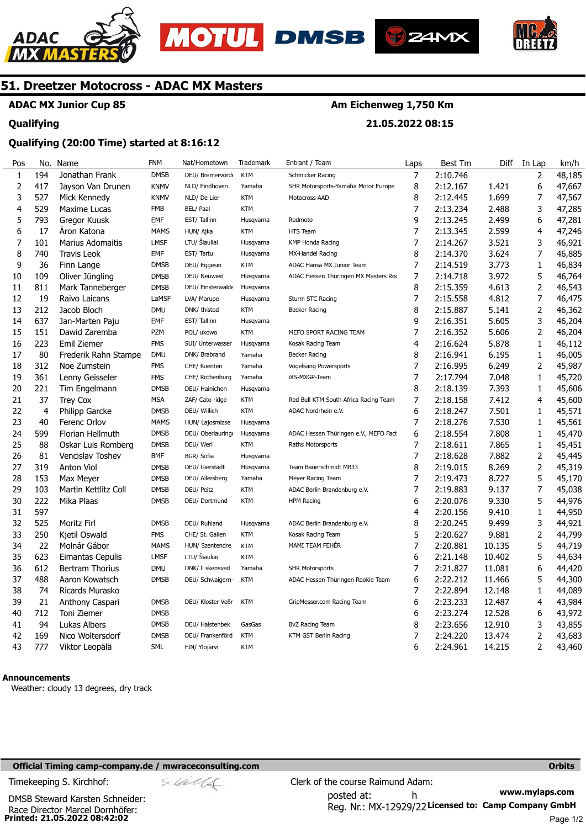





**21.05.2022 08:15** 



## **51. Dreetzer Motocross - ADAC MX Masters**

## **ADAC MX Junior Cup 85**

#### **Qualifying**

#### **Qualifying (20:00 Time) started at 8:16:12**

| Pos          | No.            | Name                    | <b>FNM</b>  | Nat/Hometown      | Trademark  | Entrant / Team                        | Laps | Best Tm  | Diff   | In Lap         | km/h   |
|--------------|----------------|-------------------------|-------------|-------------------|------------|---------------------------------------|------|----------|--------|----------------|--------|
| $\mathbf{1}$ | 194            | Jonathan Frank          | <b>DMSB</b> | DEU/ Bremervörd   | <b>KTM</b> | Schmicker Racing                      | 7    | 2:10.746 |        | 2              | 48,185 |
| $\mathbf 2$  | 417            | Jayson Van Drunen       | <b>KNMV</b> | NLD/ Eindhoven    | Yamaha     | SHR Motorsports-Yamaha Motor Europe   | 8    | 2:12.167 | 1.421  | 6              | 47,667 |
| 3            | 527            | Mick Kennedy            | <b>KNMV</b> | NLD/ De Lier      | <b>KTM</b> | Motocross AAD                         | 8    | 2:12.445 | 1.699  | 7              | 47,567 |
| 4            | 529            | Maxime Lucas            | <b>FMB</b>  | BEL/ Paal         | <b>KTM</b> |                                       | 7    | 2:13.234 | 2.488  | 3              | 47,285 |
| 5            | 793            | Gregor Kuusk            | <b>EMF</b>  | EST/Tallinn       | Husqvarna  | Redmoto                               | 9    | 2:13.245 | 2.499  | 6              | 47,281 |
| 6            | 17             | Aron Katona             | <b>MAMS</b> | HUN/ Ajka         | <b>KTM</b> | HTS Team                              | 7    | 2:13.345 | 2.599  | 4              | 47,246 |
| 7            | 101            | <b>Marius Adomaitis</b> | <b>LMSF</b> | LTU/ Šiauliai     | Husqvarna  | <b>KMP Honda Racing</b>               | 7    | 2:14.267 | 3.521  | 3              | 46,921 |
| 8            | 740            | Travis Leok             | <b>EMF</b>  | EST/Tartu         | Husqvarna  | MX-Handel Racing                      | 8    | 2:14.370 | 3.624  | 7              | 46,885 |
| 9            | 36             | Finn Lange              | <b>DMSB</b> | DEU/ Eggesin      | KTM        | ADAC Hansa MX Junior Team             | 7    | 2:14.519 | 3.773  | 1              | 46,834 |
| 10           | 109            | Oliver Jüngling         | <b>DMSB</b> | DEU/ Neuwied      | Husqvarna  | ADAC Hessen Thüringen MX Masters Ro   | 7    | 2:14.718 | 3.972  | 5              | 46,764 |
| 11           | 811            | Mark Tanneberger        | <b>DMSB</b> | DEU/ Finsterwalde | Husqvarna  |                                       | 8    | 2:15.359 | 4.613  | 2              | 46,543 |
| 12           | 19             | Raivo Laicans           | LaMSF       | LVA/ Marupe       | Husqvarna  | Sturm STC Racing                      | 7    | 2:15.558 | 4.812  | 7              | 46,475 |
| 13           | 212            | Jacob Bloch             | <b>DMU</b>  | DNK/ thisted      | <b>KTM</b> | <b>Becker Racing</b>                  | 8    | 2:15.887 | 5.141  | $\overline{2}$ | 46,362 |
| 14           | 637            | Jan-Marten Paju         | <b>EMF</b>  | EST/Tallinn       | Husqvarna  |                                       | 9    | 2:16.351 | 5.605  | 3              | 46,204 |
| 15           | 151            | Dawid Zaremba           | PZM         | POL/ ukowo        | <b>KTM</b> | MEFO SPORT RACING TEAM                | 7    | 2:16.352 | 5.606  | 2              | 46,204 |
| 16           | 223            | Emil Ziemer             | <b>FMS</b>  | SUI/ Unterwasser  | Husqvarna  | Kosak Racing Team                     | 4    | 2:16.624 | 5.878  | $\mathbf{1}$   | 46,112 |
| 17           | 80             | Frederik Rahn Stampe    | <b>DMU</b>  | DNK/ Brabrand     | Yamaha     | Becker Racing                         | 8    | 2:16.941 | 6.195  | 1              | 46,005 |
| 18           | 312            | Noe Zumstein            | <b>FMS</b>  | CHE/ Kuenten      | Yamaha     | <b>Vogelsang Powersports</b>          | 7    | 2:16.995 | 6.249  | 2              | 45,987 |
| 19           | 361            | Lenny Geisseler         | <b>FMS</b>  | CHE/ Rothenburg   | Yamaha     | iXS-MXGP-Team                         | 7    | 2:17.794 | 7.048  | 1              | 45,720 |
| 20           | 221            | Tim Engelmann           | <b>DMSB</b> | DEU/ Hainichen    | Husqvarna  |                                       | 8    | 2:18.139 | 7.393  | $\mathbf{1}$   | 45,606 |
| 21           | 37             | <b>Trey Cox</b>         | <b>MSA</b>  | ZAF/ Cato ridge   | <b>KTM</b> | Red Bull KTM South Africa Racing Team | 7    | 2:18.158 | 7.412  | 4              | 45,600 |
| 22           | $\overline{4}$ | <b>Philipp Garcke</b>   | <b>DMSB</b> | DEU/ Willich      | <b>KTM</b> | ADAC Nordrhein e.V.                   | 6    | 2:18.247 | 7.501  | 1              | 45,571 |
| 23           | 40             | Ferenc Orlov            | <b>MAMS</b> | HUN/ Lajosmizse   | Husqvarna  |                                       | 7    | 2:18.276 | 7.530  | $\mathbf{1}$   | 45,561 |
| 24           | 599            | Florian Hellmuth        | <b>DMSB</b> | DEU/ Oberlauring  | Husqvarna  | ADAC Hessen Thüringen e.V., MEFO Facl | 6    | 2:18.554 | 7.808  | $\mathbf{1}$   | 45,470 |
| 25           | 88             | Oskar Luis Romberg      | <b>DMSB</b> | DEU/ Werl         | <b>KTM</b> | Raths Motorsports                     | 7    | 2:18.611 | 7.865  | $\mathbf{1}$   | 45,451 |
| 26           | 81             | <b>Vencislav Toshev</b> | <b>BMF</b>  | BGR/ Sofia        | Husqvarna  |                                       | 7    | 2:18.628 | 7.882  | 2              | 45,445 |
| 27           | 319            | <b>Anton Viol</b>       | <b>DMSB</b> | DEU/ Gierstädt    | Husgvarna  | Team Bauerschmidt MB33                | 8    | 2:19.015 | 8.269  | $\overline{c}$ | 45,319 |
| 28           | 153            | Max Meyer               | <b>DMSB</b> | DEU/ Allersberg   | Yamaha     | Meyer Racing Team                     | 7    | 2:19.473 | 8.727  | 5              | 45,170 |
| 29           | 103            | Martin Kettlitz Coll    | <b>DMSB</b> | DEU/ Peitz        | <b>KTM</b> | ADAC Berlin Brandenburg e.V.          | 7    | 2:19.883 | 9.137  | 7              | 45,038 |
| 30           | 222            | Mika Plaas              | <b>DMSB</b> | DEU/ Dortmund     | <b>KTM</b> | <b>HPM Racing</b>                     | 6    | 2:20.076 | 9.330  | 5              | 44,976 |
| 31           | 597            |                         |             |                   |            |                                       | 4    | 2:20.156 | 9.410  | $\mathbf{1}$   | 44,950 |
| 32           | 525            | Moritz Firl             | <b>DMSB</b> | DEU/ Ruhland      | Husqvarna  | ADAC Berlin Brandenburg e.V.          | 8    | 2:20.245 | 9.499  | 3              | 44,921 |
| 33           | 250            | Kjetil Oswald           | <b>FMS</b>  | CHE/ St. Gallen   | <b>KTM</b> | Kosak Racing Team                     | 5    | 2:20.627 | 9.881  | $\overline{c}$ | 44,799 |
| 34           | 22             | Molnár Gábor            | <b>MAMS</b> | HUN/ Szentendre   | <b>KTM</b> | MAMI TEAM FEHÉR                       | 7    | 2:20.881 | 10.135 | 5              | 44,719 |
| 35           | 623            | Eimantas Cepulis        | <b>LMSF</b> | LTU/ Šiauliai     | <b>KTM</b> |                                       | 6    | 2:21.148 | 10.402 | 5              | 44,634 |
| 36           | 612            | Bertram Thorius         | <b>DMU</b>  | DNK/ II skensved  | Yamaha     | <b>SHR Motorsports</b>                | 7    | 2:21.827 | 11.081 | 6              | 44,420 |
| 37           | 488            | Aaron Kowatsch          | <b>DMSB</b> | DEU/ Schwaigern-  | <b>KTM</b> | ADAC Hessen Thüringen Rookie Team     | 6    | 2:22.212 | 11.466 | 5              | 44,300 |
| 38           | 74             | Ricards Murasko         |             |                   |            |                                       | 7    | 2:22.894 | 12.148 | 1              | 44,089 |
| 39           | 21             | Anthony Caspari         | <b>DMSB</b> | DEU/ Kloster Veßr | <b>KTM</b> | GripMesser.com Racing Team            | 6    | 2:23.233 | 12.487 | 4              | 43,984 |
| 40           | 712            | Toni Ziemer             | <b>DMSB</b> |                   |            |                                       | 6    | 2:23.274 | 12.528 | 6              | 43,972 |
| 41           | 94             | Lukas Albers            | <b>DMSB</b> | DEU/ Halstenbek   | GasGas     | BvZ Racing Team                       | 8    | 2:23.656 | 12.910 | 3              | 43,855 |
| 42           | 169            | Nico Woltersdorf        | <b>DMSB</b> | DEU/ Frankenförd  | <b>KTM</b> | KTM GST Berlin Racing                 | 7    | 2:24.220 | 13.474 | $\overline{c}$ | 43,683 |
| 43           | 777            | Viktor Leopälä          | SML         | FIN/ Ylöjärvi     | <b>KTM</b> |                                       | 6    | 2:24.961 | 14.215 | 2              | 43,460 |

#### **Announcements**

Weather: cloudy 13 degrees, dry track

#### **Official Timing camp-company.de / mwraceconsulting.com <b>Orbits and Company.de Company** orbits **Orbits Orbits**

**Printed: 21.05.2022 08:42:02**  Race Director Marcel Dornhöfer: DMSB Steward Karsten Schneider:

**www.mylaps.com**  Reg. Nr.: MX-12929/22 Licensed to: Camp Company GmbH posted at: h Timekeeping S. Kirchhof:  $\le \frac{1}{2}$  Clerk of the course Raimund Adam: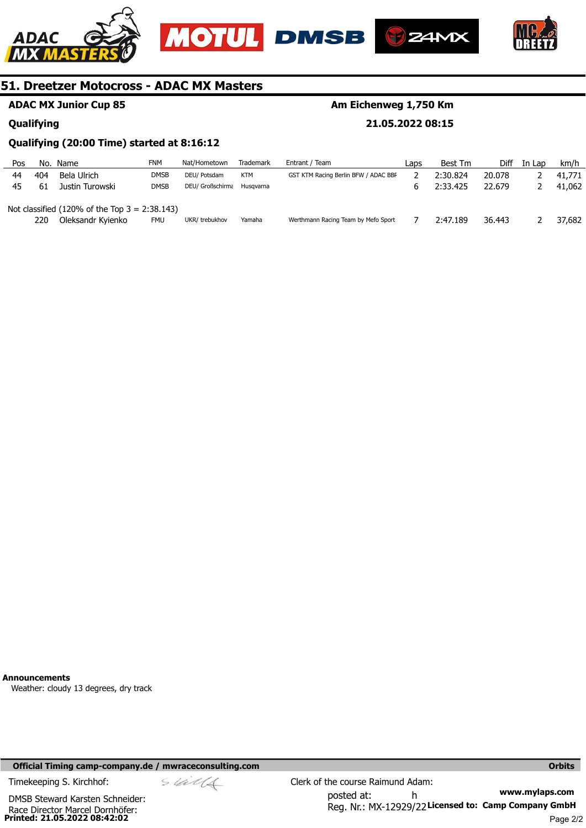







## **ADAC MX Junior Cup 85**

#### **Qualifying**

## **Am Eichenweg 1,750 Km**

**21.05.2022 08:15** 

#### **Qualifying (20:00 Time) started at 8:16:12**

| Pos | No. | Name                                                      | FNM         | Nat/Hometown               | <b>Trademark</b> | Entrant / Team                       | Laps | Best Tm  | <b>Diff</b> | In Lap | km/h   |
|-----|-----|-----------------------------------------------------------|-------------|----------------------------|------------------|--------------------------------------|------|----------|-------------|--------|--------|
| 44  | 404 | Bela Ulrich                                               | <b>DMSB</b> | DEU/ Potsdam               | KTM              | GST KTM Racing Berlin BFW / ADAC BBI |      | 2:30.824 | 20.078      |        | 41,771 |
| 45  | 61  | Justin Turowski                                           | <b>DMSB</b> | DEU/ Großschirma Husgvarna |                  |                                      |      | 2:33.425 | 22.679      |        | 41,062 |
|     |     |                                                           |             |                            |                  |                                      |      |          |             |        |        |
|     |     | Not classified $(120\% \text{ of the Top } 3 = 2:38.143)$ |             |                            |                  |                                      |      |          |             |        |        |
|     | 220 | Oleksandr Kyienko                                         | <b>FMU</b>  | UKR/trebukhov              | Yamaha           | Werthmann Racing Team by Mefo Sport  |      | 2:47.189 | 36.443      |        | 37,682 |
|     |     |                                                           |             |                            |                  |                                      |      |          |             |        |        |

**Announcements** 

Weather: cloudy 13 degrees, dry track

#### **Official Timing camp-company.de / mwraceconsulting.com <b>Orbits and Company.de Company** orbits **Orbits Orbits**

**Printed: 21.05.2022 08:42:02**  Race Director Marcel Dornhöfer: DMSB Steward Karsten Schneider: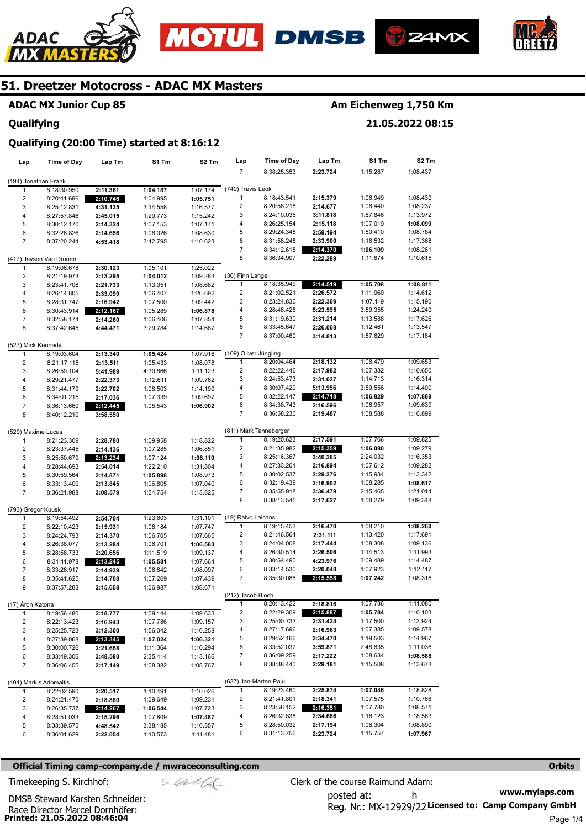







## **ADAC MX Junior Cup 85**

#### **Qualifying**

## **Am Eichenweg 1,750 Km**

**21.05.2022 08:15** 

#### **Qualifying (20:00 Time) started at 8:16:12**

| Lap                     | <b>Time of Day</b>         | Lap Tm               | S1 Tm                | S2 Tm                | Lap                   | <b>Time of Day</b>         | Lap Tm               | S1 Tm                | S2 Tm                |
|-------------------------|----------------------------|----------------------|----------------------|----------------------|-----------------------|----------------------------|----------------------|----------------------|----------------------|
|                         |                            |                      |                      |                      | $\overline{7}$        | 8:38:25.353                | 2:23.724             | 1:15.287             | 1:08.437             |
| (194) Jonathan Frank    |                            |                      |                      |                      |                       |                            |                      |                      |                      |
| 1                       | 8:18:30.950                | 2:11.361             | 1:04.187             | 1:07.174             | (740) Travis Leok     |                            |                      |                      |                      |
| 2                       | 8:20:41.696                | 2:10.746             | 1:04.995             | 1:05.751             | 1                     | 8:18:43.541                | 2:15.379             | 1:06.949             | 1:08.430             |
| 3                       | 8:25:12.831                | 4:31.135             | 3:14.558             | 1:16.577             | 2                     | 8:20:58.218                | 2:14.677             | 1:06.440             | 1:08.237             |
| 4                       | 8:27:57.846                | 2:45.015             | 1:29.773             | 1:15.242             | 3                     | 8:24:10.036                | 3:11.818             | 1:57.846             | 1:13.972             |
| 5                       | 8:30:12.170                | 2:14.324             | 1:07.153             | 1:07.171             | 4                     | 8:26:25.154                | 2:15.118             | 1:07.019             | 1:08.099             |
| 6                       | 8:32:26.826                | 2:14.656             | 1:06.026             | 1:08.630             | 5                     | 8:29:24.348                | 2:59.194             | 1:50.410             | 1:08.784             |
| $\overline{7}$          | 8:37:20.244                | 4:53.418             | 3:42.795             | 1:10.623             | 6                     | 8:31:58.248                | 2:33.900             | 1:16.532             | 1:17.368             |
|                         |                            |                      |                      |                      | 7                     | 8:34:12.618                | 2:14.370             | 1:06.109             | 1:08.261             |
|                         | (417) Jayson Van Drunen    |                      |                      |                      | 8                     | 8:36:34.907                | 2:22.289             | 1:11.674             | 1:10.615             |
| 1                       | 8:19:06.678                | 2:30.123             | 1:05.101             | 1:25.022             |                       |                            |                      |                      |                      |
| 2                       | 8:21:19.973                | 2:13.295             | 1:04.012             | 1:09.283             | (36) Finn Lange       |                            |                      |                      |                      |
| 3                       | 8:23:41.706                | 2:21.733             | 1:13.051             | 1:08.682             | 1                     | 8:18:35.949                | 2:14.519             | 1:05.708             | 1:08.811             |
| 4                       | 8:26:14.805                | 2:33.099             | 1:06.407             | 1:26.692             | 2                     | 8:21:02.521                | 2:26.572             | 1:11.960             | 1:14.612             |
| 5                       | 8:28:31.747                | 2:16.942             | 1:07.500             | 1:09.442             | 3<br>4                | 8:23:24.830<br>8:28:48.425 | 2:22.309             | 1:07.119<br>3:59.355 | 1:15.190<br>1:24.240 |
| 6                       | 8:30:43.914                | 2:12.167             | 1:05.289             | 1:06.878             | 5                     | 8:31:19.639                | 5:23.595<br>2:31.214 | 1:13.588             | 1:17.626             |
| $\overline{7}$<br>8     | 8:32:58.174<br>8:37:42.645 | 2:14.260             | 1:06.406             | 1:07.854             | 6                     | 8:33:45.647                | 2:26.008             | 1:12.461             | 1:13.547             |
|                         |                            | 4:44.471             | 3:29.784             | 1:14.687             | 7                     | 8:37:00.460                | 3:14.813             | 1:57.629             | 1:17.184             |
| (527) Mick Kennedy      |                            |                      |                      |                      |                       |                            |                      |                      |                      |
| 1                       | 8:19:03.604                | 2:13.340             | 1:05.424             | 1:07.916             | (109) Oliver Jüngling |                            |                      |                      |                      |
| $\overline{c}$          | 8:21:17.115                | 2:13.511             | 1:05.433             | 1:08.078             | 1                     | 8:20:04.464                | 2:18.132             | 1:08.479             | 1:09.653             |
| 3                       | 8:26:59.104                | 5:41.989             | 4:30.866             | 1:11.123             | 2                     | 8:22:22.446                | 2:17.982             | 1:07.332             | 1:10.650             |
| 4                       | 8:29:21.477                | 2:22.373             | 1:12.611             | 1:09.762             | 3                     | 8:24:53.473                | 2:31.027             | 1:14.713             | 1:16.314             |
| 5                       | 8:31:44.179                | 2:22.702             | 1:08.503             | 1:14.199             | 4                     | 8:30:07.429                | 5:13.956             | 3:59.556             | 1:14.400             |
| 6                       | 8:34:01.215                | 2:17.036             | 1:07.339             | 1:09.697             | 5                     | 8:32:22.147                | 2:14.718             | 1:06.829             | 1:07.889             |
| 7                       | 8:36:13.660                | 2:12.445             | 1:05.543             | 1:06.902             | 6                     | 8:34:38.743                | 2:16.596             | 1:06.957             | 1:09.639             |
| 8                       | 8:40:12.210                | 3:58.550             |                      |                      | 7                     | 8:36:58.230                | 2:19.487             | 1:08.588             | 1:10.899             |
|                         |                            |                      |                      |                      |                       |                            |                      |                      |                      |
| (529) Maxime Lucas      |                            |                      |                      |                      |                       | (811) Mark Tanneberger     |                      |                      |                      |
| 1                       | 8:21:23.309                | 2:28.780             | 1:09.958             | 1:18.822             | 1                     | 8:19:20.623                | 2:17.591             | 1:07.766             | 1:09.825             |
| 2                       | 8:23:37.445                | 2:14.136             | 1:07.285             | 1:06.851             | 2                     | 8:21:35.982                | 2:15.359             | 1:06.080             | 1:09.279             |
| 3                       | 8:25:50.679                | 2:13.234             | 1:07.124             | 1:06.110             | 3                     | 8:25:16.367                | 3:40.385             | 2:24.032             | 1:16.353             |
| 4                       | 8:28:44.693                | 2:54.014             | 1:22.210             | 1:31.804             | 4                     | 8:27:33.261                | 2:16.894             | 1:07.612             | 1:09.282             |
| 5                       | 8:30:59.564                | 2:14.871             | 1:05.898             | 1:08.973             | 5                     | 8:30:02.537                | 2:29.276             | 1:15.934             | 1:13.342             |
| 6                       | 8:33:13.409                | 2:13.845             | 1:06.805             | 1:07.040             | 6                     | 8:32:19.439                | 2:16.902             | 1:08.285             | 1:08.617             |
| $\overline{7}$          | 8:36:21.988                | 3:08.579             | 1:54.754             | 1:13.825             | 7                     | 8:35:55.918                | 3:36.479             | 2:15.465             | 1:21.014             |
|                         |                            |                      |                      |                      | 8                     | 8:38:13.545                | 2:17.627             | 1:08.279             | 1:09.348             |
| (793) Gregor Kuusk      |                            |                      |                      |                      |                       |                            |                      |                      |                      |
| 1                       | 8:19:54.492                | 2:54.704             | 1:23.603             | 1:31.101             | (19) Raivo Laicans    |                            |                      |                      |                      |
| 2                       | 8:22:10.423                | 2:15.931             | 1:08.184             | 1:07.747             | 1                     | 8:19:15.453                | 2:16.470             | 1:08.210             | 1:08.260             |
| 3                       | 8:24:24.793                | 2:14.370             | 1:06.705             | 1:07.665             | 2                     | 8:21:46.564                | 2:31.111             | 1:13.420             | 1:17.691             |
| 4                       | 8:26:38.077                | 2:13.284             | 1:06.701             | 1:06.583             | 3                     | 8:24:04.008                | 2:17.444             | 1:08.308             | 1:09.136             |
| 5                       | 8:28:58.733                | 2:20.656             | 1:11.519             | 1:09.137             | 4                     | 8:26:30.514                | 2:26.506             | 1:14.513             | 1:11.993             |
| 6<br>$\overline{7}$     | 8:31:11.978                | 2:13.245             | 1:05.581             | 1:07.664             | 5<br>6                | 8:30:54.490<br>8:33:14.530 | 4:23.976<br>2:20.040 | 3:09.489<br>1:07.923 | 1:14.487<br>1:12.117 |
| 8                       | 8:33:26.917                | 2:14.939             | 1:06.842<br>1:07.269 | 1:08.097             | 7                     | 8:35:30.088                | 2:15.558             | 1:07.242             | 1:08.316             |
| 9                       | 8:35:41.625<br>8:37:57.283 | 2:14.708<br>2:15.658 | 1:06.987             | 1:07.439<br>1:08.671 |                       |                            |                      |                      |                      |
|                         |                            |                      |                      |                      | (212) Jacob Bloch     |                            |                      |                      |                      |
| (17) Áron Katona        |                            |                      |                      |                      | $\mathbf{1}$          | 8:20:13.422                | 2:18.816             | 1:07.736             | 1:11.080             |
| $\mathbf{1}$            | 8:19:56.480                | 2:18.777             | 1:09.144             | 1:09.633             | 2                     | 8:22:29.309                | 2:15.887             | 1:05.784             | 1:10.103             |
| $\overline{\mathbf{c}}$ | 8:22:13.423                | 2:16.943             | 1:07.786             | 1:09.157             | 3                     | 8:25:00.733                | 2:31.424             | 1:17.500             | 1:13.924             |
| 3                       | 8:25:25.723                | 3:12.300             | 1:56.042             | 1:16.258             | 4                     | 8:27:17.696                | 2:16.963             | 1:07.385             | 1:09.578             |
| 4                       | 8:27:39.068                | 2:13.345             | 1:07.024             | 1:06.321             | 5                     | 8:29:52.166                | 2:34.470             | 1:19.503             | 1:14.967             |
| 5                       | 8:30:00.726                | 2:21.658             | 1:11.364             | 1:10.294             | 6                     | 8:33:52.037                | 3:59.871             | 2:48.835             | 1:11.036             |
| 6                       | 8:33:49.306                | 3:48.580             | 2:35.414             | 1:13.166             | 7                     | 8:36:09.259                | 2:17.222             | 1:08.634             | 1:08.588             |
| 7                       | 8:36:06.455                | 2:17.149             | 1:08.382             | 1:08.767             | 8                     | 8:38:38.440                | 2:29.181             | 1:15.508             | 1:13.673             |
|                         |                            |                      |                      |                      |                       |                            |                      |                      |                      |
|                         | (101) Marius Adomaitis     |                      |                      |                      |                       | (637) Jan-Marten Paju      |                      |                      |                      |
| 1                       | 8:22:02.590                | 2:20.517             | 1:10.491             | 1:10.026             | 1                     | 8:19:23.460                | 2:25.874             | 1:07.046             | 1:18.828             |
| 2                       | 8:24:21.470                | 2:18.880             | 1:09.649             | 1:09.231             | 2                     | 8:21:41.801                | 2:18.341             | 1:07.575             | 1:10.766             |
| 3                       | 8:26:35.737                | 2:14.267             | 1:06.544             | 1:07.723             | 3                     | 8:23:58.152                | 2:16.351             | 1:07.780             | 1:08.571             |
| 4                       | 8:28:51.033                | 2:15.296             | 1:07.809             | 1:07.487             | 4                     | 8:26:32.838                | 2:34.686             | 1:16.123             | 1:18.563             |
| 5                       | 8:33:39.575                | 4:48.542             | 3:38.185             | 1:10.357             | 5                     | 8:28:50.032                | 2:17.194             | 1:08.304             | 1:08.890             |
| 6                       | 8:36:01.629                | 2:22.054             | 1:10.573             | 1:11.481             | 6                     | 8:31:13.756                | 2:23.724             | 1:15.757             | 1:07.967             |
|                         |                            |                      |                      |                      |                       |                            |                      |                      |                      |

#### **Official Timing camp-company.de / mwraceconsulting.com <b>Orbits Orbits Orbits Orbits**

**www.mylaps.com**  Reg. Nr.: MX-12929/22 Licensed to: Camp Company GmbH posted at: h Timekeeping S. Kirchhof:  $\frac{1}{2}$  Clerk of the course Raimund Adam:

Race Director Marcel Dornhöfer:<br>**Printed: 21.05.2022 08:46:04** DMSB Steward Karsten Schneider: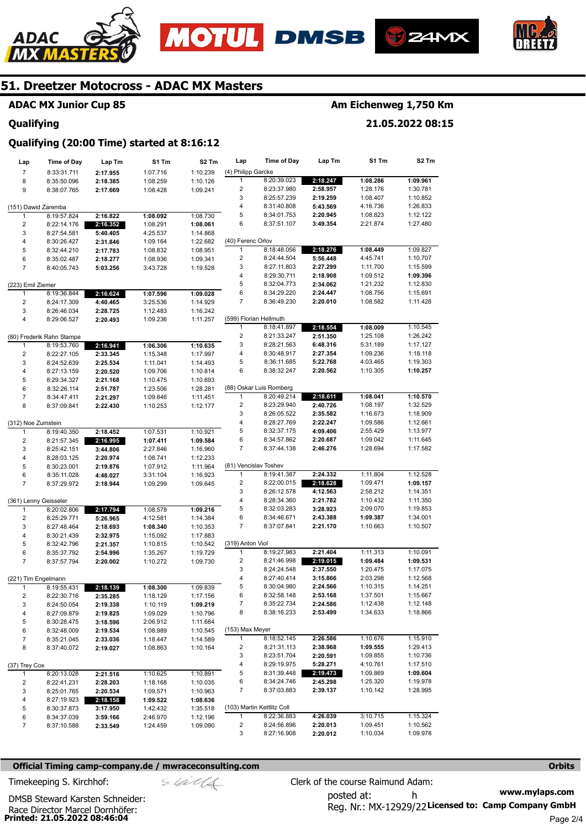





**21.05.2022 08:15** 



## **51. Dreetzer Motocross - ADAC MX Masters**

## **ADAC MX Junior Cup 85**

#### **Qualifying**

# **Qualifying (20:00 Time) started at 8:16:12**

| Lap                     | <b>Time of Day</b>        | Lap Tm   | S1 Tm    | S <sub>2</sub> Tm | Lap                | <b>Time of Day</b>         | Lap Tm   | S1 Tm    | S2 Tm    |
|-------------------------|---------------------------|----------|----------|-------------------|--------------------|----------------------------|----------|----------|----------|
| $\boldsymbol{7}$        | 8:33:31.711               | 2:17.955 | 1:07.716 | 1:10.239          | (4) Philipp Garcke |                            |          |          |          |
| 8                       | 8:35:50.096               | 2:18.385 | 1:08.259 | 1:10.126          | $\mathbf{1}$       | 8:20:39.023                | 2:18.247 | 1:08.286 | 1:09.961 |
| 9                       | 8:38:07.765               | 2:17.669 | 1:08.428 | 1:09.241          | 2                  | 8:23:37.980                | 2:58.957 | 1:28.176 | 1:30.781 |
|                         |                           |          |          |                   | 3                  | 8:25:57.239                | 2:19.259 | 1:08.407 | 1:10.852 |
| (151) Dawid Zaremba     |                           |          |          |                   | 4                  | 8:31:40.808                | 5:43.569 | 4:16.736 | 1:26.833 |
| 1                       | 8:19:57.824               | 2:16.822 | 1:08.092 | 1:08.730          | 5                  | 8:34:01.753                | 2:20.945 | 1:08.823 | 1:12.122 |
| $\overline{c}$          | 8:22:14.176               | 2:16.352 | 1:08.291 | 1:08.061          | 6                  | 8:37:51.107                | 3:49.354 | 2:21.874 | 1:27.480 |
| 3                       | 8:27:54.581               | 5:40.405 | 4:25.537 | 1:14.868          |                    |                            |          |          |          |
| 4                       | 8:30:26.427               | 2:31.846 | 1:09.164 | 1:22.682          | (40) Ferenc Orlov  |                            |          |          |          |
| 5                       | 8:32:44.210               | 2:17.783 | 1:08.832 | 1:08.951          | $\mathbf{1}$       | 8:18:48.056                | 2:18.276 | 1:08.449 | 1:09.827 |
| 6                       | 8:35:02.487               | 2:18.277 | 1:08.936 | 1:09.341          | $\overline{2}$     | 8:24:44.504                | 5:56.448 | 4:45.741 | 1:10.707 |
| $\overline{7}$          | 8:40:05.743               | 5:03.256 | 3:43.728 | 1:19.528          | 3                  | 8:27:11.803                | 2:27.299 | 1:11.700 | 1:15.599 |
|                         |                           |          |          |                   | 4                  | 8:29:30.711                | 2:18.908 | 1:09.512 | 1:09.396 |
| (223) Emil Ziemer       |                           |          |          |                   | 5                  | 8:32:04.773                | 2:34.062 | 1:21.232 | 1:12.830 |
| 1                       | 8:19:36.844               | 2:16.624 | 1:07.596 | 1:09.028          | 6                  | 8:34:29.220                | 2:24.447 | 1:08.756 | 1:15.691 |
| 2                       | 8:24:17.309               | 4:40.465 | 3:25.536 | 1:14.929          | 7                  | 8:36:49.230                | 2:20.010 | 1:08.582 | 1:11.428 |
| 3                       | 8:26:46.034               | 2:28.725 | 1:12.483 | 1:16.242          |                    |                            |          |          |          |
| $\overline{\mathbf{4}}$ | 8:29:06.527               | 2:20.493 | 1:09.236 | 1:11.257          |                    | (599) Florian Hellmuth     |          |          |          |
|                         |                           |          |          |                   | $\mathbf{1}$       | 8:18:41.897                | 2:18.554 | 1:08.009 | 1:10.545 |
|                         | (80) Frederik Rahn Stampe |          |          |                   | $\overline{2}$     | 8:21:33.247                | 2:51.350 | 1:25.108 | 1:26.242 |
| 1                       | 8:19:53.760               | 2:16.941 | 1:06.306 | 1:10.635          | 3                  | 8:28:21.563                | 6:48.316 | 5:31.189 | 1:17.127 |
| $\overline{c}$          | 8:22:27.105               | 2:33.345 | 1:15.348 | 1:17.997          | 4                  | 8:30:48.917                | 2:27.354 | 1:09.236 | 1:18.118 |
| 3                       | 8:24:52.639               | 2:25.534 | 1:11.041 | 1:14.493          | 5                  | 8:36:11.685                | 5:22.768 | 4:03.465 | 1:19.303 |
| 4                       | 8:27:13.159               | 2:20.520 | 1:09.706 | 1:10.814          | 6                  | 8:38:32.247                | 2:20.562 | 1:10.305 | 1:10.257 |
| 5                       | 8:29:34.327               | 2:21.168 | 1:10.475 | 1:10.693          |                    |                            |          |          |          |
| 6                       | 8:32:26.114               | 2:51.787 | 1:23.506 | 1:28.281          |                    | (88) Oskar Luis Romberg    |          |          |          |
| $\overline{7}$          | 8:34:47.411               | 2:21.297 | 1:09.846 | 1:11.451          | 1                  | 8:20:49.214                | 2:18.611 | 1:08.041 | 1:10.570 |
| 8                       | 8:37:09.841               | 2:22.430 | 1:10.253 | 1:12.177          | $\overline{2}$     | 8:23:29.940                | 2:40.726 | 1:08.197 | 1:32.529 |
|                         |                           |          |          |                   | 3                  | 8:26:05.522                | 2:35.582 | 1:16.673 | 1:18.909 |
| (312) Noe Zumstein      |                           |          |          |                   | 4                  | 8:28:27.769                | 2:22.247 | 1:09.586 | 1:12.661 |
| $\mathbf{1}$            | 8:19:40.350               | 2:18.452 | 1:07.531 | 1:10.921          | 5                  | 8:32:37.175                | 4:09.406 | 2:55.429 | 1:13.977 |
| $\overline{2}$          | 8:21:57.345               | 2:16.995 | 1:07.411 | 1:09.584          | 6                  | 8:34:57.862                | 2:20.687 | 1:09.042 | 1:11.645 |
| 3                       | 8:25:42.151               | 3:44.806 | 2:27.846 | 1:16.960          | 7                  | 8:37:44.138                | 2:46.276 | 1:28.694 | 1:17.582 |
| $\overline{\mathbf{4}}$ | 8:28:03.125               | 2:20.974 | 1:08.741 | 1:12.233          |                    |                            |          |          |          |
| 5                       | 8:30:23.001               | 2:19.876 | 1:07.912 | 1:11.964          |                    | (81) Vencislav Toshev      |          |          |          |
| 6                       | 8:35:11.028               | 4:48.027 | 3:31.104 | 1:16.923          | 1                  | 8:19:41.387                | 2:24.332 | 1:11.804 | 1:12.528 |
| $\overline{7}$          | 8:37:29.972               | 2:18.944 | 1:09.299 | 1:09.645          | $\overline{2}$     | 8:22:00.015                | 2:18.628 | 1:09.471 | 1:09.157 |
|                         |                           |          |          |                   | 3                  | 8:26:12.578                | 4:12.563 | 2:58.212 | 1:14.351 |
|                         | (361) Lenny Geisseler     |          |          |                   | 4                  | 8:28:34.360                | 2:21.782 | 1:10.432 | 1:11.350 |
| 1                       | 8:20:02.806               | 2:17.794 | 1:08.578 | 1:09.216          | 5                  | 8:32:03.283                | 3:28.923 | 2:09.070 | 1:19.853 |
| $\overline{c}$          | 8:25:29.771               | 5:26.965 | 4:12.581 | 1:14.384          | 6                  | 8:34:46.671                | 2:43.388 | 1:09.387 | 1:34.001 |
| 3                       | 8:27:48.464               | 2:18.693 | 1:08.340 | 1:10.353          | 7                  | 8:37:07.841                | 2:21.170 | 1:10.663 | 1:10.507 |
| 4                       | 8:30:21.439               | 2:32.975 | 1:15.092 | 1:17.883          |                    |                            |          |          |          |
| 5                       | 8:32:42.796               | 2:21.357 | 1:10.815 | 1:10.542          | (319) Anton Viol   |                            |          |          |          |
| 6                       | 8:35:37.792               | 2:54.996 | 1:35.267 | 1:19.729          | 1                  | 8:19:27.983                | 2:21.404 | 1:11.313 | 1:10.091 |
| $\overline{7}$          | 8:37:57.794               | 2:20.002 | 1:10.272 | 1:09.730          | 2                  | 8:21:46.998                | 2:19.015 | 1:09.484 | 1:09.531 |
|                         |                           |          |          |                   | 3                  | 8:24:24.548                | 2:37.550 | 1:20.475 | 1:17.075 |
| (221) Tim Engelmann     |                           |          |          |                   | 4                  | 8:27:40.414                | 3:15.866 | 2:03.298 | 1:12.568 |
| 1                       | 8:19:55.431               | 2:18.139 | 1:08.300 | 1:09.839          | 5                  | 8:30:04.980                | 2:24.566 | 1:10.315 | 1:14.251 |
| 2                       | 8:22:30.716               | 2:35.285 | 1:18.129 | 1:17.156          | 6                  | 8:32:58.148                | 2:53.168 | 1:37.501 | 1:15.667 |
| 3                       | 8:24:50.054               | 2:19.338 | 1:10.119 | 1:09.219          | 7                  | 8:35:22.734                | 2:24.586 | 1:12.438 | 1:12.148 |
| 4                       | 8:27:09.879               | 2:19.825 | 1:09.029 | 1:10.796          | 8                  | 8:38:16.233                | 2:53.499 | 1:34.633 | 1:18.866 |
| 5                       | 8:30:28.475               | 3:18.596 | 2:06.912 | 1:11.684          |                    |                            |          |          |          |
| 6                       | 8:32:48.009               | 2:19.534 | 1:08.989 | 1:10.545          | (153) Max Meyer    |                            |          |          |          |
| 7                       | 8:35:21.045               | 2:33.036 | 1:18.447 | 1:14.589          | $\mathbf{1}$       | 8:18:52.145                | 2:26.586 | 1:10.676 | 1:15.910 |
| 8                       | 8:37:40.072               | 2:19.027 | 1:08.863 | 1:10.164          | $\overline{c}$     | 8:21:31.113                | 2:38.968 | 1:09.555 | 1:29.413 |
|                         |                           |          |          |                   | 3                  | 8:23:51.704                | 2:20.591 | 1:09.855 | 1:10.736 |
| (37) Trey Cox           |                           |          |          |                   | 4                  | 8:29:19.975                | 5:28.271 | 4:10.761 | 1:17.510 |
| 1                       | 8:20:13.028               | 2:21.516 | 1:10.625 | 1:10.891          | 5                  | 8:31:39.448                | 2:19.473 | 1:09.869 | 1:09.604 |
| 2                       | 8:22:41.231               | 2:28.203 | 1:18.168 | 1:10.035          | 6                  | 8:34:24.746                | 2:45.298 | 1:25.320 | 1:19.978 |
| 3                       | 8:25:01.765               | 2:20.534 | 1:09.571 | 1:10.963          | 7                  | 8:37:03.883                | 2:39.137 | 1:10.142 | 1:28.995 |
| 4                       | 8:27:19.923               | 2:18.158 | 1:09.522 | 1:08.636          |                    |                            |          |          |          |
| 5                       | 8:30:37.873               | 3:17.950 | 1:42.432 | 1:35.518          |                    | (103) Martin Kettlitz Coll |          |          |          |
| 6                       | 8:34:37.039               | 3:59.166 | 2:46.970 | 1:12.196          | $\mathbf{1}$       | 8:22:36.883                | 4:26.039 | 3:10.715 | 1:15.324 |
| 7                       | 8:37:10.588               | 2:33.549 | 1:24.459 | 1:09.090          | $\overline{c}$     | 8:24:56.896                | 2:20.013 | 1:09.451 | 1:10.562 |
|                         |                           |          |          |                   | 3                  | 8:27:16.908                | 2:20.012 | 1:10.034 | 1:09.978 |

#### **Official Timing camp-company.de / mwraceconsulting.com <b>Orbits Orbits Orbits Orbits**

**www.mylaps.com**  Reg. Nr.: MX-12929/22 Licensed to: Camp Company GmbH posted at: h Timekeeping S. Kirchhof:  $\le \neq \neq \text{C}$  Clerk of the course Raimund Adam:

Race Director Marcel Dornhöfer:<br>**Printed: 21.05.2022 08:46:04** DMSB Steward Karsten Schneider:

Page 2/4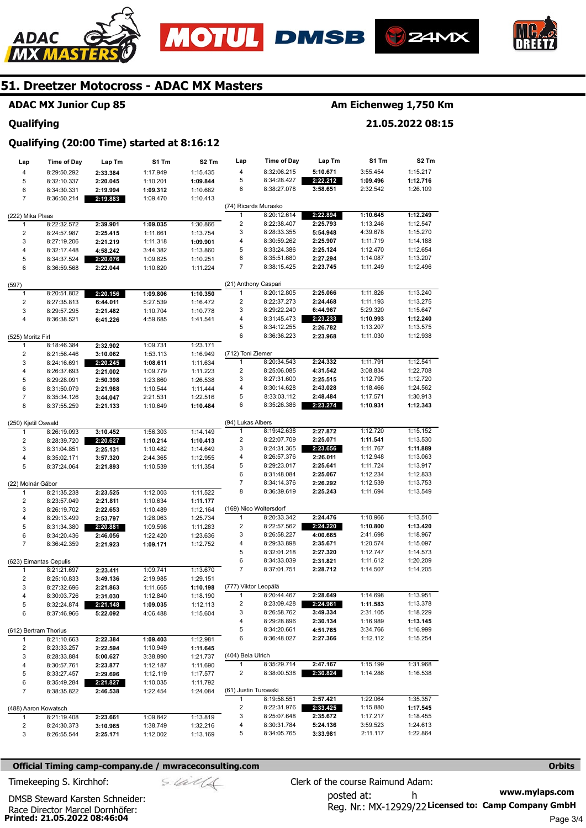





**21.05.2022 08:15** 



## **51. Dreetzer Motocross - ADAC MX Masters**

## **ADAC MX Junior Cup 85**

#### **Qualifying**

## **Qualifying (20:00 Time) started at 8:16:12**

| Lap                   | <b>Time of Day</b>                    | Lap Tm   | S1 Tm    | S <sub>2</sub> Tm | Lap                     | <b>Time of Day</b>         | Lap Tm               | S1 Tm                | S <sub>2</sub> Tm    |
|-----------------------|---------------------------------------|----------|----------|-------------------|-------------------------|----------------------------|----------------------|----------------------|----------------------|
| 4                     | 8:29:50.292                           | 2:33.384 | 1:17.949 | 1:15.435          | 4                       | 8:32:06.215                | 5:10.671             | 3:55.454             | 1:15.217             |
| 5                     | 8:32:10.337                           | 2:20.045 | 1:10.201 | 1:09.844          | 5                       | 8:34:28.427                | 2:22.212             | 1:09.496             | 1:12.716             |
| 6                     | 8:34:30.331                           | 2:19.994 | 1:09.312 | 1:10.682          | 6                       | 8:38:27.078                | 3:58.651             | 2:32.542             | 1:26.109             |
| $\overline{7}$        | 8:36:50.214                           | 2:19.883 | 1:09.470 | 1:10.413          |                         |                            |                      |                      |                      |
|                       |                                       |          |          |                   | (74) Ricards Murasko    |                            |                      |                      |                      |
| (222) Mika Plaas      |                                       |          |          |                   | 1                       | 8:20:12.614                | 2:22.894             | 1:10.645             | 1:12.249             |
| 1                     | 8:22:32.572                           | 2:39.901 | 1:09.035 | 1:30.866          | $\overline{\mathbf{c}}$ | 8:22:38.407                | 2:25.793             | 1:13.246             | 1:12.547             |
| 2                     | 8:24:57.987                           | 2:25.415 | 1:11.661 | 1:13.754          | 3                       | 8:28:33.355                | 5:54.948             | 4:39.678             | 1:15.270             |
| 3                     | 8:27:19.206                           | 2:21.219 | 1:11.318 | 1:09.901          | 4                       | 8:30:59.262                | 2:25.907             | 1:11.719             | 1:14.188             |
| 4                     | 8:32:17.448                           | 4:58.242 | 3:44.382 | 1:13.860          | 5                       | 8:33:24.386                | 2:25.124             | 1:12.470             | 1:12.654             |
| 5                     | 8:34:37.524                           | 2:20.076 | 1:09.825 | 1:10.251          | 6                       | 8:35:51.680                | 2:27.294             | 1:14.087             | 1:13.207             |
| 6                     | 8:36:59.568                           | 2:22.044 | 1:10.820 | 1:11.224          | 7                       | 8:38:15.425                | 2:23.745             | 1:11.249             | 1:12.496             |
| (597)                 |                                       |          |          |                   | (21) Anthony Caspari    |                            |                      |                      |                      |
| 1                     | 8:20:51.802                           | 2:20.156 | 1:09.806 | 1:10.350          | 1                       | 8:20:12.805                | 2:25.066             | 1:11.826             | 1:13.240             |
| $\mathbf 2$           | 8:27:35.813                           | 6:44.011 | 5:27.539 | 1:16.472          | $\overline{\mathbf{c}}$ | 8:22:37.273                | 2:24.468             | 1:11.193             | 1:13.275             |
| 3                     | 8:29:57.295                           | 2:21.482 | 1:10.704 | 1:10.778          | 3                       | 8:29:22.240                | 6:44.967             | 5:29.320             | 1:15.647             |
| 4                     | 8:36:38.521                           | 6:41.226 | 4:59.685 | 1:41.541          | 4                       | 8:31:45.473                | 2:23.233             | 1:10.993             | 1:12.240             |
|                       |                                       |          |          |                   | 5                       | 8:34:12.255                | 2:26.782             | 1:13.207             | 1:13.575             |
| (525) Moritz Firl     |                                       |          |          |                   | 6                       | 8:36:36.223                | 2:23.968             | 1:11.030             | 1:12.938             |
| 1                     | 8:18:46.384                           | 2:32.902 | 1:09.731 | 1:23.171          |                         |                            |                      |                      |                      |
| $\mathbf 2$           | 8:21:56.446                           | 3:10.062 | 1:53.113 | 1:16.949          | (712) Toni Ziemer       |                            |                      |                      |                      |
| 3                     | 8:24:16.691                           | 2:20.245 | 1:08.611 | 1:11.634          | 1                       | 8:20:34.543                | 2:24.332             | 1:11.791             | 1:12.541             |
| 4                     | 8:26:37.693                           | 2:21.002 | 1:09.779 | 1:11.223          | 2                       | 8:25:06.085                | 4:31.542             | 3:08.834             | 1:22.708             |
| 5                     | 8:29:28.091                           | 2:50.398 | 1:23.860 | 1:26.538          | 3                       | 8:27:31.600                | 2:25.515             | 1:12.795             | 1:12.720             |
| 6                     | 8:31:50.079                           | 2:21.988 | 1:10.544 | 1:11.444          | 4                       | 8:30:14.628                | 2:43.028             | 1:18.466             | 1:24.562             |
| $\overline{7}$        | 8:35:34.126                           | 3:44.047 | 2:21.531 | 1:22.516          | 5                       | 8:33:03.112                | 2:48.484             | 1:17.571             | 1:30.913             |
| 8                     | 8:37:55.259                           | 2:21.133 | 1:10.649 | 1:10.484          | 6                       | 8:35:26.386                | 2:23.274             | 1:10.931             | 1:12.343             |
| (250) Kjetil Oswald   |                                       |          |          |                   | (94) Lukas Albers       |                            |                      |                      |                      |
| 1                     | 8:26:19.093                           | 3:10.452 | 1:56.303 | 1:14.149          | 1                       | 8:19:42.638                | 2:27.872             | 1:12.720             | 1:15.152             |
| 2                     | 8:28:39.720                           | 2:20.627 | 1:10.214 | 1:10.413          | 2                       | 8:22:07.709                | 2:25.071             | 1:11.541             | 1:13.530             |
| 3                     | 8:31:04.851                           | 2:25.131 | 1:10.482 | 1:14.649          | 3                       | 8:24:31.365                | 2:23.656             | 1:11.767             | 1:11.889             |
| 4                     | 8:35:02.171                           | 3:57.320 | 2:44.365 | 1:12.955          | 4                       | 8:26:57.376                | 2:26.011             | 1:12.948             | 1:13.063             |
| 5                     | 8:37:24.064                           | 2:21.893 | 1:10.539 | 1:11.354          | 5                       | 8:29:23.017                | 2:25.641             | 1:11.724             | 1:13.917             |
|                       |                                       |          |          |                   | 6                       | 8:31:48.084                | 2:25.067             | 1:12.234             | 1:12.833             |
| (22) Molnár Gábor     |                                       |          |          |                   | 7                       | 8:34:14.376                | 2:26.292             | 1:12.539             | 1:13.753             |
| 1                     | 8:21:35.238                           | 2:23.525 | 1:12.003 | 1:11.522          | 8                       | 8:36:39.619                | 2:25.243             | 1:11.694             | 1:13.549             |
| $\overline{c}$        | 8:23:57.049                           | 2:21.811 | 1:10.634 | 1:11.177          |                         |                            |                      |                      |                      |
| 3                     | 8:26:19.702                           | 2:22.653 | 1:10.489 | 1:12.164          |                         | (169) Nico Woltersdorf     |                      |                      |                      |
| 4                     | 8:29:13.499                           | 2:53.797 | 1:28.063 | 1:25.734          | 1                       | 8:20:33.342                | 2:24.476             | 1:10.966             | 1:13.510             |
| 5                     | 8:31:34.380                           | 2:20.881 | 1:09.598 | 1:11.283          | 2                       | 8:22:57.562                | 2:24.220             | 1:10.800             | 1:13.420             |
| 6                     | 8:34:20.436                           | 2:46.056 | 1:22.420 | 1:23.636          | 3                       | 8:26:58.227                | 4:00.665             | 2:41.698             | 1:18.967             |
| $\overline{7}$        | 8:36:42.359                           | 2:21.923 | 1:09.171 | 1:12.752          | 4<br>5                  | 8:29:33.898                | 2:35.671             | 1:20.574<br>1:12.747 | 1:15.097             |
|                       |                                       |          |          |                   | 6                       | 8:32:01.218<br>8:34:33.039 | 2:27.320<br>2:31.821 | 1:11.612             | 1:14.573<br>1:20.209 |
| 1                     | (623) Eimantas Cepulis<br>8:21:21.697 | 2:23.411 | 1:09.741 | 1:13.670          | 7                       | 8:37:01.751                | 2:28.712             | 1:14.507             | 1:14.205             |
| $\overline{c}$        | 8:25:10.833                           | 3:49.136 | 2:19.985 | 1:29.151          |                         |                            |                      |                      |                      |
| 3                     | 8:27:32.696                           | 2:21.863 | 1:11.665 | 1:10.198          | (777) Viktor Leopälä    |                            |                      |                      |                      |
|                       | 8:30:03.726                           | 2:31.030 | 1:12.840 | 1:18.190          |                         | 8:20:44.467                | 2:28.649             | 1:14.698             | 1:13.951             |
| 5                     | 8:32:24.874                           | 2:21.148 | 1:09.035 | 1:12.113          | 2                       | 8:23:09.428                | 2:24.961             | 1:11.583             | 1:13.378             |
| 6                     | 8:37:46.966                           | 5:22.092 | 4:06.488 | 1:15.604          | 3                       | 8:26:58.762                | 3:49.334             | 2:31.105             | 1:18.229             |
|                       |                                       |          |          |                   | 4                       | 8:29:28.896                | 2:30.134             | 1:16.989             | 1:13.145             |
| (612) Bertram Thorius |                                       |          |          |                   | 5                       | 8:34:20.661                | 4:51.765             | 3:34.766             | 1:16.999             |
| 1                     | 8:21:10.663                           | 2:22.384 | 1:09.403 | 1:12.981          | 6                       | 8:36:48.027                | 2:27.366             | 1:12.112             | 1:15.254             |
| 2                     | 8:23:33.257                           | 2:22.594 | 1:10.949 | 1:11.645          |                         |                            |                      |                      |                      |
| 3                     | 8:28:33.884                           | 5:00.627 | 3:38.890 | 1:21.737          | (404) Bela Ulrich       |                            |                      |                      |                      |
| 4                     | 8:30:57.761                           | 2:23.877 | 1:12.187 | 1:11.690          | $\mathbf{1}$            | 8:35:29.714                | 2:47.167             | 1:15.199             | 1:31.968             |
| 5                     | 8:33:27.457                           | 2:29.696 | 1:12.119 | 1:17.577          | 2                       | 8:38:00.538                | 2:30.824             | 1:14.286             | 1:16.538             |
| 6                     | 8:35:49.284                           | 2:21.827 | 1:10.035 | 1:11.792          |                         |                            |                      |                      |                      |
| 7                     | 8:38:35.822                           | 2:46.538 | 1:22.454 | 1:24.084          | (61) Justin Turowski    |                            |                      |                      |                      |
|                       |                                       |          |          |                   | 1                       | 8:19:58.551                | 2:57.421             | 1:22.064             | 1:35.357             |
| (488) Aaron Kowatsch  |                                       |          |          |                   | 2                       | 8:22:31.976                | 2:33.425             | 1:15.880             | 1:17.545             |
| 1                     | 8:21:19.408                           | 2:23.661 | 1:09.842 | 1:13.819          | 3                       | 8:25:07.648                | 2:35.672             | 1:17.217             | 1:18.455             |
| 2                     | 8:24:30.373                           | 3:10.965 | 1:38.749 | 1:32.216          | 4                       | 8:30:31.784                | 5:24.136             | 3:59.523             | 1:24.613             |
| 3                     | 8:26:55.544                           | 2:25.171 | 1:12.002 | 1:13.169          | 5                       | 8:34:05.765                | 3:33.981             | 2:11.117             | 1:22.864             |

#### **Official Timing camp-company.de / mwraceconsulting.com <b>Orbits and Company.de Company** orbits **Orbits Orbits**

**www.mylaps.com**  Reg. Nr.: MX-12929/22 Licensed to: Camp Company GmbH posted at: h Timekeeping S. Kirchhof:  $\le \frac{1}{2}$  Clerk of the course Raimund Adam:

Race Director Marcel Dornhöfer:<br>**Printed: 21.05.2022 08:46:04** DMSB Steward Karsten Schneider: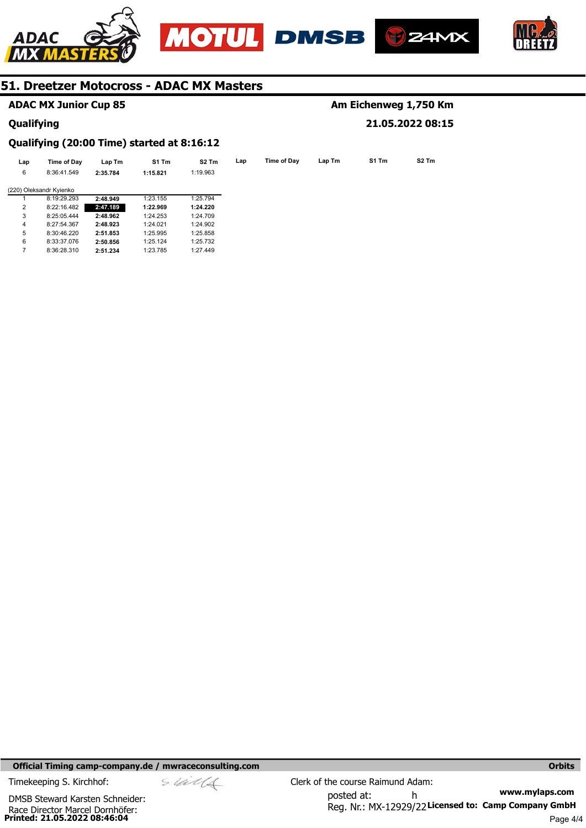







## **ADAC MX Junior Cup 85**

8:33:37.076

#### **Qualifying**

6 7

## **Am Eichenweg 1,750 Km 21.05.2022 08:15**

# **Qualifying (20:00 Time) started at 8:16:12**

8:36:28.310 **2:51.234**  1:23.785

**2:50.856** 

1:25.124

| Lap | Time of Day             | Lap Tm   | S1 Tm    | S <sub>2</sub> Tm | Lap | Time of Day | Lap Tm | S1 Tm | S2 Tm |
|-----|-------------------------|----------|----------|-------------------|-----|-------------|--------|-------|-------|
| 6   | 8:36:41.549             | 2:35.784 | 1:15.821 | 1:19.963          |     |             |        |       |       |
|     | (220) Oleksandr Kyienko |          |          |                   |     |             |        |       |       |
|     | 8:19:29.293             | 2:48.949 | 1:23.155 | 1:25.794          |     |             |        |       |       |
| 2   | 8:22:16.482             | 2:47.189 | 1:22.969 | 1:24.220          |     |             |        |       |       |
| 3   | 8:25:05.444             | 2:48.962 | 1:24.253 | 1:24.709          |     |             |        |       |       |
| 4   | 8:27:54.367             | 2:48.923 | 1:24.021 | 1:24.902          |     |             |        |       |       |
| 5   | 8:30:46.220             | 2:51.853 | 1:25.995 | 1:25.858          |     |             |        |       |       |

1:25.732 1:27.449

**Official Timing camp-company.de / mwraceconsulting.com <b>Orbits and Company.de Company** orbits **Orbits Orbits**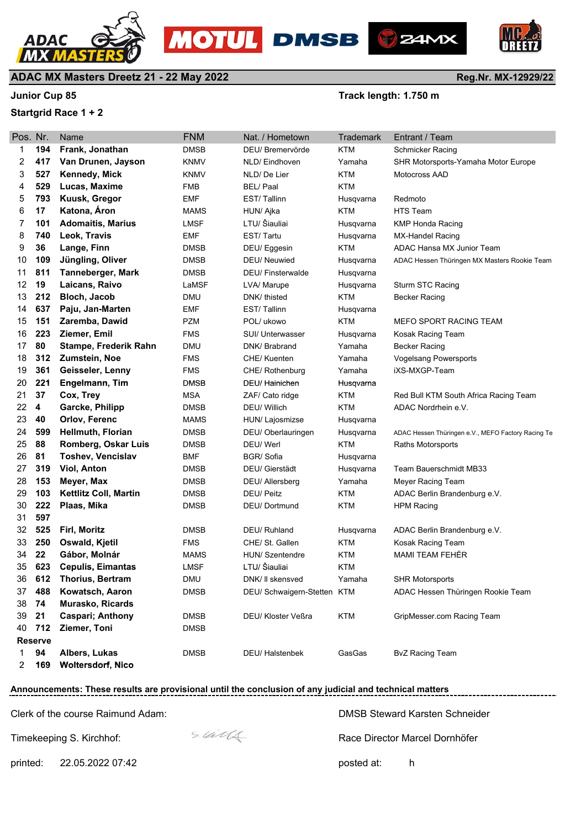



Pos. Nr. Name **FNM** Nat. / Hometown Trademark Entrant / Team





**Reg.Nr. MX-12929/22**

## **ADAC MX Masters Dreetz 21 - 22 May 2022**

#### **Junior Cup 85 Junior Cup 85 Track length: 1.750 m**

#### **Startgrid Race 1 + 2**

| 1  | 194 | Frank, Jonathan              | <b>DMSB</b> | DEU/ Bremervörde            | <b>KTM</b> | Schmicker Racing                                   |
|----|-----|------------------------------|-------------|-----------------------------|------------|----------------------------------------------------|
| 2  | 417 | Van Drunen, Jayson           | KNMV        | NLD/ Eindhoven              | Yamaha     | SHR Motorsports-Yamaha Motor Europe                |
| 3  | 527 | <b>Kennedy, Mick</b>         | KNMV        | NLD/De Lier                 | <b>KTM</b> | Motocross AAD                                      |
| 4  | 529 | Lucas, Maxime                | <b>FMB</b>  | <b>BEL/Paal</b>             | <b>KTM</b> |                                                    |
| 5  | 793 | Kuusk, Gregor                | <b>EMF</b>  | EST/Tallinn                 | Husqvarna  | Redmoto                                            |
| 6  | 17  | Katona, Áron                 | <b>MAMS</b> | HUN/ Ajka                   | <b>KTM</b> | <b>HTS Team</b>                                    |
| 7  | 101 | <b>Adomaitis, Marius</b>     | LMSF        | LTU/ Šiauliai               | Husqvarna  | <b>KMP Honda Racing</b>                            |
| 8  | 740 | Leok, Travis                 | EMF         | EST/Tartu                   | Husqvarna  | MX-Handel Racing                                   |
| 9  | 36  | Lange, Finn                  | <b>DMSB</b> | DEU/Eggesin                 | <b>KTM</b> | ADAC Hansa MX Junior Team                          |
| 10 | 109 | Jüngling, Oliver             | <b>DMSB</b> | DEU/ Neuwied                | Husqvarna  | ADAC Hessen Thüringen MX Masters Rookie Team       |
| 11 | 811 | Tanneberger, Mark            | <b>DMSB</b> | <b>DEU/Finsterwalde</b>     | Husqvarna  |                                                    |
| 12 | 19  | Laicans, Raivo               | LaMSF       | LVA/ Marupe                 | Husqvarna  | Sturm STC Racing                                   |
| 13 | 212 | Bloch, Jacob                 | DMU         | DNK/ thisted                | <b>KTM</b> | Becker Racing                                      |
| 14 | 637 | Paju, Jan-Marten             | EMF         | EST/Tallinn                 | Husqvarna  |                                                    |
| 15 | 151 | Zaremba, Dawid               | <b>PZM</b>  | POL/ ukowo                  | <b>KTM</b> | <b>MEFO SPORT RACING TEAM</b>                      |
| 16 | 223 | Ziemer, Emil                 | <b>FMS</b>  | SUI/ Unterwasser            | Husqvarna  | Kosak Racing Team                                  |
| 17 | 80  | Stampe, Frederik Rahn        | DMU         | DNK/ Brabrand               | Yamaha     | Becker Racing                                      |
| 18 | 312 | <b>Zumstein, Noe</b>         | FMS         | CHE/ Kuenten                | Yamaha     | <b>Vogelsang Powersports</b>                       |
| 19 | 361 | Geisseler, Lenny             | FMS         | CHE/ Rothenburg             | Yamaha     | iXS-MXGP-Team                                      |
| 20 | 221 | Engelmann, Tim               | <b>DMSB</b> | DEU/Hainichen               | Husqvarna  |                                                    |
| 21 | 37  | Cox, Trey                    | <b>MSA</b>  | ZAF/ Cato ridge             | <b>KTM</b> | Red Bull KTM South Africa Racing Team              |
| 22 | 4   | Garcke, Philipp              | <b>DMSB</b> | <b>DEU/ Willich</b>         | <b>KTM</b> | ADAC Nordrhein e.V.                                |
| 23 | 40  | Orlov, Ferenc                | <b>MAMS</b> | HUN/ Lajosmizse             | Husqvarna  |                                                    |
| 24 | 599 | <b>Hellmuth, Florian</b>     | DMSB        | DEU/ Oberlauringen          | Husqvarna  | ADAC Hessen Thüringen e.V., MEFO Factory Racing Te |
| 25 | 88  | Romberg, Oskar Luis          | DMSB        | DEU/Werl                    | <b>KTM</b> | Raths Motorsports                                  |
| 26 | 81  | <b>Toshev, Vencislav</b>     | BMF         | BGR/Sofia                   | Husqvarna  |                                                    |
| 27 | 319 | <b>Viol, Anton</b>           | DMSB        | DEU/ Gierstädt              | Husqvarna  | Team Bauerschmidt MB33                             |
| 28 | 153 | Meyer, Max                   | <b>DMSB</b> | DEU/ Allersberg             | Yamaha     | Meyer Racing Team                                  |
| 29 | 103 | <b>Kettlitz Coll, Martin</b> | <b>DMSB</b> | DEU/ Peitz                  | <b>KTM</b> | ADAC Berlin Brandenburg e.V.                       |
| 30 | 222 | Plaas, Mika                  | <b>DMSB</b> | DEU/Dortmund                | <b>KTM</b> | <b>HPM Racing</b>                                  |
| 31 | 597 |                              |             |                             |            |                                                    |
| 32 | 525 | Firl, Moritz                 | <b>DMSB</b> | DEU/ Ruhland                | Husqvarna  | ADAC Berlin Brandenburg e.V.                       |
| 33 | 250 | Oswald, Kjetil               | FMS         | CHE/ St. Gallen             | <b>KTM</b> | Kosak Racing Team                                  |
| 34 | 22  | Gábor, Molnár                | <b>MAMS</b> | HUN/ Szentendre             | <b>KTM</b> | MAMI TEAM FEHÉR                                    |
| 35 | 623 | <b>Cepulis, Eimantas</b>     | LMSF        | LTU/ Šiauliai               | KTM        |                                                    |
| 36 | 612 | <b>Thorius, Bertram</b>      | <b>DMU</b>  | DNK/ II skensved            | Yamaha     | <b>SHR Motorsports</b>                             |
| 37 | 488 | Kowatsch, Aaron              | <b>DMSB</b> | DEU/ Schwaigern-Stetten KTM |            | ADAC Hessen Thüringen Rookie Team                  |
| 38 | 74  | <b>Murasko, Ricards</b>      |             |                             |            |                                                    |

40 712 Ziemer, Toni DMSB **Reserve**

**94 Albers, Lukas** DMSB DEU/ Halstenbek GasGas BvZ Racing Team

**169 Woltersdorf Nico** 0 0 0 **Woltersdorf,** 0 00

# **Announcements: These results are provisional until the conclusion of any judicial and technical matters**

Clerk of the course Raimund Adam:

Timekeeping S. Kirchhof:

 $s$  laid  $4$ 

**21 Caspari; Anthony** DMSB DEU/ Kloster Veßra KTM GripMesser.com Racing Team

DMSB Steward Karsten Schneider

\_\_\_\_\_\_\_\_\_\_\_\_\_\_\_\_\_\_\_\_

Race Director Marcel Dornhöfer

printed: 22.05.2022 07:42 posted at: h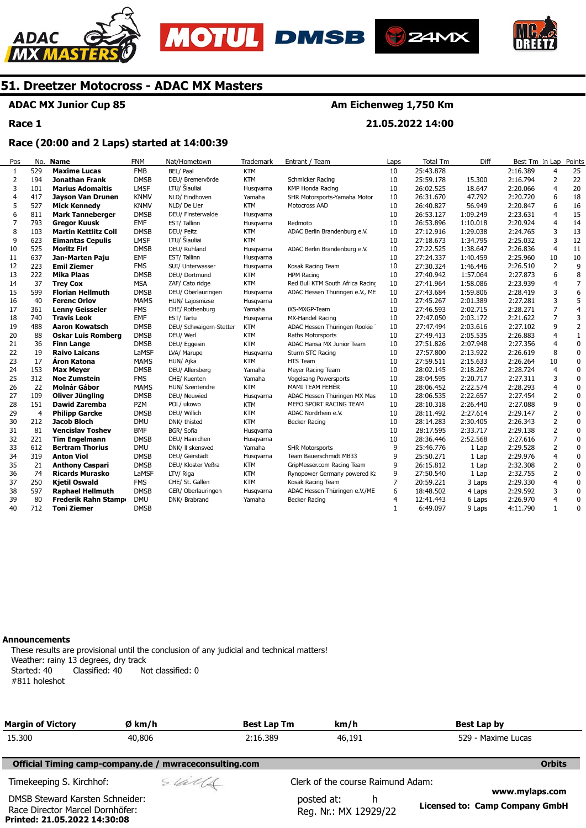





**21.05.2022 14:00** 



## **51. Dreetzer Motocross - ADAC MX Masters**

### **ADAC MX Junior Cup 85**

**Race 1** 

## **Race (20:00 and 2 Laps) started at 14:00:39**

| Pos | No             | <b>Name</b>                 | <b>FNM</b>  | Nat/Hometown            | Trademark  | Entrant / Team                   | Laps | <b>Total Tm</b> | Diff     | Best Tm In Lap |                | Points         |
|-----|----------------|-----------------------------|-------------|-------------------------|------------|----------------------------------|------|-----------------|----------|----------------|----------------|----------------|
| 1   | 529            | <b>Maxime Lucas</b>         | <b>FMB</b>  | BEL/ Paal               | <b>KTM</b> |                                  | 10   | 25:43.878       |          | 2:16.389       | 4              | 25             |
| 2   | 194            | <b>Jonathan Frank</b>       | <b>DMSB</b> | DEU/ Bremervörde        | <b>KTM</b> | Schmicker Racing                 | 10   | 25:59.178       | 15,300   | 2:16.794       | 2              | 22             |
| 3   | 101            | <b>Marius Adomaitis</b>     | <b>LMSF</b> | LTU/ Šiauliai           | Husqvarna  | KMP Honda Racing                 | 10   | 26:02.525       | 18.647   | 2:20.066       | $\overline{4}$ | 20             |
| 4   | 417            | Jayson Van Drunen           | <b>KNMV</b> | NLD/ Eindhoven          | Yamaha     | SHR Motorsports-Yamaha Motor     | 10   | 26:31.670       | 47.792   | 2:20.720       | 6              | 18             |
| 5   | 527            | <b>Mick Kennedy</b>         | <b>KNMV</b> | NLD/ De Lier            | <b>KTM</b> | Motocross AAD                    | 10   | 26:40.827       | 56.949   | 2:20.847       | 6              | 16             |
| 6   | 811            | <b>Mark Tanneberger</b>     | <b>DMSB</b> | DEU/ Finsterwalde       | Husqvarna  |                                  | 10   | 26:53.127       | 1:09.249 | 2:23.631       | $\overline{4}$ | 15             |
| 7   | 793            | <b>Gregor Kuusk</b>         | EMF         | EST/Tallinn             | Husqvarna  | Redmoto                          | 10   | 26:53.896       | 1:10.018 | 2:20.924       | $\overline{4}$ | 14             |
| 8   | 103            | <b>Martin Kettlitz Coll</b> | <b>DMSB</b> | DEU/ Peitz              | <b>KTM</b> | ADAC Berlin Brandenburg e.V.     | 10   | 27:12.916       | 1:29.038 | 2:24.765       | 3              | 13             |
| 9   | 623            | <b>Eimantas Cepulis</b>     | <b>LMSF</b> | LTU/ Šiauliai           | <b>KTM</b> |                                  | 10   | 27:18.673       | 1:34.795 | 2:25.032       | 3              | 12             |
| 10  | 525            | <b>Moritz Firl</b>          | <b>DMSB</b> | DEU/ Ruhland            | Husqvarna  | ADAC Berlin Brandenburg e.V.     | 10   | 27:22.525       | 1:38.647 | 2:26.836       | $\overline{4}$ | 11             |
| 11  | 637            | Jan-Marten Paju             | EMF         | EST/Tallinn             | Husqvarna  |                                  | 10   | 27:24.337       | 1:40.459 | 2:25.960       | 10             | 10             |
| 12  | 223            | <b>Emil Ziemer</b>          | <b>FMS</b>  | SUI/ Unterwasser        | Husqvarna  | Kosak Racing Team                | 10   | 27:30.324       | 1:46.446 | 2:26.510       | 2              | 9              |
| 13  | 222            | <b>Mika Plaas</b>           | <b>DMSB</b> | DEU/ Dortmund           | <b>KTM</b> | <b>HPM Racing</b>                | 10   | 27:40.942       | 1:57.064 | 2:27.873       | 6              | 8              |
| 14  | 37             | <b>Trey Cox</b>             | <b>MSA</b>  | ZAF/ Cato ridge         | <b>KTM</b> | Red Bull KTM South Africa Racing | 10   | 27:41.964       | 1:58.086 | 2:23.939       | 4              | $\overline{7}$ |
| 15  | 599            | <b>Florian Hellmuth</b>     | <b>DMSB</b> | DEU/ Oberlauringen      | Husqvarna  | ADAC Hessen Thüringen e.V., ME   | 10   | 27:43.684       | 1:59.806 | 2:28.419       | 3              | 6              |
| 16  | 40             | <b>Ferenc Orlov</b>         | <b>MAMS</b> | HUN/ Lajosmizse         | Husqvarna  |                                  | 10   | 27:45.267       | 2:01.389 | 2:27.281       | 3              | 5              |
| 17  | 361            | <b>Lenny Geisseler</b>      | <b>FMS</b>  | CHE/ Rothenburg         | Yamaha     | iXS-MXGP-Team                    | 10   | 27:46.593       | 2:02.715 | 2:28.271       | $\overline{7}$ | $\overline{4}$ |
| 18  | 740            | <b>Travis Leok</b>          | EMF         | EST/Tartu               | Husqvarna  | MX-Handel Racing                 | 10   | 27:47.050       | 2:03.172 | 2:21.622       | $\overline{7}$ | 3              |
| 19  | 488            | <b>Aaron Kowatsch</b>       | <b>DMSB</b> | DEU/ Schwaigern-Stetten | <b>KTM</b> | ADAC Hessen Thüringen Rookie     | 10   | 27:47.494       | 2:03.616 | 2:27.102       | 9              | $\overline{2}$ |
| 20  | 88             | <b>Oskar Luis Romberg</b>   | <b>DMSB</b> | DEU/ Werl               | <b>KTM</b> | Raths Motorsports                | 10   | 27:49.413       | 2:05.535 | 2:26.883       | $\overline{4}$ | $\mathbf{1}$   |
| 21  | 36             | <b>Finn Lange</b>           | <b>DMSB</b> | DEU/ Eggesin            | <b>KTM</b> | ADAC Hansa MX Junior Team        | 10   | 27:51.826       | 2:07.948 | 2:27.356       | $\overline{4}$ | $\mathbf 0$    |
| 22  | 19             | <b>Raivo Laicans</b>        | LaMSF       | LVA/ Marupe             | Husqvarna  | Sturm STC Racing                 | 10   | 27:57.800       | 2:13.922 | 2:26.619       | 8              | $\pmb{0}$      |
| 23  | 17             | <b>Áron Katona</b>          | <b>MAMS</b> | HUN/ Ajka               | <b>KTM</b> | <b>HTS Team</b>                  | 10   | 27:59.511       | 2:15.633 | 2:26.264       | 10             | $\pmb{0}$      |
| 24  | 153            | <b>Max Meyer</b>            | <b>DMSB</b> | DEU/ Allersberg         | Yamaha     | Meyer Racing Team                | 10   | 28:02.145       | 2:18.267 | 2:28.724       | $\overline{4}$ | $\mathbf 0$    |
| 25  | 312            | <b>Noe Zumstein</b>         | <b>FMS</b>  | CHE/ Kuenten            | Yamaha     | Vogelsang Powersports            | 10   | 28:04.595       | 2:20.717 | 2:27.311       | 3              | $\pmb{0}$      |
| 26  | 22             | <b>Molnár Gábor</b>         | <b>MAMS</b> | HUN/ Szentendre         | <b>KTM</b> | MAMI TEAM FEHÉR                  | 10   | 28:06.452       | 2:22.574 | 2:28.293       | $\overline{4}$ | $\pmb{0}$      |
| 27  | 109            | Oliver Jüngling             | <b>DMSB</b> | DEU/ Neuwied            | Husqvarna  | ADAC Hessen Thüringen MX Mas     | 10   | 28:06.535       | 2:22.657 | 2:27.454       | 2              | 0              |
| 28  | 151            | <b>Dawid Zaremba</b>        | PZM         | POL/ ukowo              | <b>KTM</b> | MEFO SPORT RACING TEAM           | 10   | 28:10.318       | 2:26.440 | 2:27.088       | 9              | $\mathbf 0$    |
| 29  | $\overline{4}$ | <b>Philipp Garcke</b>       | <b>DMSB</b> | DEU/ Willich            | <b>KTM</b> | ADAC Nordrhein e.V.              | 10   | 28:11.492       | 2:27.614 | 2:29.147       | $\overline{2}$ | 0              |
| 30  | 212            | <b>Jacob Bloch</b>          | <b>DMU</b>  | DNK/ thisted            | <b>KTM</b> | Becker Racing                    | 10   | 28:14.283       | 2:30.405 | 2:26.343       | $\overline{2}$ | 0              |
| 31  | 81             | <b>Vencislav Toshev</b>     | <b>BMF</b>  | BGR/ Sofia              | Husqvarna  |                                  | 10   | 28:17.595       | 2:33.717 | 2:29.138       | $\overline{2}$ | 0              |
| 32  | 221            | <b>Tim Engelmann</b>        | <b>DMSB</b> | DEU/ Hainichen          | Husqvarna  |                                  | 10   | 28:36.446       | 2:52.568 | 2:27.616       | $\overline{7}$ | $\mathbf 0$    |
| 33  | 612            | <b>Bertram Thorius</b>      | <b>DMU</b>  | DNK/ II skensved        | Yamaha     | <b>SHR Motorsports</b>           | 9    | 25:46.776       | 1 Lap    | 2:29.528       | $\overline{2}$ | $\mathbf 0$    |
| 34  | 319            | <b>Anton Viol</b>           | <b>DMSB</b> | DEU/ Gierstädt          | Husqvarna  | Team Bauerschmidt MB33           | 9    | 25:50.271       | 1 Lap    | 2:29.976       | $\overline{4}$ | $\pmb{0}$      |
| 35  | 21             | <b>Anthony Caspari</b>      | <b>DMSB</b> | DEU/ Kloster Veßra      | <b>KTM</b> | GripMesser.com Racing Team       | 9    | 26:15.812       | 1 Lap    | 2:32.308       | $\overline{2}$ | $\pmb{0}$      |
| 36  | 74             | <b>Ricards Murasko</b>      | LaMSF       | LTV/ Riga               | <b>KTM</b> | Rynopower Germany powered Ka     | 9    | 27:50.540       | 1 Lap    | 2:32.755       | 2              | 0              |
| 37  | 250            | <b>Kjetil Oswald</b>        | <b>FMS</b>  | CHE/ St. Gallen         | <b>KTM</b> | Kosak Racing Team                | 7    | 20:59.221       | 3 Laps   | 2:29.330       | $\overline{4}$ | $\pmb{0}$      |
| 38  | 597            | <b>Raphael Hellmuth</b>     | <b>DMSB</b> | GER/ Oberlauringen      | Husqvarna  | ADAC Hessen-Thüringen e.V./ME    | 6    | 18:48.502       | 4 Laps   | 2:29.592       | 3              | 0              |
| 39  | 80             | Frederik Rahn Stamp         | <b>DMU</b>  | DNK/ Brabrand           | Yamaha     | <b>Becker Racing</b>             | 4    | 12:41.443       | 6 Laps   | 2:26.970       | $\overline{4}$ | $\mathbf 0$    |
| 40  | 712            | <b>Toni Ziemer</b>          | <b>DMSB</b> |                         |            |                                  |      | 6:49.097        | 9 Laps   | 4:11.790       | $\mathbf{1}$   | 0              |

#### **Announcements**

**Printed: 21.05.2022 14:30:08** 

These results are provisional until the conclusion of any judicial and technical matters! Weather: rainy 13 degrees, dry track Started: 40 Classified: 40 Not classified: 0 #811 holeshot

| <b>Margin of Victory</b>                                           | Ø km/h                                                 | <b>Best Lap Tm</b> | km/h                                     | Best Lap by                                      |
|--------------------------------------------------------------------|--------------------------------------------------------|--------------------|------------------------------------------|--------------------------------------------------|
| 15.300                                                             | 40,806                                                 | 2:16.389           | 46,191                                   | 529 - Maxime Lucas                               |
|                                                                    | Official Timing camp-company.de / mwraceconsulting.com |                    |                                          | <b>Orbits</b>                                    |
| Timekeeping S. Kirchhof:                                           | sulls                                                  |                    | Clerk of the course Raimund Adam:        |                                                  |
| DMSB Steward Karsten Schneider:<br>Race Director Marcel Dornhöfer: |                                                        |                    | posted at:<br>h<br>Reg. Nr.: MX 12929/22 | www.mylaps.com<br>Licensed to: Camp Company GmbH |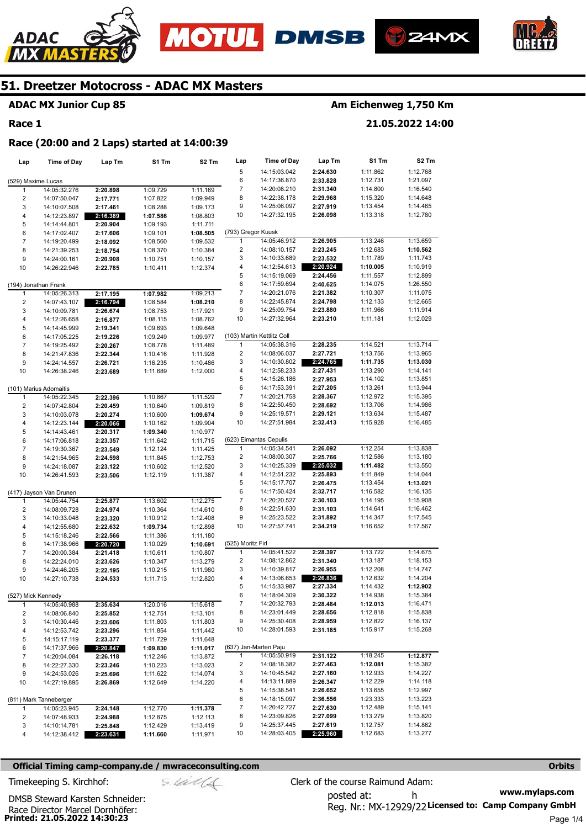







#### **ADAC MX Junior Cup 85**

#### **Race 1**

## **Am Eichenweg 1,750 Km**

**21.05.2022 14:00** 

**Race (20:00 and 2 Laps) started at 14:00:39** 

| Lap                     | <b>Time of Day</b>                   | Lap Tm               | S1 Tm                | S <sub>2</sub> Tm    | Lap                               | <b>Time of Day</b>           | Lap Tm               | S1 Tm                | S <sub>2</sub> Tm    |
|-------------------------|--------------------------------------|----------------------|----------------------|----------------------|-----------------------------------|------------------------------|----------------------|----------------------|----------------------|
|                         |                                      |                      |                      |                      | 5                                 | 14:15:03.042                 | 2:24.630             | 1:11.862             | 1:12.768             |
| (529) Maxime Lucas      |                                      |                      |                      |                      | 6                                 | 14:17:36.870                 | 2:33.828             | 1:12.731             | 1:21.097             |
| 1                       | 14:05:32.276                         | 2:20.898             | 1:09.729             | 1:11.169             | 7                                 | 14:20:08.210                 | 2:31.340             | 1:14.800             | 1:16.540             |
| $\overline{\mathbf{c}}$ | 14:07:50.047                         | 2:17.771             | 1:07.822             | 1:09.949             | 8                                 | 14:22:38.178                 | 2:29.968             | 1:15.320             | 1:14.648             |
| 3                       | 14:10:07.508                         | 2:17.461             | 1:08.288             | 1:09.173             | 9                                 | 14:25:06.097                 | 2:27.919             | 1:13.454             | 1:14.465             |
| $\overline{\mathbf{4}}$ | 14:12:23.897                         | 2:16.389             | 1:07.586             | 1:08.803             | 10                                | 14:27:32.195                 | 2:26.098             | 1:13.318             | 1:12.780             |
| 5                       | 14:14:44.801                         | 2:20.904             | 1:09.193             | 1:11.711             |                                   |                              |                      |                      |                      |
| 6                       | 14:17:02.407                         | 2:17.606             | 1:09.101             | 1:08.505             | (793) Gregor Kuusk                |                              |                      |                      |                      |
| $\overline{7}$          | 14:19:20.499                         | 2:18.092             | 1:08.560             | 1:09.532             | 1                                 | 14:05:46.912                 | 2:26.905             | 1:13.246             | 1:13.659             |
| 8                       | 14:21:39.253                         | 2:18.754             | 1:08.370             | 1:10.384             | $\overline{2}$                    | 14:08:10.157                 | 2:23.245             | 1:12.683             | 1:10.562             |
| 9                       | 14:24:00.161                         | 2:20.908             | 1:10.751             | 1:10.157             | 3                                 | 14:10:33.689                 | 2:23.532             | 1:11.789             | 1:11.743             |
| 10                      | 14:26:22.946                         | 2:22.785             | 1:10.411             | 1:12.374             | 4<br>5                            | 14:12:54.613<br>14:15:19.069 | 2:20.924             | 1:10.005<br>1:11.557 | 1:10.919<br>1:12.899 |
|                         |                                      |                      |                      |                      | 6                                 | 14:17:59.694                 | 2:24.456<br>2:40.625 | 1:14.075             | 1:26.550             |
| 1                       | (194) Jonathan Frank<br>14:05:26.313 | 2:17.195             | 1:07.982             | 1:09.213             | 7                                 | 14:20:21.076                 | 2:21.382             | 1:10.307             | 1:11.075             |
| 2                       | 14:07:43.107                         | 2:16.794             | 1:08.584             | 1:08.210             | 8                                 | 14:22:45.874                 | 2:24.798             | 1:12.133             | 1:12.665             |
| 3                       | 14:10:09.781                         | 2:26.674             | 1:08.753             | 1:17.921             | 9                                 | 14:25:09.754                 | 2:23.880             | 1:11.966             | 1:11.914             |
| $\overline{\mathbf{4}}$ | 14:12:26.658                         | 2:16.877             | 1:08.115             | 1:08.762             | 10                                | 14:27:32.964                 | 2:23.210             | 1:11.181             | 1:12.029             |
| 5                       | 14:14:45.999                         | 2:19.341             | 1:09.693             | 1:09.648             |                                   |                              |                      |                      |                      |
| 6                       | 14:17:05.225                         | 2:19.226             | 1:09.249             | 1:09.977             |                                   | (103) Martin Kettlitz Coll   |                      |                      |                      |
| $\overline{7}$          | 14:19:25.492                         | 2:20.267             | 1:08.778             | 1:11.489             | $\mathbf{1}$                      | 14:05:38.316                 | 2:28.235             | 1:14.521             | 1:13.714             |
| 8                       | 14:21:47.836                         | 2:22.344             | 1:10.416             | 1:11.928             | $\overline{2}$                    | 14:08:06.037                 | 2:27.721             | 1:13.756             | 1:13.965             |
| 9                       | 14:24:14.557                         | 2:26.721             | 1:16.235             | 1:10.486             | 3                                 | 14:10:30.802                 | 2:24.765             | 1:11.735             | 1:13.030             |
| 10                      | 14:26:38.246                         | 2:23.689             | 1:11.689             | 1:12.000             | 4                                 | 14:12:58.233                 | 2:27.431             | 1:13.290             | 1:14.141             |
|                         |                                      |                      |                      |                      | 5                                 | 14:15:26.186                 | 2:27.953             | 1:14.102             | 1:13.851             |
|                         | (101) Marius Adomaitis               |                      |                      |                      | 6                                 | 14:17:53.391                 | 2:27.205             | 1:13.261             | 1:13.944             |
| 1                       | 14:05:22.345                         | 2:22.396             | 1:10.867             | 1:11.529             | $\overline{7}$                    | 14:20:21.758                 | 2:28.367             | 1:12.972             | 1:15.395             |
| 2                       | 14:07:42.804                         | 2:20.459             | 1:10.640             | 1:09.819             | 8                                 | 14:22:50.450                 | 2:28.692             | 1:13.706             | 1:14.986             |
| 3                       | 14:10:03.078                         | 2:20.274             | 1:10.600             | 1:09.674             | 9                                 | 14:25:19.571                 | 2:29.121             | 1:13.634             | 1:15.487             |
| 4                       | 14:12:23.144                         | 2:20.066             | 1:10.162             | 1:09.904             | 10                                | 14:27:51.984                 | 2:32.413             | 1:15.928             | 1:16.485             |
| 5                       | 14:14:43.461                         | 2:20.317             | 1:09.340             | 1:10.977             |                                   |                              |                      |                      |                      |
| 6                       | 14:17:06.818                         | 2:23.357             | 1:11.642             | 1:11.715             |                                   | (623) Eimantas Cepulis       |                      |                      |                      |
| $\overline{7}$          | 14:19:30.367                         | 2:23.549             | 1:12.124             | 1:11.425             | 1                                 | 14:05:34.541                 | 2:26.092             | 1:12.254             | 1:13.838             |
| 8                       | 14:21:54.965                         | 2:24.598             | 1:11.845             | 1:12.753             | $\overline{2}$                    | 14:08:00.307                 | 2:25.766             | 1:12.586             | 1:13.180             |
| 9                       | 14:24:18.087                         | 2:23.122             | 1:10.602             | 1:12.520             | 3                                 | 14:10:25.339                 | 2:25.032             | 1:11.482             | 1:13.550             |
| 10                      | 14:26:41.593                         | 2:23.506             | 1:12.119             | 1:11.387             | 4                                 | 14:12:51.232                 | 2:25.893             | 1:11.849             | 1:14.044             |
|                         |                                      |                      |                      |                      | 5                                 | 14:15:17.707                 | 2:26.475             | 1:13.454             | 1:13.021             |
|                         | (417) Jayson Van Drunen              |                      |                      |                      | 6                                 | 14:17:50.424                 | 2:32.717             | 1:16.582             | 1:16.135             |
| 1                       | 14:05:44.754                         | 2:25.877             | 1:13.602             | 1:12.275             | 7                                 | 14:20:20.527                 | 2:30.103             | 1:14.195             | 1:15.908             |
| $\overline{\mathbf{c}}$ | 14:08:09.728                         | 2:24.974             | 1:10.364             | 1:14.610             | 8                                 | 14:22:51.630                 | 2:31.103             | 1:14.641             | 1:16.462             |
| 3                       | 14:10:33.048                         | 2:23.320             | 1:10.912             | 1:12.408             | 9                                 | 14:25:23.522                 | 2:31.892             | 1:14.347             | 1:17.545             |
| 4                       | 14:12:55.680                         | 2:22.632             | 1:09.734             | 1:12.898             | 10                                | 14:27:57.741                 | 2:34.219             | 1:16.652             | 1:17.567             |
| 5                       | 14:15:18.246                         | 2:22.566             | 1:11.386             | 1:11.180             |                                   |                              |                      |                      |                      |
| 6                       | 14:17:38.966                         | 2:20.720             | 1:10.029             | 1:10.691             | (525) Moritz Firl<br>$\mathbf{1}$ | 14:05:41.522                 |                      | 1:13.722             | 1:14.675             |
| $\boldsymbol{7}$        | 14:20:00.384                         | 2:21.418             | 1:10.611             | 1:10.807             | $\overline{2}$                    | 14:08:12.862                 | 2:28.397<br>2:31.340 | 1:13.187             | 1:18.153             |
| 8                       | 14:22:24.010                         | 2:23.626             | 1:10.347             | 1:13.279             | 3                                 | 14:10:39.817                 | 2:26.955             | 1:12.208             | 1:14.747             |
| 9<br>10                 | 14:24:46.205<br>14:27:10.738         | 2:22.195<br>2:24.533 | 1:10.215<br>1:11.713 | 1:11.980<br>1:12.820 | 4                                 | 14:13:06.653                 | 2:26.836             | 1:12.632             | 1:14.204             |
|                         |                                      |                      |                      |                      | 5                                 | 14:15:33.987                 | 2:27.334             | 1:14.432             | 1:12.902             |
| (527) Mick Kennedy      |                                      |                      |                      |                      | 6                                 | 14:18:04.309                 | 2:30.322             | 1:14.938             | 1:15.384             |
| 1                       | 14:05:40.988                         | 2:35.634             | 1:20.016             | 1:15.618             | 7                                 | 14:20:32.793                 | 2:28.484             | 1:12.013             | 1:16.471             |
| 2                       | 14:08:06.840                         | 2:25.852             | 1:12.751             | 1:13.101             | 8                                 | 14:23:01.449                 | 2:28.656             | 1:12.818             | 1:15.838             |
| 3                       | 14:10:30.446                         | 2:23.606             | 1:11.803             | 1:11.803             | 9                                 | 14:25:30.408                 | 2:28.959             | 1:12.822             | 1:16.137             |
| 4                       | 14:12:53.742                         | 2:23.296             | 1:11.854             | 1:11.442             | 10                                | 14:28:01.593                 | 2:31.185             | 1:15.917             | 1:15.268             |
| 5                       | 14:15:17.119                         | 2:23.377             | 1:11.729             | 1:11.648             |                                   |                              |                      |                      |                      |
| 6                       | 14:17:37.966                         | 2:20.847             | 1:09.830             | 1:11.017             |                                   | (637) Jan-Marten Paju        |                      |                      |                      |
| 7                       | 14:20:04.084                         | 2:26.118             | 1:12.246             | 1:13.872             | $\mathbf{1}$                      | 14:05:50.919                 | 2:31.122             | 1:18.245             | 1:12.877             |
| 8                       | 14:22:27.330                         | 2:23.246             | 1:10.223             | 1:13.023             | $\overline{\mathbf{c}}$           | 14:08:18.382                 | 2:27.463             | 1:12.081             | 1:15.382             |
| 9                       | 14:24:53.026                         | 2:25.696             | 1:11.622             | 1:14.074             | 3                                 | 14:10:45.542                 | 2:27.160             | 1:12.933             | 1:14.227             |
| 10                      | 14:27:19.895                         | 2:26.869             | 1:12.649             | 1:14.220             | 4                                 | 14:13:11.889                 | 2:26.347             | 1:12.229             | 1:14.118             |
|                         |                                      |                      |                      |                      | 5                                 | 14:15:38.541                 | 2:26.652             | 1:13.655             | 1:12.997             |
|                         | (811) Mark Tanneberger               |                      |                      |                      | 6                                 | 14:18:15.097                 | 2:36.556             | 1:23.333             | 1:13.223             |
| 1                       | 14:05:23.945                         | 2:24.148             | 1:12.770             | 1:11.378             | 7                                 | 14:20:42.727                 | 2:27.630             | 1:12.489             | 1:15.141             |
| 2                       | 14:07:48.933                         | 2:24.988             | 1:12.875             | 1:12.113             | 8                                 | 14:23:09.826                 | 2:27.099             | 1:13.279             | 1:13.820             |
| 3                       | 14:10:14.781                         | 2:25.848             | 1:12.429             | 1:13.419             | 9                                 | 14:25:37.445                 | 2:27.619             | 1:12.757             | 1:14.862             |
| 4                       | 14:12:38.412                         | 2:23.631             | 1:11.660             | 1:11.971             | 10                                | 14:28:03.405                 | 2:25.960             | 1:12.683             | 1:13.277             |

#### **Official Timing camp-company.de / mwraceconsulting.com <b>Orbits and Company.de Company** orbits **Orbits Orbits**

**www.mylaps.com**  Reg. Nr.: MX-12929/22 Licensed to: Camp Company GmbH posted at: h Timekeeping S. Kirchhof:  $\le \frac{1}{2}$  Clerk of the course Raimund Adam: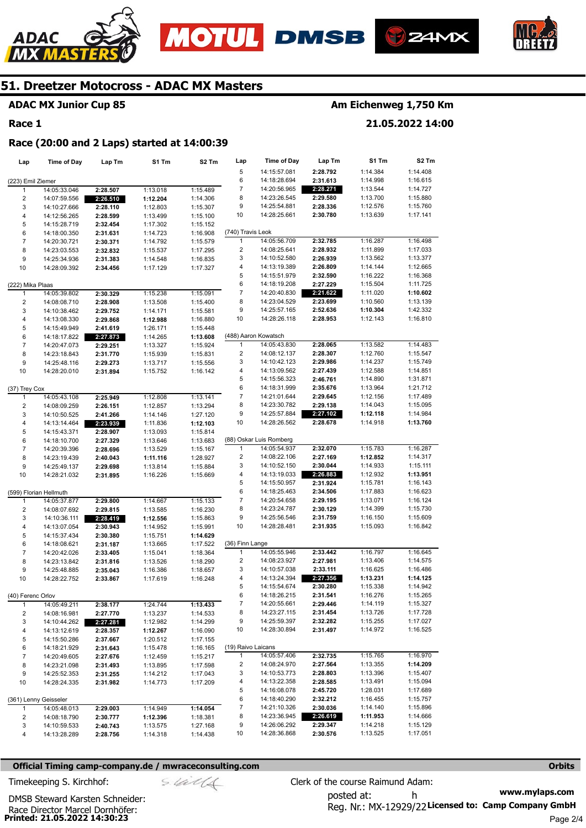







## **ADAC MX Junior Cup 85**

#### **Race 1**

## **Am Eichenweg 1,750 Km**

**21.05.2022 14:00** 

#### **Race (20:00 and 2 Laps) started at 14:00:39**

| Lap                 | Time of Day                  | Lap Tm               | S1 Tm                | S2 Tm                | Lap                | Time of Day                          | Lap Tm               | S1 Tm                | S <sub>2</sub> Tm    |
|---------------------|------------------------------|----------------------|----------------------|----------------------|--------------------|--------------------------------------|----------------------|----------------------|----------------------|
|                     |                              |                      |                      |                      | 5                  | 14:15:57.081                         | 2:28.792             | 1:14.384             | 1:14.408             |
| (223) Emil Ziemer   |                              |                      |                      |                      | 6                  | 14:18:28.694                         | 2:31.613             | 1:14.998             | 1:16.615             |
| 1                   | 14:05:33.046                 | 2:28.507             | 1:13.018             | 1:15.489             | 7                  | 14:20:56.965                         | 2:28.271             | 1:13.544             | 1:14.727             |
| 2                   | 14:07:59.556                 | 2:26.510             | 1:12.204             | 1:14.306             | 8                  | 14:23:26.545                         | 2:29.580             | 1:13.700             | 1:15.880             |
| 3                   | 14:10:27.666                 | 2:28.110             | 1:12.803             | 1:15.307             | 9                  | 14:25:54.881                         | 2:28.336             | 1:12.576             | 1:15.760             |
| 4                   | 14:12:56.265                 | 2:28.599             | 1:13.499             | 1:15.100             | 10                 | 14:28:25.661                         | 2:30.780             | 1:13.639             | 1:17.141             |
| 5                   | 14:15:28.719                 | 2:32.454             | 1:17.302             | 1:15.152             |                    |                                      |                      |                      |                      |
| 6                   | 14:18:00.350                 | 2:31.631             | 1:14.723             | 1:16.908             | (740) Travis Leok  |                                      |                      |                      |                      |
| $\overline{7}$      | 14:20:30.721                 | 2:30.371             | 1:14.792             | 1:15.579             | 1                  | 14:05:56.709                         | 2:32.785             | 1:16.287             | 1:16.498             |
| 8                   | 14:23:03.553                 | 2:32.832             | 1:15.537             | 1:17.295             | 2                  | 14:08:25.641                         | 2:28.932             | 1:11.899             | 1:17.033             |
| 9                   | 14:25:34.936                 | 2:31.383             | 1:14.548             | 1:16.835             | 3                  | 14:10:52.580                         | 2:26.939             | 1:13.562             | 1:13.377             |
| 10                  | 14:28:09.392                 | 2:34.456             | 1:17.129             | 1:17.327             | 4                  | 14:13:19.389                         | 2:26.809             | 1:14.144             | 1:12.665             |
|                     |                              |                      |                      |                      | 5                  | 14:15:51.979                         | 2:32.590             | 1:16.222             | 1:16.368             |
| (222) Mika Plaas    |                              |                      |                      |                      | 6                  | 14:18:19.208                         | 2:27.229             | 1:15.504             | 1:11.725             |
| 1                   | 14:05:39.802                 | 2:30.329             | 1:15.238             | 1:15.091             | 7                  | 14:20:40.830                         | 2:21.622             | 1:11.020             | 1:10.602             |
| $\overline{c}$      | 14:08:08.710                 | 2:28.908             | 1:13.508             | 1:15.400             | 8                  | 14:23:04.529                         | 2:23.699             | 1:10.560             | 1:13.139             |
| 3                   | 14:10:38.462                 | 2:29.752             | 1:14.171             | 1:15.581             | 9                  | 14:25:57.165                         | 2:52.636             | 1:10.304             | 1:42.332             |
| 4                   | 14:13:08.330                 | 2:29.868             | 1:12.988             | 1:16.880             | 10                 | 14:28:26.118                         | 2:28.953             | 1:12.143             | 1:16.810             |
| 5                   | 14:15:49.949                 | 2:41.619             | 1:26.171             | 1:15.448             |                    |                                      |                      |                      |                      |
| 6                   | 14:18:17.822                 | 2:27.873             | 1:14.265             | 1:13.608             | 1                  | (488) Aaron Kowatsch<br>14:05:43.830 | 2:28.065             | 1:13.582             |                      |
| $\overline{7}$<br>8 | 14:20:47.073                 | 2:29.251             | 1:13.327             | 1:15.924             | $\overline{2}$     | 14:08:12.137                         | 2:28.307             | 1:12.760             | 1:14.483<br>1:15.547 |
| 9                   | 14:23:18.843                 | 2:31.770             | 1:15.939             | 1:15.831             | 3                  | 14:10:42.123                         | 2:29.986             | 1:14.237             | 1:15.749             |
| 10                  | 14:25:48.116<br>14:28:20.010 | 2:29.273<br>2:31.894 | 1:13.717<br>1:15.752 | 1:15.556<br>1:16.142 | 4                  | 14:13:09.562                         | 2:27.439             | 1:12.588             | 1:14.851             |
|                     |                              |                      |                      |                      | 5                  | 14:15:56.323                         | 2:46.761             | 1:14.890             | 1:31.871             |
| (37) Trey Cox       |                              |                      |                      |                      | 6                  | 14:18:31.999                         | 2:35.676             | 1:13.964             | 1:21.712             |
| 1                   | 14:05:43.108                 | 2:25.949             | 1:12.808             | 1:13.141             | 7                  | 14:21:01.644                         | 2:29.645             | 1:12.156             | 1:17.489             |
| 2                   | 14:08:09.259                 | 2:26.151             | 1:12.857             | 1:13.294             | 8                  | 14:23:30.782                         | 2:29.138             | 1:14.043             | 1:15.095             |
| 3                   | 14:10:50.525                 | 2:41.266             | 1:14.146             | 1:27.120             | 9                  | 14:25:57.884                         | 2:27.102             | 1:12.118             | 1:14.984             |
| 4                   | 14:13:14.464                 | 2:23.939             | 1:11.836             | 1:12.103             | 10                 | 14:28:26.562                         | 2:28.678             | 1:14.918             | 1:13.760             |
| 5                   | 14:15:43.371                 | 2:28.907             | 1:13.093             | 1:15.814             |                    |                                      |                      |                      |                      |
| 6                   | 14:18:10.700                 | 2:27.329             | 1:13.646             | 1:13.683             |                    | (88) Oskar Luis Romberg              |                      |                      |                      |
| $\overline{7}$      | 14:20:39.396                 | 2:28.696             | 1:13.529             | 1:15.167             | 1                  | 14:05:54.937                         | 2:32.070             | 1:15.783             | 1:16.287             |
| 8                   | 14:23:19.439                 | 2:40.043             | 1:11.116             | 1:28.927             | 2                  | 14:08:22.106                         | 2:27.169             | 1:12.852             | 1:14.317             |
| 9                   | 14:25:49.137                 | 2:29.698             | 1:13.814             | 1:15.884             | 3                  | 14:10:52.150                         | 2:30.044             | 1:14.933             | 1:15.111             |
| 10                  | 14:28:21.032                 | 2:31.895             | 1:16.226             | 1:15.669             | 4                  | 14:13:19.033                         | 2:26.883             | 1:12.932             | 1:13.951             |
|                     |                              |                      |                      |                      | 5                  | 14:15:50.957                         | 2:31.924             | 1:15.781             | 1:16.143             |
|                     | (599) Florian Hellmuth       |                      |                      |                      | 6                  | 14:18:25.463                         | 2:34.506             | 1:17.883             | 1:16.623             |
| 1                   | 14:05:37.877                 | 2:29.800             | 1:14.667             | 1:15.133             | 7                  | 14:20:54.658                         | 2:29.195             | 1:13.071             | 1:16.124             |
| $\overline{2}$      | 14:08:07.692                 | 2:29.815             | 1:13.585             | 1:16.230             | 8                  | 14:23:24.787                         | 2:30.129             | 1:14.399             | 1:15.730             |
| 3                   | 14:10:36.111                 | 2:28.419             | 1:12.556             | 1:15.863             | 9                  | 14:25:56.546                         | 2:31.759             | 1:16.150             | 1:15.609             |
| 4                   | 14:13:07.054                 | 2:30.943             | 1:14.952             | 1:15.991             | 10                 | 14:28:28.481                         | 2:31.935             | 1:15.093             | 1:16.842             |
| 5                   | 14:15:37.434                 | 2:30.380             | 1:15.751             | 1:14.629             |                    |                                      |                      |                      |                      |
| 6                   | 14:18:08.621                 | 2:31.187             | 1:13.665             | 1:17.522             | (36) Finn Lange    |                                      |                      |                      |                      |
| $\boldsymbol{7}$    | 14:20:42.026                 | 2:33.405             | 1:15.041             | 1:18.364             | 1                  | 14:05:55.946                         | 2:33.442             | 1:16.797             | 1:16.645             |
| 8                   | 14:23:13.842                 | 2:31.816             | 1:13.526             | 1:18.290             | 2<br>3             | 14:08:23.927<br>14:10:57.038         | 2:27.981<br>2:33.111 | 1:13.406<br>1:16.625 | 1:14.575<br>1:16.486 |
| 9<br>10             | 14:25:48.885                 | 2:35.043<br>2:33.867 | 1:16.386<br>1:17.619 | 1:18.657<br>1:16.248 | 4                  | 14:13:24.394                         | 2:27.356             | 1:13.231             | 1:14.125             |
|                     | 14:28:22.752                 |                      |                      |                      | 5                  | 14:15:54.674                         | 2:30.280             | 1:15.338             | 1:14.942             |
| (40) Ferenc Orlov   |                              |                      |                      |                      | 6                  | 14:18:26.215                         | 2:31.541             | 1:16.276             | 1:15.265             |
| 1                   | 14:05:49.211                 | 2:38.177             | 1:24.744             | 1:13.433             | 7                  | 14:20:55.661                         | 2:29.446             | 1:14.119             | 1:15.327             |
| 2                   | 14:08:16.981                 | 2:27.770             | 1:13.237             | 1:14.533             | 8                  | 14:23:27.115                         | 2:31.454             | 1:13.726             | 1:17.728             |
| 3                   | 14:10:44.262                 | 2:27.281             | 1:12.982             | 1:14.299             | 9                  | 14:25:59.397                         | 2:32.282             | 1:15.255             | 1:17.027             |
| 4                   | 14:13:12.619                 | 2:28.357             | 1:12.267             | 1:16.090             | 10                 | 14:28:30.894                         | 2:31.497             | 1:14.972             | 1:16.525             |
| 5                   | 14:15:50.286                 | 2:37.667             | 1:20.512             | 1:17.155             |                    |                                      |                      |                      |                      |
| 6                   | 14:18:21.929                 | 2:31.643             | 1:15.478             | 1:16.165             | (19) Raivo Laicans |                                      |                      |                      |                      |
| 7                   | 14:20:49.605                 | 2:27.676             | 1:12.459             | 1:15.217             | 1                  | 14:05:57.406                         | 2:32.735             | 1:15.765             | 1:16.970             |
| 8                   | 14:23:21.098                 | 2:31.493             | 1:13.895             | 1:17.598             | 2                  | 14:08:24.970                         | 2:27.564             | 1:13.355             | 1:14.209             |
| 9                   | 14:25:52.353                 | 2:31.255             | 1:14.212             | 1:17.043             | 3                  | 14:10:53.773                         | 2:28.803             | 1:13.396             | 1:15.407             |
| 10                  | 14:28:24.335                 | 2:31.982             | 1:14.773             | 1:17.209             | 4                  | 14:13:22.358                         | 2:28.585             | 1:13.491             | 1:15.094             |
|                     |                              |                      |                      |                      | 5                  | 14:16:08.078                         | 2:45.720             | 1:28.031             | 1:17.689             |
|                     | (361) Lenny Geisseler        |                      |                      |                      | 6                  | 14:18:40.290                         | 2:32.212             | 1:16.455             | 1:15.757             |
| $\mathbf{1}$        | 14:05:48.013                 | 2:29.003             | 1:14.949             | 1:14.054             | 7                  | 14:21:10.326                         | 2:30.036             | 1:14.140             | 1:15.896             |
| 2                   | 14:08:18.790                 | 2:30.777             | 1:12.396             | 1:18.381             | 8                  | 14:23:36.945                         | 2:26.619             | 1:11.953             | 1:14.666             |
| 3                   | 14:10:59.533                 | 2:40.743             | 1:13.575             | 1:27.168             | 9                  | 14:26:06.292                         | 2:29.347             | 1:14.218             | 1:15.129             |
| 4                   | 14:13:28.289                 | 2:28.756             | 1:14.318             | 1:14.438             | 10                 | 14:28:36.868                         | 2:30.576             | 1:13.525             | 1:17.051             |

#### **Official Timing camp-company.de / mwraceconsulting.com <b>Orbits and Company.de Company** orbits **Orbits Orbits**

**Printed: 21.05.2022 14:30:23**  Race Director Marcel Dornhöfer:

DMSB Steward Karsten Schneider:

**www.mylaps.com**  Reg. Nr.: MX-12929/22 Licensed to: Camp Company GmbH posted at: h Timekeeping S. Kirchhof:  $\frac{1}{2}$  Clerk of the course Raimund Adam: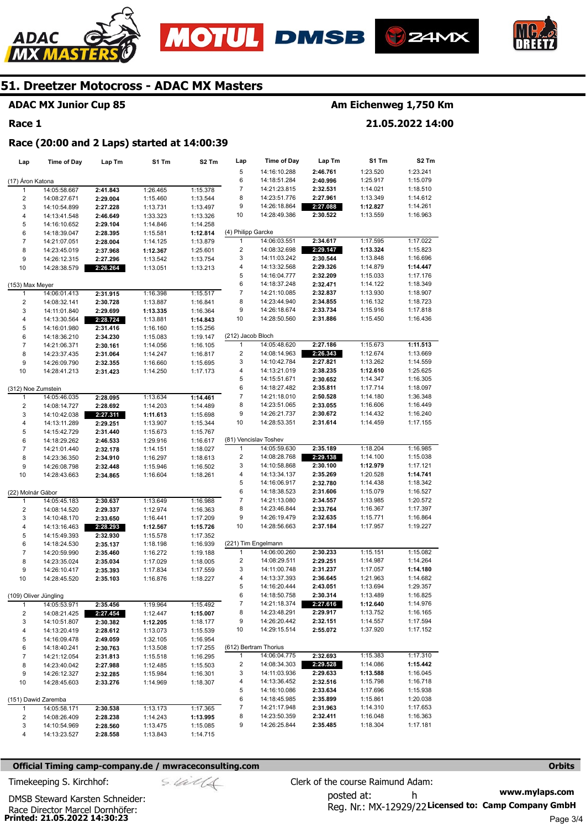







## **ADAC MX Junior Cup 85**

#### **Race 1**

## **Am Eichenweg 1,750 Km**

**21.05.2022 14:00** 

#### **Race (20:00 and 2 Laps) started at 14:00:39**

| Lap                     | <b>Time of Day</b>    | Lap Tm   | S1 Tm    | S2 Tm    | Lap                     | Time of Day           | Lap Tm   | S1 Tm    | S2 Tm    |
|-------------------------|-----------------------|----------|----------|----------|-------------------------|-----------------------|----------|----------|----------|
|                         |                       |          |          |          | 5                       | 14:16:10.288          | 2:46.761 | 1:23.520 | 1:23.241 |
| (17) Aron Katona        |                       |          |          |          | 6                       | 14:18:51.284          | 2:40.996 | 1:25.917 | 1:15.079 |
| 1                       | 14:05:58.667          | 2:41.843 | 1:26.465 | 1:15.378 | $\overline{7}$          | 14:21:23.815          | 2:32.531 | 1:14.021 | 1:18.510 |
| 2                       | 14:08:27.671          | 2:29.004 | 1:15.460 | 1:13.544 | 8                       | 14:23:51.776          | 2:27.961 | 1:13.349 | 1:14.612 |
| 3                       | 14:10:54.899          | 2:27.228 | 1:13.731 | 1:13.497 | 9                       | 14:26:18.864          | 2:27.088 | 1:12.827 | 1:14.261 |
| 4                       | 14:13:41.548          | 2:46.649 | 1:33.323 | 1:13.326 | 10                      | 14:28:49.386          | 2:30.522 | 1:13.559 | 1:16.963 |
| 5                       | 14:16:10.652          | 2:29.104 | 1:14.846 | 1:14.258 |                         |                       |          |          |          |
| 6                       | 14:18:39.047          | 2:28.395 | 1:15.581 | 1:12.814 | (4) Philipp Garcke      |                       |          |          |          |
| $\overline{7}$          | 14:21:07.051          | 2:28.004 | 1:14.125 | 1:13.879 | 1                       | 14:06:03.551          | 2:34.617 | 1:17.595 | 1:17.022 |
| 8                       | 14:23:45.019          | 2:37.968 | 1:12.367 | 1:25.601 | $\overline{c}$          | 14:08:32.698          | 2:29.147 | 1:13.324 | 1:15.823 |
| 9                       | 14:26:12.315          | 2:27.296 | 1:13.542 | 1:13.754 | 3                       | 14:11:03.242          | 2:30.544 | 1:13.848 | 1:16.696 |
| 10                      | 14:28:38.579          | 2:26.264 | 1:13.051 | 1:13.213 | 4                       | 14:13:32.568          | 2:29.326 | 1:14.879 | 1:14.447 |
|                         |                       |          |          |          | 5                       | 14:16:04.777          | 2:32.209 | 1:15.033 | 1:17.176 |
| (153) Max Meyer         |                       |          |          |          | 6                       | 14:18:37.248          | 2:32.471 | 1:14.122 | 1:18.349 |
| 1                       | 14:06:01.413          | 2:31.915 | 1:16.398 | 1:15.517 | 7                       | 14:21:10.085          | 2:32.837 | 1:13.930 | 1:18.907 |
| $\overline{\mathbf{c}}$ | 14:08:32.141          | 2:30.728 | 1:13.887 | 1:16.841 | 8                       | 14:23:44.940          | 2:34.855 | 1:16.132 | 1:18.723 |
| 3                       | 14:11:01.840          | 2:29.699 | 1:13.335 | 1:16.364 | 9                       | 14:26:18.674          | 2:33.734 | 1:15.916 | 1:17.818 |
| 4                       | 14:13:30.564          | 2:28.724 | 1:13.881 | 1:14.843 | 10                      | 14:28:50.560          | 2:31.886 | 1:15.450 | 1:16.436 |
| 5                       | 14:16:01.980          | 2:31.416 | 1:16.160 | 1:15.256 |                         |                       |          |          |          |
| 6                       | 14:18:36.210          | 2:34.230 | 1:15.083 | 1:19.147 | (212) Jacob Bloch       |                       |          |          |          |
| $\boldsymbol{7}$        | 14:21:06.371          | 2:30.161 | 1:14.056 | 1:16.105 | 1                       | 14:05:48.620          | 2:27.186 | 1:15.673 | 1:11.513 |
| 8                       | 14:23:37.435          | 2:31.064 | 1:14.247 | 1:16.817 | 2                       | 14:08:14.963          | 2:26.343 | 1:12.674 | 1:13.669 |
| 9                       | 14:26:09.790          | 2:32.355 | 1:16.660 | 1:15.695 | 3                       | 14:10:42.784          | 2:27.821 | 1:13.262 | 1:14.559 |
| 10                      | 14:28:41.213          | 2:31.423 | 1:14.250 | 1:17.173 | 4                       | 14:13:21.019          | 2:38.235 | 1:12.610 | 1:25.625 |
|                         |                       |          |          |          | 5                       | 14:15:51.671          | 2:30.652 | 1:14.347 | 1:16.305 |
| (312) Noe Zumstein      |                       |          |          |          | 6                       | 14:18:27.482          | 2:35.811 | 1:17.714 | 1:18.097 |
| $\mathbf{1}$            | 14:05:46.035          | 2:28.095 | 1:13.634 | 1:14.461 | $\overline{7}$          | 14:21:18.010          | 2:50.528 | 1:14.180 | 1:36.348 |
| $\overline{\mathbf{c}}$ | 14:08:14.727          | 2:28.692 | 1:14.203 | 1:14.489 | 8                       | 14:23:51.065          | 2:33.055 | 1:16.606 | 1:16.449 |
| 3                       | 14:10:42.038          | 2:27.311 | 1:11.613 | 1:15.698 | 9                       | 14:26:21.737          | 2:30.672 | 1:14.432 | 1:16.240 |
| 4                       | 14:13:11.289          | 2:29.251 | 1:13.907 | 1:15.344 | 10                      | 14:28:53.351          | 2:31.614 | 1:14.459 | 1:17.155 |
| 5                       | 14:15:42.729          | 2:31.440 | 1:15.673 | 1:15.767 |                         |                       |          |          |          |
| 6                       | 14:18:29.262          | 2:46.533 | 1:29.916 | 1:16.617 |                         | (81) Vencislav Toshev |          |          |          |
| $\overline{7}$          | 14:21:01.440          | 2:32.178 | 1:14.151 | 1:18.027 | 1                       | 14:05:59.630          | 2:35.189 | 1:18.204 | 1:16.985 |
| 8                       | 14:23:36.350          | 2:34.910 | 1:16.297 | 1:18.613 | $\overline{\mathbf{c}}$ | 14:08:28.768          | 2:29.138 | 1:14.100 | 1:15.038 |
| 9                       | 14:26:08.798          | 2:32.448 | 1:15.946 | 1:16.502 | 3                       | 14:10:58.868          | 2:30.100 | 1:12.979 | 1:17.121 |
| 10                      | 14:28:43.663          | 2:34.865 | 1:16.604 | 1:18.261 | 4                       | 14:13:34.137          | 2:35.269 | 1:20.528 | 1:14.741 |
|                         |                       |          |          |          | 5                       | 14:16:06.917          | 2:32.780 | 1:14.438 | 1:18.342 |
| (22) Molnár Gábor       |                       |          |          |          | 6                       | 14:18:38.523          | 2:31.606 | 1:15.079 | 1:16.527 |
| 1                       | 14:05:45.183          | 2:30.637 | 1:13.649 | 1:16.988 | 7                       | 14:21:13.080          | 2:34.557 | 1:13.985 | 1:20.572 |
| $\overline{\mathbf{c}}$ | 14:08:14.520          | 2:29.337 | 1:12.974 | 1:16.363 | 8                       | 14:23:46.844          | 2:33.764 | 1:16.367 | 1:17.397 |
| 3                       | 14:10:48.170          | 2:33.650 | 1:16.441 | 1:17.209 | 9                       | 14:26:19.479          | 2:32.635 | 1:15.771 | 1:16.864 |
| 4                       | 14:13:16.463          | 2:28.293 | 1:12.567 | 1:15.726 | 10                      | 14:28:56.663          | 2:37.184 | 1:17.957 | 1:19.227 |
| 5                       | 14:15:49.393          | 2:32.930 | 1:15.578 | 1:17.352 |                         |                       |          |          |          |
| 6                       | 14:18:24.530          | 2:35.137 | 1:18.198 | 1:16.939 |                         | (221) Tim Engelmann   |          |          |          |
| $\overline{7}$          | 14:20:59.990          | 2:35.460 | 1:16.272 | 1:19.188 | 1                       | 14:06:00.260          | 2:30.233 | 1:15.151 | 1:15.082 |
| 8                       | 14:23:35.024          | 2:35.034 | 1:17.029 | 1:18.005 | $\overline{\mathbf{c}}$ | 14:08:29.511          | 2:29.251 | 1:14.987 | 1:14.264 |
| 9                       | 14:26:10.417          | 2:35.393 | 1:17.834 | 1:17.559 | 3                       | 14:11:00.748          | 2:31.237 | 1:17.057 | 1:14.180 |
| 10                      | 14:28:45.520          | 2:35.103 | 1:16.876 | 1:18.227 | 4                       | 14:13:37.393          | 2:36.645 | 1:21.963 | 1:14.682 |
|                         |                       |          |          |          | 5                       | 14:16:20.444          | 2:43.051 | 1:13.694 | 1:29.357 |
|                         | (109) Oliver Jüngling |          |          |          | 6                       | 14:18:50.758          | 2:30.314 | 1:13.489 | 1:16.825 |
| $\mathbf{1}$            | 14:05:53.971          | 2:35.456 | 1:19.964 | 1:15.492 | $\overline{7}$          | 14:21:18.374          | 2:27.616 | 1:12.640 | 1:14.976 |
| 2                       | 14:08:21.425          | 2:27.454 | 1:12.447 | 1:15.007 | 8                       | 14:23:48.291          | 2:29.917 | 1:13.752 | 1:16.165 |
| 3                       | 14:10:51.807          | 2:30.382 | 1:12.205 | 1:18.177 | 9                       | 14:26:20.442          | 2:32.151 | 1:14.557 | 1:17.594 |
| 4                       | 14:13:20.419          | 2:28.612 | 1:13.073 | 1:15.539 | 10                      | 14:29:15.514          | 2:55.072 | 1:37.920 | 1:17.152 |
| 5                       | 14:16:09.478          | 2:49.059 | 1:32.105 | 1:16.954 |                         |                       |          |          |          |
| 6                       | 14:18:40.241          | 2:30.763 | 1:13.508 | 1:17.255 |                         | (612) Bertram Thorius |          |          |          |
| $\overline{7}$          | 14:21:12.054          | 2:31.813 | 1:15.518 | 1:16.295 | $\mathbf{1}$            | 14:06:04.775          | 2:32.693 | 1:15.383 | 1:17.310 |
| 8                       | 14:23:40.042          | 2:27.988 | 1:12.485 | 1:15.503 | $\overline{\mathbf{c}}$ | 14:08:34.303          | 2:29.528 | 1:14.086 | 1:15.442 |
| 9                       | 14:26:12.327          | 2:32.285 | 1:15.984 | 1:16.301 | 3                       | 14:11:03.936          | 2:29.633 | 1:13.588 | 1:16.045 |
| 10                      | 14:28:45.603          | 2:33.276 | 1:14.969 | 1:18.307 | 4                       | 14:13:36.452          | 2:32.516 | 1:15.798 | 1:16.718 |
|                         |                       |          |          |          | 5                       | 14:16:10.086          | 2:33.634 | 1:17.696 | 1:15.938 |
|                         | (151) Dawid Zaremba   |          |          |          | 6                       | 14:18:45.985          | 2:35.899 | 1:15.861 | 1:20.038 |
| $\mathbf{1}$            | 14:05:58.171          | 2:30.538 | 1:13.173 | 1:17.365 | 7                       | 14:21:17.948          | 2:31.963 | 1:14.310 | 1:17.653 |
| 2                       | 14:08:26.409          | 2:28.238 | 1:14.243 | 1:13.995 | 8                       | 14:23:50.359          | 2:32.411 | 1:16.048 | 1:16.363 |
| 3                       | 14:10:54.969          | 2:28.560 | 1:13.475 | 1:15.085 | 9                       | 14:26:25.844          | 2:35.485 | 1:18.304 | 1:17.181 |
| 4                       | 14:13:23.527          | 2:28.558 | 1:13.843 | 1:14.715 |                         |                       |          |          |          |

#### **Official Timing camp-company.de / mwraceconsulting.com <b>Orbits and Company.de Company** orbits **Orbits Orbits**

**www.mylaps.com**  Reg. Nr.: MX-12929/22 Licensed to: Camp Company GmbH posted at: h Timekeeping S. Kirchhof:  $\frac{1}{2}$  Clerk of the course Raimund Adam:

**Printed: 21.05.2022 14:30:23**  Race Director Marcel Dornhöfer: DMSB Steward Karsten Schneider: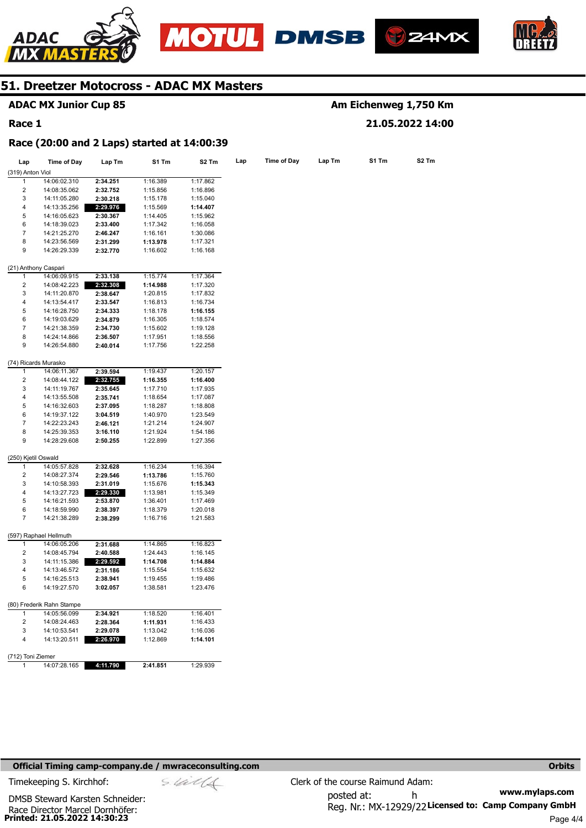







## **ADAC MX Junior Cup 85**

#### **Race 1**

## **Am Eichenweg 1,750 Km 21.05.2022 14:00**

#### **Race (20:00 and 2 Laps) started at 14:00:39**

| Lap                     | <b>Time of Day</b>        | Lap Tm   | S1 Tm    | S2 Tm    | Lap | <b>Time of Day</b> | Lap Tm | S1 Tm |  |
|-------------------------|---------------------------|----------|----------|----------|-----|--------------------|--------|-------|--|
| (319) Anton Viol        |                           |          |          |          |     |                    |        |       |  |
| 1                       | 14:06:02.310              | 2:34.251 | 1:16.389 | 1:17.862 |     |                    |        |       |  |
| 2                       | 14:08:35.062              | 2:32.752 | 1:15.856 | 1:16.896 |     |                    |        |       |  |
| 3                       | 14:11:05.280              | 2:30.218 | 1:15.178 | 1:15.040 |     |                    |        |       |  |
| $\overline{4}$          | 14:13:35.256              | 2:29.976 | 1:15.569 | 1:14.407 |     |                    |        |       |  |
| 5                       | 14:16:05.623              | 2:30.367 | 1:14.405 | 1:15.962 |     |                    |        |       |  |
| 6                       | 14:18:39.023              | 2:33.400 | 1:17.342 | 1:16.058 |     |                    |        |       |  |
| $\overline{7}$          | 14:21:25.270              | 2:46.247 | 1:16.161 | 1:30.086 |     |                    |        |       |  |
| 8                       | 14:23:56.569              | 2:31.299 | 1:13.978 | 1:17.321 |     |                    |        |       |  |
| 9                       | 14:26:29.339              | 2:32.770 | 1:16.602 | 1:16.168 |     |                    |        |       |  |
|                         |                           |          |          |          |     |                    |        |       |  |
|                         | (21) Anthony Caspari      |          |          |          |     |                    |        |       |  |
| 1                       | 14:06:09.915              | 2:33.138 | 1:15.774 | 1:17.364 |     |                    |        |       |  |
| $\overline{2}$          | 14:08:42.223              | 2:32.308 | 1:14.988 | 1:17.320 |     |                    |        |       |  |
| 3                       | 14:11:20.870              | 2:38.647 | 1:20.815 | 1:17.832 |     |                    |        |       |  |
| 4                       | 14:13:54.417              | 2:33.547 | 1:16.813 | 1:16.734 |     |                    |        |       |  |
| 5                       | 14:16:28.750              | 2:34.333 | 1:18.178 | 1:16.155 |     |                    |        |       |  |
| 6                       | 14:19:03.629              | 2:34.879 | 1:16.305 | 1:18.574 |     |                    |        |       |  |
| $\overline{7}$          | 14:21:38.359              | 2:34.730 | 1:15.602 | 1:19.128 |     |                    |        |       |  |
| 8                       | 14:24:14.866              | 2:36.507 | 1:17.951 | 1:18.556 |     |                    |        |       |  |
| 9                       | 14:26:54.880              | 2:40.014 | 1:17.756 | 1:22.258 |     |                    |        |       |  |
|                         | (74) Ricards Murasko      |          |          |          |     |                    |        |       |  |
| 1                       | 14:06:11.367              | 2:39.594 | 1:19.437 | 1:20.157 |     |                    |        |       |  |
| $\overline{2}$          | 14:08:44.122              | 2:32.755 | 1:16.355 | 1:16.400 |     |                    |        |       |  |
| 3                       | 14:11:19.767              | 2:35.645 | 1:17.710 | 1:17.935 |     |                    |        |       |  |
| 4                       | 14:13:55.508              | 2:35.741 | 1:18.654 | 1:17.087 |     |                    |        |       |  |
| 5                       | 14:16:32.603              | 2:37.095 | 1:18.287 | 1:18.808 |     |                    |        |       |  |
| 6                       |                           | 3:04.519 | 1:40.970 |          |     |                    |        |       |  |
| 7                       | 14:19:37.122              |          |          | 1:23.549 |     |                    |        |       |  |
|                         | 14:22:23.243              | 2:46.121 | 1:21.214 | 1:24.907 |     |                    |        |       |  |
| 8                       | 14:25:39.353              | 3:16.110 | 1:21.924 | 1:54.186 |     |                    |        |       |  |
| 9                       | 14:28:29.608              | 2:50.255 | 1:22.899 | 1:27.356 |     |                    |        |       |  |
| (250) Kjetil Oswald     |                           |          |          |          |     |                    |        |       |  |
| 1                       | 14:05:57.828              | 2:32.628 | 1:16.234 | 1:16.394 |     |                    |        |       |  |
| $\overline{2}$          | 14:08:27.374              | 2:29.546 | 1:13.786 | 1:15.760 |     |                    |        |       |  |
| 3                       | 14:10:58.393              | 2:31.019 | 1:15.676 | 1:15.343 |     |                    |        |       |  |
| 4                       | 14:13:27.723              | 2:29.330 | 1:13.981 | 1:15.349 |     |                    |        |       |  |
| 5                       | 14:16:21.593              | 2:53.870 | 1:36.401 | 1:17.469 |     |                    |        |       |  |
| 6                       | 14:18:59.990              | 2:38.397 | 1:18.379 | 1:20.018 |     |                    |        |       |  |
| $\overline{7}$          | 14:21:38.289              | 2:38.299 | 1:16.716 | 1:21.583 |     |                    |        |       |  |
|                         | (597) Raphael Hellmuth    |          |          |          |     |                    |        |       |  |
| 1                       | 14:06:05.206              | 2:31.688 | 1:14.865 | 1:16.823 |     |                    |        |       |  |
| $\overline{2}$          | 14:08:45.794              | 2:40.588 | 1:24.443 | 1:16.145 |     |                    |        |       |  |
| 3                       | 14:11:15.386              | 2:29.592 | 1:14.708 | 1:14.884 |     |                    |        |       |  |
| 4                       | 14:13:46.572              | 2:31.186 | 1:15.554 | 1:15.632 |     |                    |        |       |  |
| 5                       | 14:16:25.513              | 2:38.941 |          |          |     |                    |        |       |  |
| 6                       |                           |          | 1:19.455 | 1:19.486 |     |                    |        |       |  |
|                         | 14:19:27.570              | 3:02.057 | 1:38.581 | 1:23.476 |     |                    |        |       |  |
|                         | (80) Frederik Rahn Stampe |          |          |          |     |                    |        |       |  |
| $\mathbf{1}$            | 14:05:56.099              | 2:34.921 | 1:18.520 | 1:16.401 |     |                    |        |       |  |
| $\overline{\mathbf{c}}$ | 14:08:24.463              | 2:28.364 | 1:11.931 | 1:16.433 |     |                    |        |       |  |
| 3                       | 14:10:53.541              | 2:29.078 | 1:13.042 | 1:16.036 |     |                    |        |       |  |
| $\overline{4}$          | 14:13:20.511              | 2:26.970 | 1:12.869 | 1:14.101 |     |                    |        |       |  |
| (712) Toni Ziemer       |                           |          |          |          |     |                    |        |       |  |
| 1                       | 14:07:28.165              | 4:11.790 | 2:41.851 | 1:29.939 |     |                    |        |       |  |
|                         |                           |          |          |          |     |                    |        |       |  |

#### **Official Timing camp-company.de / mwraceconsulting.com <b>Orbits and Company.de Company** orbits **Orbits Orbits**

**www.mylaps.com**  Reg. Nr.: MX-12929/22 Licensed to: Camp Company GmbH posted at: h Timekeeping S. Kirchhof:  $\le \& \& \& \& \& \& \& \& \qquad$  Clerk of the course Raimund Adam:

**Printed: 21.05.2022 14:30:23**  Race Director Marcel Dornhöfer: DMSB Steward Karsten Schneider: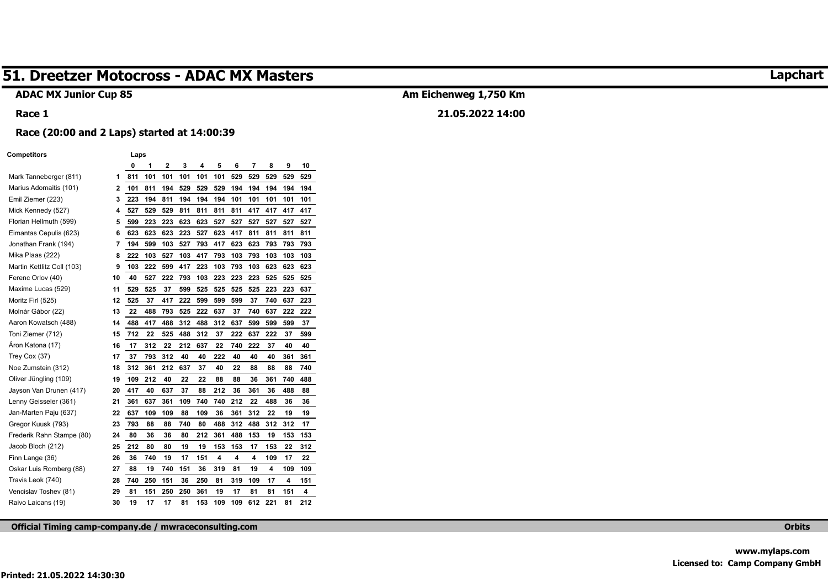#### **ADAC MX Junior Cup 85**

## **Am Eichenweg 1,750 Km**

#### **21.05.2022 14:00**

#### **Race (20:00 and 2 Laps) started at 14:00:39**

#### **Competitors Laps**

**Race 1** 

|                            |    | 0   | 1   | $\mathbf 2$ | 3   | 4   | 5   | 6   | 7   | 8   | 9   | 10  |
|----------------------------|----|-----|-----|-------------|-----|-----|-----|-----|-----|-----|-----|-----|
| Mark Tanneberger (811)     | 1  | 811 | 101 | 101         | 101 | 101 | 101 | 529 | 529 | 529 | 529 | 529 |
| Marius Adomaitis (101)     | 2  | 101 | 811 | 194         | 529 | 529 | 529 | 194 | 194 | 194 | 194 | 194 |
| Emil Ziemer (223)          | 3  | 223 | 194 | 811         | 194 | 194 | 194 | 101 | 101 | 101 | 101 | 101 |
| Mick Kennedy (527)         | 4  | 527 | 529 | 529         | 811 | 811 | 811 | 811 | 417 | 417 | 417 | 417 |
| Florian Hellmuth (599)     | 5  | 599 | 223 | 223         | 623 | 623 | 527 | 527 | 527 | 527 | 527 | 527 |
| Eimantas Cepulis (623)     | 6  | 623 | 623 | 623         | 223 | 527 | 623 | 417 | 811 | 811 | 811 | 811 |
| Jonathan Frank (194)       | 7  | 194 | 599 | 103         | 527 | 793 | 417 | 623 | 623 | 793 | 793 | 793 |
| Mika Plaas (222)           | 8  | 222 | 103 | 527         | 103 | 417 | 793 | 103 | 793 | 103 | 103 | 103 |
| Martin Kettlitz Coll (103) | 9  | 103 | 222 | 599         | 417 | 223 | 103 | 793 | 103 | 623 | 623 | 623 |
| Ferenc Orlov (40)          | 10 | 40  | 527 | 222         | 793 | 103 | 223 | 223 | 223 | 525 | 525 | 525 |
| Maxime Lucas (529)         | 11 | 529 | 525 | 37          | 599 | 525 | 525 | 525 | 525 | 223 | 223 | 637 |
| Moritz Firl (525)          | 12 | 525 | 37  | 417         | 222 | 599 | 599 | 599 | 37  | 740 | 637 | 223 |
| Molnár Gábor (22)          | 13 | 22  | 488 | 793         | 525 | 222 | 637 | 37  | 740 | 637 | 222 | 222 |
| Aaron Kowatsch (488)       | 14 | 488 | 417 | 488         | 312 | 488 | 312 | 637 | 599 | 599 | 599 | 37  |
| Toni Ziemer (712)          | 15 | 712 | 22  | 525         | 488 | 312 | 37  | 222 | 637 | 222 | 37  | 599 |
| Åron Katona (17)           | 16 | 17  | 312 | 22          | 212 | 637 | 22  | 740 | 222 | 37  | 40  | 40  |
| Trey Cox (37)              | 17 | 37  | 793 | 312         | 40  | 40  | 222 | 40  | 40  | 40  | 361 | 361 |
| Noe Zumstein (312)         | 18 | 312 | 361 | 212         | 637 | 37  | 40  | 22  | 88  | 88  | 88  | 740 |
| Oliver Jüngling (109)      | 19 | 109 | 212 | 40          | 22  | 22  | 88  | 88  | 36  | 361 | 740 | 488 |
| Jayson Van Drunen (417)    | 20 | 417 | 40  | 637         | 37  | 88  | 212 | 36  | 361 | 36  | 488 | 88  |
| Lenny Geisseler (361)      | 21 | 361 | 637 | 361         | 109 | 740 | 740 | 212 | 22  | 488 | 36  | 36  |
| Jan-Marten Paju (637)      | 22 | 637 | 109 | 109         | 88  | 109 | 36  | 361 | 312 | 22  | 19  | 19  |
| Gregor Kuusk (793)         | 23 | 793 | 88  | 88          | 740 | 80  | 488 | 312 | 488 | 312 | 312 | 17  |
| Frederik Rahn Stampe (80)  | 24 | 80  | 36  | 36          | 80  | 212 | 361 | 488 | 153 | 19  | 153 | 153 |
| Jacob Bloch (212)          | 25 | 212 | 80  | 80          | 19  | 19  | 153 | 153 | 17  | 153 | 22  | 312 |
| Finn Lange (36)            | 26 | 36  | 740 | 19          | 17  | 151 | 4   | 4   | 4   | 109 | 17  | 22  |
| Oskar Luis Romberg (88)    | 27 | 88  | 19  | 740         | 151 | 36  | 319 | 81  | 19  | 4   | 109 | 109 |
| Travis Leok (740)          | 28 | 740 | 250 | 151         | 36  | 250 | 81  | 319 | 109 | 17  | 4   | 151 |
| Vencislav Toshev (81)      | 29 | 81  | 151 | 250         | 250 | 361 | 19  | 17  | 81  | 81  | 151 | 4   |
| Raivo Laicans (19)         | 30 | 19  | 17  | 17          | 81  | 153 | 109 | 109 | 612 | 221 | 81  | 212 |

**Official Timing camp-company.de / mwraceconsulting.com Orbits** 

## **Lapchart**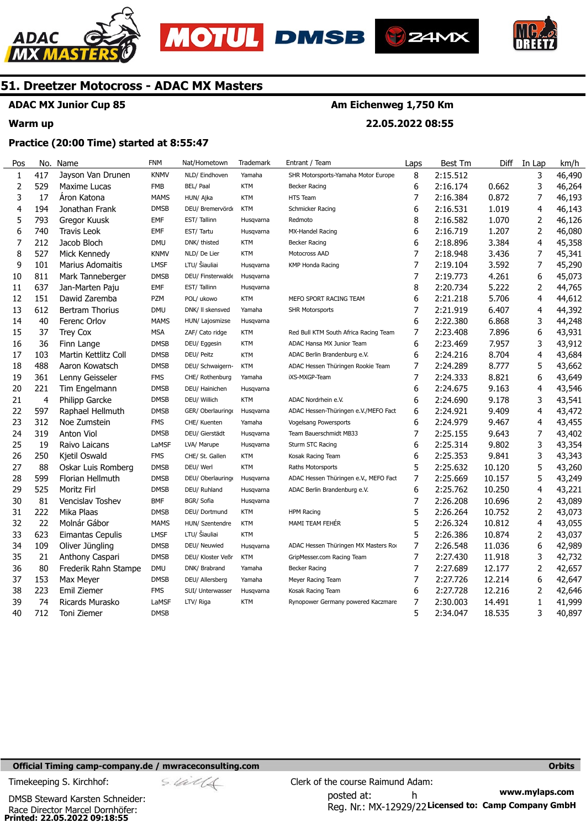





**22.05.2022 08:55** 



## **51. Dreetzer Motocross - ADAC MX Masters**

## **ADAC MX Junior Cup 85**

#### **Warm up**

### **Practice (20:00 Time) started at 8:55:47**

| Pos          | No.            | Name                    | <b>FNM</b>  | Nat/Hometown      | Trademark  | Entrant / Team                        | Laps           | <b>Best Tm</b> | Diff   | In Lap         | km/h   |
|--------------|----------------|-------------------------|-------------|-------------------|------------|---------------------------------------|----------------|----------------|--------|----------------|--------|
| $\mathbf{1}$ | 417            | Jayson Van Drunen       | <b>KNMV</b> | NLD/ Eindhoven    | Yamaha     | SHR Motorsports-Yamaha Motor Europe   | 8              | 2:15.512       |        | 3              | 46,490 |
| $\mathbf 2$  | 529            | Maxime Lucas            | <b>FMB</b>  | BEL/ Paal         | <b>KTM</b> | <b>Becker Racing</b>                  | 6              | 2:16.174       | 0.662  | 3              | 46,264 |
| 3            | 17             | Áron Katona             | <b>MAMS</b> | HUN/ Ajka         | <b>KTM</b> | HTS Team                              | 7              | 2:16.384       | 0.872  | 7              | 46,193 |
| 4            | 194            | Jonathan Frank          | <b>DMSB</b> | DEU/ Bremervörd   | KTM        | Schmicker Racing                      | 6              | 2:16.531       | 1.019  | 4              | 46,143 |
| 5            | 793            | Gregor Kuusk            | <b>EMF</b>  | EST/Tallinn       | Husqvarna  | Redmoto                               | 8              | 2:16.582       | 1.070  | 2              | 46,126 |
| 6            | 740            | <b>Travis Leok</b>      | <b>EMF</b>  | EST/Tartu         | Husqvarna  | MX-Handel Racing                      | 6              | 2:16.719       | 1.207  | $\overline{2}$ | 46,080 |
| 7            | 212            | Jacob Bloch             | <b>DMU</b>  | DNK/ thisted      | <b>KTM</b> | <b>Becker Racing</b>                  | 6              | 2:18.896       | 3.384  | 4              | 45,358 |
| 8            | 527            | Mick Kennedy            | <b>KNMV</b> | NLD/ De Lier      | <b>KTM</b> | Motocross AAD                         | $\overline{7}$ | 2:18.948       | 3.436  | 7              | 45,341 |
| 9            | 101            | <b>Marius Adomaitis</b> | <b>LMSF</b> | LTU/ Šiauliai     | Husqvarna  | <b>KMP Honda Racing</b>               | 7              | 2:19.104       | 3.592  | 7              | 45,290 |
| 10           | 811            | Mark Tanneberger        | <b>DMSB</b> | DEU/ Finsterwalde | Husqvarna  |                                       | $\overline{7}$ | 2:19.773       | 4.261  | 6              | 45,073 |
| 11           | 637            | Jan-Marten Paju         | <b>EMF</b>  | EST/Tallinn       | Husqvarna  |                                       | 8              | 2:20.734       | 5.222  | $\overline{2}$ | 44,765 |
| 12           | 151            | Dawid Zaremba           | <b>PZM</b>  | POL/ ukowo        | <b>KTM</b> | MEFO SPORT RACING TEAM                | 6              | 2:21.218       | 5.706  | 4              | 44,612 |
| 13           | 612            | <b>Bertram Thorius</b>  | <b>DMU</b>  | DNK/ II skensved  | Yamaha     | <b>SHR Motorsports</b>                | 7              | 2:21.919       | 6.407  | 4              | 44,392 |
| 14           | 40             | Ferenc Orlov            | <b>MAMS</b> | HUN/ Lajosmizse   | Husqvarna  |                                       | 6              | 2:22.380       | 6.868  | 3              | 44,248 |
| 15           | 37             | Trey Cox                | <b>MSA</b>  | ZAF/ Cato ridge   | KTM        | Red Bull KTM South Africa Racing Team | 7              | 2:23.408       | 7.896  | 6              | 43,931 |
| 16           | 36             | Finn Lange              | <b>DMSB</b> | DEU/ Eggesin      | KTM        | ADAC Hansa MX Junior Team             | 6              | 2:23.469       | 7.957  | 3              | 43,912 |
| 17           | 103            | Martin Kettlitz Coll    | <b>DMSB</b> | DEU/ Peitz        | <b>KTM</b> | ADAC Berlin Brandenburg e.V.          | 6              | 2:24.216       | 8.704  | $\overline{4}$ | 43,684 |
| 18           | 488            | Aaron Kowatsch          | <b>DMSB</b> | DEU/ Schwaigern-  | <b>KTM</b> | ADAC Hessen Thüringen Rookie Team     | $\overline{7}$ | 2:24.289       | 8.777  | 5              | 43,662 |
| 19           | 361            | Lenny Geisseler         | <b>FMS</b>  | CHE/ Rothenburg   | Yamaha     | iXS-MXGP-Team                         | $\overline{7}$ | 2:24.333       | 8.821  | 6              | 43,649 |
| 20           | 221            | Tim Engelmann           | <b>DMSB</b> | DEU/ Hainichen    | Husqvarna  |                                       | 6              | 2:24.675       | 9.163  | 4              | 43,546 |
| 21           | $\overline{4}$ | <b>Philipp Garcke</b>   | <b>DMSB</b> | DEU/ Willich      | <b>KTM</b> | ADAC Nordrhein e.V.                   | 6              | 2:24.690       | 9.178  | 3              | 43,541 |
| 22           | 597            | Raphael Hellmuth        | <b>DMSB</b> | GER/ Oberlauring  | Husqvarna  | ADAC Hessen-Thüringen e.V./MEFO Fact  | 6              | 2:24.921       | 9.409  | 4              | 43,472 |
| 23           | 312            | Noe Zumstein            | <b>FMS</b>  | CHE/ Kuenten      | Yamaha     | Vogelsang Powersports                 | 6              | 2:24.979       | 9.467  | 4              | 43,455 |
| 24           | 319            | <b>Anton Viol</b>       | <b>DMSB</b> | DEU/ Gierstädt    | Husqvarna  | Team Bauerschmidt MB33                | $\overline{7}$ | 2:25.155       | 9.643  | 7              | 43,402 |
| 25           | 19             | Raivo Laicans           | LaMSF       | LVA/ Marupe       | Husqvarna  | Sturm STC Racing                      | 6              | 2:25.314       | 9.802  | 3              | 43,354 |
| 26           | 250            | Kjetil Oswald           | <b>FMS</b>  | CHE/ St. Gallen   | <b>KTM</b> | Kosak Racing Team                     | 6              | 2:25.353       | 9.841  | 3              | 43,343 |
| 27           | 88             | Oskar Luis Romberg      | <b>DMSB</b> | DEU/ Werl         | <b>KTM</b> | Raths Motorsports                     | 5              | 2:25.632       | 10.120 | 5              | 43,260 |
| 28           | 599            | Florian Hellmuth        | <b>DMSB</b> | DEU/ Oberlauring  | Husqvarna  | ADAC Hessen Thüringen e.V., MEFO Fact | $\overline{7}$ | 2:25.669       | 10.157 | 5              | 43,249 |
| 29           | 525            | Moritz Firl             | <b>DMSB</b> | DEU/ Ruhland      | Husqvarna  | ADAC Berlin Brandenburg e.V.          | 6              | 2:25.762       | 10.250 | 4              | 43,221 |
| 30           | 81             | <b>Vencislay Toshev</b> | <b>BMF</b>  | BGR/ Sofia        | Husqvarna  |                                       | $\overline{7}$ | 2:26.208       | 10.696 | 2              | 43,089 |
| 31           | 222            | Mika Plaas              | <b>DMSB</b> | DEU/ Dortmund     | <b>KTM</b> | <b>HPM Racing</b>                     | 5              | 2:26.264       | 10.752 | $\overline{2}$ | 43,073 |
| 32           | 22             | Molnár Gábor            | <b>MAMS</b> | HUN/ Szentendre   | KTM        | MAMI TEAM FEHÉR                       | 5              | 2:26.324       | 10.812 | 4              | 43,055 |
| 33           | 623            | Eimantas Cepulis        | <b>LMSF</b> | LTU/ Šiauliai     | <b>KTM</b> |                                       | 5              | 2:26.386       | 10.874 | 2              | 43,037 |
| 34           | 109            | Oliver Jüngling         | <b>DMSB</b> | DEU/ Neuwied      | Husqvarna  | ADAC Hessen Thüringen MX Masters Ro   | $\overline{7}$ | 2:26.548       | 11.036 | 6              | 42,989 |
| 35           | 21             | Anthony Caspari         | <b>DMSB</b> | DEU/ Kloster Veßr | <b>KTM</b> | GripMesser.com Racing Team            | 7              | 2:27.430       | 11.918 | 3              | 42,732 |
| 36           | 80             | Frederik Rahn Stampe    | <b>DMU</b>  | DNK/ Brabrand     | Yamaha     | Becker Racing                         | $\overline{7}$ | 2:27.689       | 12.177 | $\overline{2}$ | 42,657 |
| 37           | 153            | Max Meyer               | <b>DMSB</b> | DEU/ Allersberg   | Yamaha     | Meyer Racing Team                     | $\overline{7}$ | 2:27.726       | 12.214 | 6              | 42,647 |
| 38           | 223            | Emil Ziemer             | <b>FMS</b>  | SUI/ Unterwasser  | Husqvarna  | Kosak Racing Team                     | 6              | 2:27.728       | 12.216 | 2              | 42,646 |
| 39           | 74             | Ricards Murasko         | LaMSF       | LTV/ Riga         | <b>KTM</b> | Rynopower Germany powered Kaczmare    | 7              | 2:30.003       | 14.491 | 1              | 41,999 |
| 40           | 712            | Toni Ziemer             | <b>DMSB</b> |                   |            |                                       | 5              | 2:34.047       | 18.535 | 3              | 40,897 |

#### **Official Timing camp-company.de / mwraceconsulting.com <b>Orbits and Company.de Company** orbits **Orbits Orbits**

**Printed: 22.05.2022 09:18:55**  Race Director Marcel Dornhöfer: DMSB Steward Karsten Schneider:

**www.mylaps.com**  Reg. Nr.: MX-12929/22 Licensed to: Camp Company GmbH posted at: h Timekeeping S. Kirchhof:  $\le \frac{1}{2}$  Clerk of the course Raimund Adam: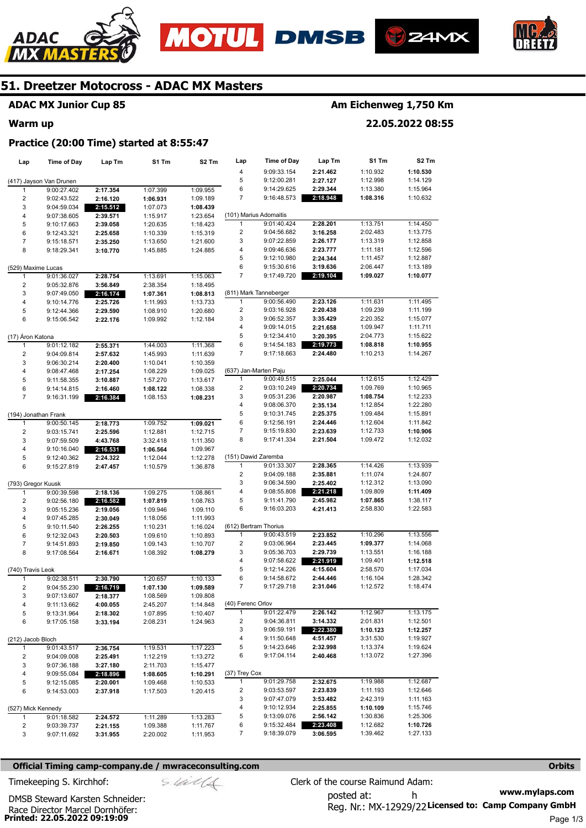







## **ADAC MX Junior Cup 85**

#### **Warm up**

## **Am Eichenweg 1,750 Km**

**22.05.2022 08:55** 

#### **Practice (20:00 Time) started at 8:55:47**

| Lap                  | <b>Time of Day</b>         | Lap Tm               | S1 Tm                | S <sub>2</sub> Tm    | Lap                     | <b>Time of Day</b>         | Lap Tm               | S1 Tm                | S <sub>2</sub> Tm    |
|----------------------|----------------------------|----------------------|----------------------|----------------------|-------------------------|----------------------------|----------------------|----------------------|----------------------|
|                      |                            |                      |                      |                      | 4                       | 9:09:33.154                | 2:21.462             | 1:10.932             | 1:10.530             |
|                      | (417) Jayson Van Drunen    |                      |                      |                      | 5                       | 9:12:00.281                | 2:27.127             | 1:12.998             | 1:14.129             |
| 1                    | 9:00:27.402                | 2:17.354             | 1:07.399             | 1:09.955             | 6                       | 9:14:29.625                | 2:29.344             | 1:13.380             | 1:15.964             |
| 2                    | 9:02:43.522                | 2:16.120             | 1:06.931             | 1:09.189             | 7                       | 9:16:48.573                | 2:18.948             | 1:08.316             | 1:10.632             |
| 3                    | 9:04:59.034                | 2:15.512             | 1:07.073             | 1:08.439             |                         |                            |                      |                      |                      |
| 4                    | 9:07:38.605                | 2:39.571             | 1:15.917             | 1:23.654             |                         | (101) Marius Adomaitis     |                      |                      |                      |
| 5                    | 9:10:17.663                | 2:39.058             | 1:20.635             | 1:18.423             | 1                       | 9:01:40.424                | 2:28.201             | 1:13.751             | 1:14.450             |
| 6                    | 9:12:43.321                | 2:25.658             | 1:10.339             | 1:15.319             | $\overline{\mathbf{c}}$ | 9:04:56.682                | 3:16.258             | 2:02.483             | 1:13.775             |
| $\overline{7}$       | 9:15:18.571                | 2:35.250             | 1:13.650             | 1:21.600             | 3                       | 9:07:22.859                | 2:26.177             | 1:13.319             | 1:12.858             |
| 8                    | 9:18:29.341                | 3:10.770             | 1:45.885             | 1:24.885             | 4                       | 9:09:46.636                | 2:23.777             | 1:11.181             | 1:12.596             |
|                      |                            |                      |                      |                      | 5                       | 9:12:10.980                | 2:24.344             | 1:11.457             | 1:12.887             |
| (529) Maxime Lucas   |                            |                      |                      |                      | 6                       | 9:15:30.616                | 3:19.636             | 2:06.447             | 1:13.189             |
| $\mathbf{1}$         | 9:01:36.027                | 2:28.754             | 1:13.691             | 1:15.063             | 7                       | 9:17:49.720                | 2:19.104             | 1:09.027             | 1:10.077             |
| $\overline{2}$       | 9:05:32.876                | 3:56.849             | 2:38.354             | 1:18.495             |                         |                            |                      |                      |                      |
| 3                    | 9:07:49.050                | 2:16.174             | 1:07.361             | 1:08.813             |                         | (811) Mark Tanneberger     |                      |                      |                      |
| 4                    | 9:10:14.776                | 2:25.726             | 1:11.993             | 1:13.733             | $\mathbf{1}$            | 9:00:56.490                | 2:23.126             | 1:11.631             | 1:11.495             |
| 5                    | 9:12:44.366                | 2:29.590             | 1:08.910             | 1:20.680             | $\overline{\mathbf{c}}$ | 9:03:16.928                | 2:20.438             | 1:09.239             | 1:11.199             |
| 6                    | 9:15:06.542                | 2:22.176             | 1:09.992             | 1:12.184             | 3                       | 9:06:52.357                | 3:35.429             | 2:20.352             | 1:15.077             |
|                      |                            |                      |                      |                      | 4                       | 9:09:14.015                | 2:21.658             | 1:09.947             | 1:11.711             |
| (17) Áron Katona     |                            |                      |                      |                      | 5                       | 9:12:34.410                | 3:20.395             | 2:04.773             | 1:15.622             |
| 1                    | 9:01:12.182                | 2:55.371             | 1:44.003             | 1:11.368             | 6<br>7                  | 9:14:54.183<br>9:17:18.663 | 2:19.773             | 1:08.818             | 1:10.955<br>1:14.267 |
| $\overline{2}$       | 9:04:09.814                | 2:57.632             | 1:45.993             | 1:11.639             |                         |                            | 2:24.480             | 1:10.213             |                      |
| 3<br>4               | 9:06:30.214                | 2:20.400             | 1:10.041             | 1:10.359             | (637) Jan-Marten Paju   |                            |                      |                      |                      |
| 5                    | 9:08:47.468<br>9:11:58.355 | 2:17.254<br>3:10.887 | 1:08.229<br>1:57.270 | 1:09.025<br>1:13.617 | 1                       | 9:00:49.515                | 2:25.044             | 1:12.615             | 1:12.429             |
| 6                    | 9:14:14.815                | 2:16.460             | 1:08.122             | 1:08.338             | 2                       | 9:03:10.249                | 2:20.734             | 1:09.769             | 1:10.965             |
| $\overline{7}$       | 9:16:31.199                | 2:16.384             | 1:08.153             | 1:08.231             | 3                       | 9:05:31.236                | 2:20.987             | 1:08.754             | 1:12.233             |
|                      |                            |                      |                      |                      | 4                       | 9:08:06.370                | 2:35.134             | 1:12.854             | 1:22.280             |
| (194) Jonathan Frank |                            |                      |                      |                      | 5                       | 9:10:31.745                | 2:25.375             | 1:09.484             | 1:15.891             |
| 1                    | 9:00:50.145                | 2:18.773             | 1:09.752             | 1:09.021             | 6                       | 9:12:56.191                | 2:24.446             | 1:12.604             | 1:11.842             |
| $\overline{c}$       | 9:03:15.741                | 2:25.596             | 1:12.881             | 1:12.715             | 7                       | 9:15:19.830                | 2:23.639             | 1:12.733             | 1:10.906             |
| 3                    | 9:07:59.509                | 4:43.768             | 3:32.418             | 1:11.350             | 8                       | 9:17:41.334                | 2:21.504             | 1:09.472             | 1:12.032             |
| 4                    | 9:10:16.040                | 2:16.531             | 1:06.564             | 1:09.967             |                         |                            |                      |                      |                      |
| 5                    | 9:12:40.362                | 2:24.322             | 1:12.044             | 1:12.278             | (151) Dawid Zaremba     |                            |                      |                      |                      |
| 6                    | 9:15:27.819                | 2:47.457             | 1:10.579             | 1:36.878             | 1                       | 9:01:33.307                | 2:28.365             | 1:14.426             | 1:13.939             |
|                      |                            |                      |                      |                      | $\overline{\mathbf{c}}$ | 9:04:09.188                | 2:35.881             | 1:11.074             | 1:24.807             |
| (793) Gregor Kuusk   |                            |                      |                      |                      | 3                       | 9:06:34.590                | 2:25.402             | 1:12.312             | 1:13.090             |
| 1                    | 9:00:39.598                | 2:18.136             | 1:09.275             | 1:08.861             | 4                       | 9:08:55.808                | 2:21.218             | 1:09.809             | 1:11.409             |
| $\overline{c}$       | 9:02:56.180                | 2:16.582             | 1:07.819             | 1:08.763             | 5                       | 9:11:41.790                | 2:45.982             | 1:07.865             | 1:38.117             |
| 3                    | 9:05:15.236                | 2:19.056             | 1:09.946             | 1:09.110             | 6                       | 9:16:03.203                | 4:21.413             | 2:58.830             | 1:22.583             |
| 4                    | 9:07:45.285                | 2:30.049             | 1:18.056             | 1:11.993             |                         |                            |                      |                      |                      |
| 5                    | 9:10:11.540                | 2:26.255             | 1:10.231             | 1:16.024             | (612) Bertram Thorius   |                            |                      |                      |                      |
| 6                    | 9:12:32.043                | 2:20.503             | 1:09.610             | 1:10.893             | 1                       | 9:00:43.519                | 2:23.852             | 1:10.296             | 1:13.556             |
| $\overline{7}$       | 9:14:51.893                | 2:19.850             | 1:09.143             | 1:10.707             | $\overline{\mathbf{c}}$ | 9:03:06.964                | 2:23.445             | 1:09.377             | 1:14.068             |
| 8                    | 9:17:08.564                | 2:16.671             | 1:08.392             | 1:08.279             | 3                       | 9:05:36.703                | 2:29.739             | 1:13.551             | 1:16.188             |
|                      |                            |                      |                      |                      | 4                       | 9:07:58.622                | 2:21.919             | 1:09.401             | 1:12.518             |
| (740) Travis Leok    |                            |                      |                      |                      | 5                       | 9:12:14.226                | 4:15.604             | 2:58.570             | 1:17.034             |
| 1                    | 9:02:38.511                | 2:30.790             | 1:20.657             | 1:10.133             | 6                       | 9:14:58.672                | 2:44.446             | 1:16.104             | 1:28.342             |
| $\mathbf 2$          | 9:04:55.230                | 2:16.719             | 1:07.130             | 1:09.589             | 7                       | 9:17:29.718                | 2:31.046             | 1:12.572             | 1:18.474             |
| 3                    | 9:07:13.607                | 2:18.377             | 1:08.569             | 1:09.808             |                         |                            |                      |                      |                      |
| 4                    | 9:11:13.662                | 4:00.055             | 2:45.207             | 1:14.848             | (40) Ferenc Orlov       |                            |                      |                      |                      |
| 5                    | 9:13:31.964                | 2:18.302             | 1:07.895             | 1:10.407             | 1                       | 9:01:22.479                | 2:26.142             | 1:12.967             | 1:13.175             |
| 6                    | 9:17:05.158                | 3:33.194             | 2:08.231             | 1:24.963             | 2<br>3                  | 9:04:36.811<br>9:06:59.191 | 3:14.332             | 2:01.831             | 1:12.501             |
|                      |                            |                      |                      |                      | 4                       | 9:11:50.648                | 2:22.380             | 1:10.123             | 1:12.257             |
| (212) Jacob Bloch    |                            |                      |                      |                      | 5                       | 9:14:23.646                | 4:51.457<br>2:32.998 | 3:31.530<br>1:13.374 | 1:19.927<br>1:19.624 |
| 1<br>2               | 9:01:43.517<br>9:04:09.008 | 2:36.754             | 1:19.531             | 1:17.223             | 6                       | 9:17:04.114                | 2:40.468             | 1:13.072             | 1:27.396             |
| 3                    | 9:07:36.188                | 2:25.491             | 1:12.219<br>2:11.703 | 1:13.272<br>1:15.477 |                         |                            |                      |                      |                      |
| 4                    | 9:09:55.084                | 3:27.180<br>2:18.896 | 1:08.605             | 1:10.291             | (37) Trey Cox           |                            |                      |                      |                      |
| 5                    | 9:12:15.085                | 2:20.001             | 1:09.468             | 1:10.533             | 1                       | 9:01:29.758                | 2:32.675             | 1:19.988             | 1:12.687             |
| 6                    | 9:14:53.003                | 2:37.918             | 1:17.503             | 1:20.415             | $\overline{c}$          | 9:03:53.597                | 2:23.839             | 1:11.193             | 1:12.646             |
|                      |                            |                      |                      |                      | 3                       | 9:07:47.079                | 3:53.482             | 2:42.319             | 1:11.163             |
| (527) Mick Kennedy   |                            |                      |                      |                      | 4                       | 9:10:12.934                | 2:25.855             | 1:10.109             | 1:15.746             |
| 1                    | 9:01:18.582                | 2:24.572             | 1:11.289             | 1:13.283             | 5                       | 9:13:09.076                | 2:56.142             | 1:30.836             | 1:25.306             |
| 2                    | 9:03:39.737                | 2:21.155             | 1:09.388             | 1:11.767             | 6                       | 9:15:32.484                | 2:23.408             | 1:12.682             | 1:10.726             |
| 3                    | 9:07:11.692                | 3:31.955             | 2:20.002             | 1:11.953             | 7                       | 9:18:39.079                | 3:06.595             | 1:39.462             | 1:27.133             |
|                      |                            |                      |                      |                      |                         |                            |                      |                      |                      |

#### **Official Timing camp-company.de / mwraceconsulting.com <b>Orbits Orbits Orbits Orbits**

**Printed: 22.05.2022 09:19:09**  Race Director Marcel Dornhöfer:

DMSB Steward Karsten Schneider:

**www.mylaps.com**  Reg. Nr.: MX-12929/22 Licensed to: Camp Company GmbH posted at: h Timekeeping S. Kirchhof:  $\le \neq \neq \text{C}$  Clerk of the course Raimund Adam: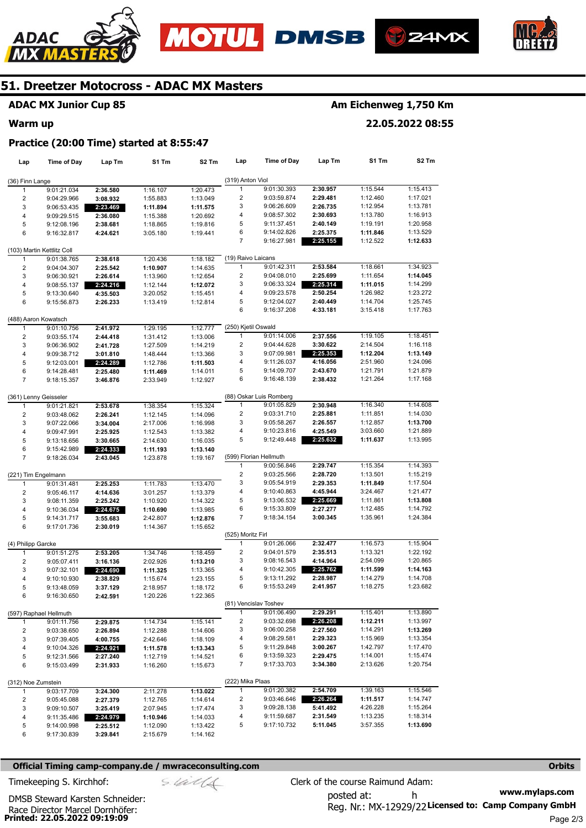







## **ADAC MX Junior Cup 85**

#### **Warm up**

## **Am Eichenweg 1,750 Km**

**22.05.2022 08:55** 

#### **Practice (20:00 Time) started at 8:55:47**

| Lap                 | Time of Day                        | Lap Tm               | S1 Tm    | S2 Tm    | Lap                     | <b>Time of Day</b>      | Lap Tm               | S1 Tm                | S <sub>2</sub> Tm    |
|---------------------|------------------------------------|----------------------|----------|----------|-------------------------|-------------------------|----------------------|----------------------|----------------------|
| (36) Finn Lange     |                                    |                      |          |          | (319) Anton Viol        |                         |                      |                      |                      |
| 1                   | 9:01:21.034                        | 2:36.580             | 1:16.107 | 1:20.473 | 1                       | 9:01:30.393             | 2:30.957             | 1:15.544             | 1:15.413             |
| 2                   | 9:04:29.966                        | 3:08.932             | 1:55.883 | 1:13.049 | 2                       | 9:03:59.874             | 2:29.481             | 1:12.460             | 1:17.021             |
| 3                   | 9:06:53.435                        | 2:23.469             | 1:11.894 | 1:11.575 | 3                       | 9:06:26.609             | 2:26.735             | 1:12.954             | 1:13.781             |
| 4                   | 9:09:29.515                        |                      |          |          | 4                       | 9:08:57.302             | 2:30.693             | 1:13.780             | 1:16.913             |
|                     |                                    | 2:36.080<br>2:38.681 | 1:15.388 | 1:20.692 | 5                       | 9:11:37.451             | 2:40.149             | 1:19.191             | 1:20.958             |
| 5                   | 9:12:08.196                        |                      | 1:18.865 | 1:19.816 | 6                       | 9:14:02.826             |                      |                      |                      |
| 6                   | 9:16:32.817                        | 4:24.621             | 3:05.180 | 1:19.441 | 7                       | 9:16:27.981             | 2:25.375<br>2:25.155 | 1:11.846<br>1:12.522 | 1:13.529<br>1:12.633 |
|                     | (103) Martin Kettlitz Coll         |                      |          |          |                         |                         |                      |                      |                      |
| 1                   | 9:01:38.765                        | 2:38.618             | 1:20.436 | 1:18.182 | (19) Raivo Laicans      |                         |                      |                      |                      |
| 2                   | 9:04:04.307                        | 2:25.542             | 1:10.907 | 1:14.635 | 1                       | 9:01:42.311             | 2:53.584             | 1:18.661             | 1:34.923             |
| 3                   | 9:06:30.921                        | 2:26.614             | 1:13.960 | 1:12.654 | 2                       | 9:04:08.010             | 2:25.699             | 1:11.654             | 1:14.045             |
| 4                   | 9:08:55.137                        | 2:24.216             | 1:12.144 | 1:12.072 | 3                       | 9:06:33.324             | 2:25.314             | 1:11.015             | 1:14.299             |
| 5                   | 9:13:30.640                        | 4:35.503             | 3:20.052 | 1:15.451 | 4                       | 9:09:23.578             | 2:50.254             | 1:26.982             | 1:23.272             |
| 6                   | 9:15:56.873                        | 2:26.233             | 1:13.419 | 1:12.814 | 5                       | 9:12:04.027             | 2:40.449             | 1:14.704             | 1:25.745             |
|                     |                                    |                      |          |          | 6                       | 9:16:37.208             | 4:33.181             | 3:15.418             | 1:17.763             |
|                     | (488) Aaron Kowatsch               |                      |          |          |                         |                         |                      |                      |                      |
| 1                   | 9:01:10.756                        | 2:41.972             | 1:29.195 | 1:12.777 | (250) Kjetil Oswald     |                         |                      |                      |                      |
| 2                   | 9:03:55.174                        | 2:44.418             | 1:31.412 | 1:13.006 | 1                       | 9:01:14.006             | 2:37.556             | 1:19.105             | 1:18.451             |
| 3                   | 9:06:36.902                        | 2:41.728             | 1:27.509 | 1:14.219 | $\overline{c}$          | 9:04:44.628             | 3:30.622             | 2:14.504             | 1:16.118             |
| 4                   | 9:09:38.712                        | 3:01.810             | 1:48.444 | 1:13.366 | 3                       | 9:07:09.981             | 2:25.353             | 1:12.204             | 1:13.149             |
| 5                   | 9:12:03.001                        | 2:24.289             | 1:12.786 | 1:11.503 | 4                       | 9:11:26.037             | 4:16.056             | 2:51.960             | 1:24.096             |
| 6                   | 9:14:28.481                        | 2:25.480             | 1:11.469 | 1:14.011 | 5                       | 9:14:09.707             | 2:43.670             | 1:21.791             | 1:21.879             |
| 7                   | 9:18:15.357                        | 3:46.876             | 2:33.949 | 1:12.927 | 6                       | 9:16:48.139             | 2:38.432             | 1:21.264             | 1:17.168             |
|                     | (361) Lenny Geisseler              |                      |          |          |                         | (88) Oskar Luis Romberg |                      |                      |                      |
| 1                   | 9:01:21.821                        | 2:53.678             | 1:38.354 | 1:15.324 | 1                       | 9:01:05.829             | 2:30.948             | 1:16.340             | 1:14.608             |
| 2                   | 9:03:48.062                        | 2:26.241             | 1:12.145 | 1:14.096 | 2                       | 9:03:31.710             | 2:25.881             | 1:11.851             | 1:14.030             |
| 3                   | 9:07:22.066                        | 3:34.004             | 2:17.006 | 1:16.998 | 3                       | 9:05:58.267             | 2:26.557             | 1:12.857             | 1:13.700             |
| 4                   | 9:09:47.991                        |                      | 1:12.543 | 1:13.382 | 4                       | 9:10:23.816             | 4:25.549             | 3:03.660             | 1:21.889             |
|                     |                                    | 2:25.925             |          |          | 5                       | 9:12:49.448             | 2:25.632             | 1:11.637             | 1:13.995             |
| 5                   | 9:13:18.656                        | 3:30.665             | 2:14.630 | 1:16.035 |                         |                         |                      |                      |                      |
| 6<br>$\overline{7}$ | 9:15:42.989                        | 2:24.333             | 1:11.193 | 1:13.140 |                         | (599) Florian Hellmuth  |                      |                      |                      |
|                     | 9:18:26.034                        | 2:43.045             | 1:23.878 | 1:19.167 | 1                       | 9:00:56.846             | 2:29.747             | 1:15.354             | 1:14.393             |
|                     |                                    |                      |          |          | 2                       | 9:03:25.566             | 2:28.720             | 1:13.501             | 1:15.219             |
| 1                   | (221) Tim Engelmann<br>9:01:31.481 | 2:25.253             | 1:11.783 | 1:13.470 | 3                       | 9:05:54.919             | 2:29.353             | 1:11.849             | 1:17.504             |
|                     |                                    |                      |          |          | 4                       | 9:10:40.863             | 4:45.944             | 3:24.467             | 1:21.477             |
| 2                   | 9:05:46.117                        | 4:14.636             | 3:01.257 | 1:13.379 |                         |                         |                      |                      |                      |
| 3                   | 9:08:11.359                        | 2:25.242             | 1:10.920 | 1:14.322 | 5                       | 9:13:06.532             | 2:25.669             | 1:11.861             | 1:13.808             |
| 4                   | 9:10:36.034                        | 2:24.675             | 1:10.690 | 1:13.985 | 6                       | 9:15:33.809             | 2:27.277             | 1:12.485             | 1:14.792             |
| 5<br>6              | 9:14:31.717                        | 3:55.683             | 2:42.807 | 1:12.876 | 7                       | 9:18:34.154             | 3:00.345             | 1:35.961             | 1:24.384             |
|                     | 9:17:01.736                        | 2:30.019             | 1:14.367 | 1:15.652 | (525) Moritz Firl       |                         |                      |                      |                      |
| (4) Philipp Garcke  |                                    |                      |          |          | 1                       | 9:01:26.066             | 2:32.477             | 1:16.573             | 1:15.904             |
| 1                   | 9:01:51.275                        | 2:53.205             | 1:34.746 | 1:18.459 | $\overline{c}$          | 9:04:01.579             | 2:35.513             | 1:13.321             | 1:22.192             |
| 2                   | 9:05:07.411                        | 3:16.136             | 2:02.926 | 1:13.210 | 3                       | 9:08:16.543             | 4:14.964             | 2:54.099             | 1:20.865             |
| 3                   | 9:07:32.101                        | 2:24.690             | 1:11.325 | 1:13.365 | 4                       | 9:10:42.305             | 2:25.762             | 1:11.599             | 1:14.163             |
| 4                   | 9:10:10.930                        | 2:38.829             | 1:15.674 | 1:23.155 | 5                       | 9:13:11.292             | 2:28.987             | 1:14.279             | 1:14.708             |
| 5                   | 9:13:48.059                        | 3:37.129             | 2:18.957 | 1:18.172 | 6                       | 9:15:53.249             | 2:41.957             | 1:18.275             | 1:23.682             |
| 6                   | 9:16:30.650                        | 2:42.591             | 1:20.226 | 1:22.365 |                         |                         |                      |                      |                      |
|                     |                                    |                      |          |          |                         | (81) Vencislav Toshev   |                      |                      |                      |
|                     | (597) Raphael Hellmuth             |                      |          |          | 1                       | 9:01:06.490             | 2:29.291             | 1:15.401             | 1:13.890             |
| 1                   | 9:01:11.756                        | 2:29.875             | 1:14.734 | 1:15.141 | $\overline{\mathbf{c}}$ | 9:03:32.698             | 2:26.208             | 1:12.211             | 1:13.997             |
| 2                   | 9:03:38.650                        | 2:26.894             | 1:12.288 | 1:14.606 | 3                       | 9:06:00.258             | 2:27.560             | 1:14.291             | 1:13.269             |
| 3                   | 9:07:39.405                        | 4:00.755             | 2:42.646 | 1:18.109 | 4                       | 9:08:29.581             | 2:29.323             | 1:15.969             | 1:13.354             |
| 4                   | 9:10:04.326                        | 2:24.921             | 1:11.578 | 1:13.343 | 5                       | 9:11:29.848             | 3:00.267             | 1:42.797             | 1:17.470             |
| 5                   | 9:12:31.566                        | 2:27.240             | 1:12.719 | 1:14.521 | 6                       | 9:13:59.323             | 2:29.475             | 1:14.001             | 1:15.474             |
| 6                   | 9:15:03.499                        | 2:31.933             | 1:16.260 | 1:15.673 | 7                       | 9:17:33.703             | 3:34.380             | 2:13.626             | 1:20.754             |
| (312) Noe Zumstein  |                                    |                      |          |          | (222) Mika Plaas        |                         |                      |                      |                      |
| 1                   | 9:03:17.709                        | 3:24.300             | 2:11.278 | 1:13.022 | 1                       | 9:01:20.382             | 2:54.709             | 1:39.163             | 1:15.546             |
| 2                   | 9:05:45.088                        | 2:27.379             | 1:12.765 | 1:14.614 | 2                       | 9:03:46.646             | 2:26.264             | 1:11.517             | 1:14.747             |
| 3                   | 9:09:10.507                        | 3:25.419             | 2:07.945 | 1:17.474 | 3                       | 9:09:28.138             | 5:41.492             | 4:26.228             | 1:15.264             |
| 4                   | 9:11:35.486                        | 2:24.979             | 1:10.946 | 1:14.033 | 4                       | 9:11:59.687             | 2:31.549             | 1:13.235             | 1:18.314             |
| 5                   |                                    | 2:25.512             |          |          | 5                       | 9:17:10.732             | 5:11.045             | 3:57.355             | 1:13.690             |
| 6                   | 9:14:00.998                        |                      | 1:12.090 | 1:13.422 |                         |                         |                      |                      |                      |
|                     | 9:17:30.839                        | 3:29.841             | 2:15.679 | 1:14.162 |                         |                         |                      |                      |                      |

#### **Official Timing camp-company.de / mwraceconsulting.com <b>Orbits and Company.de Company** orbits **Orbits Orbits**

**www.mylaps.com**  Reg. Nr.: MX-12929/22 Licensed to: Camp Company GmbH posted at: h Timekeeping S. Kirchhof:  $\le \& \& \& \& \& \& \& \& \qquad$  Clerk of the course Raimund Adam: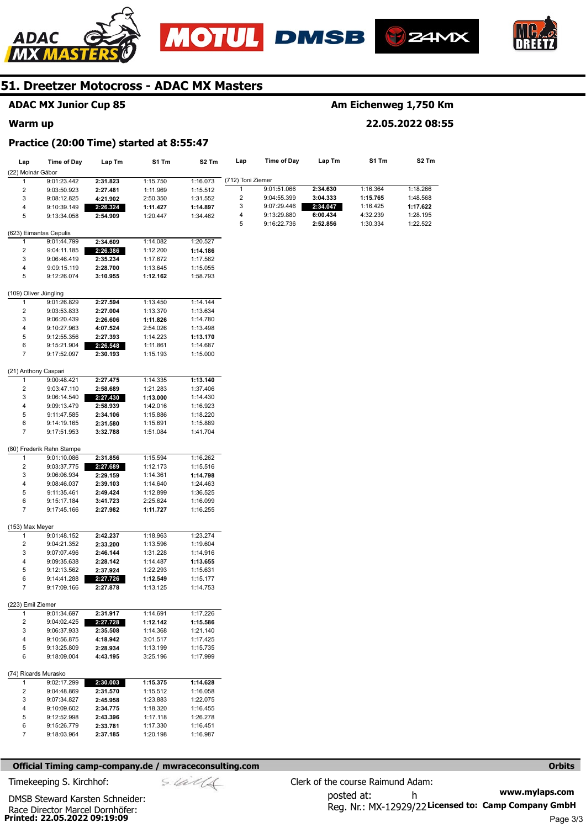







## **ADAC MX Junior Cup 85**

#### **Warm up**

## **Am Eichenweg 1,750 Km**

## **22.05.2022 08:55**

#### **Practice (20:00 Time) started at 8:55:47**

| Lap                       | Time of Day                | Lap Tm               | S1 Tm                | S2 Tm                | Lap               | Time of Day | Lap Tm   | S1 Tm    | S2 Tm    |
|---------------------------|----------------------------|----------------------|----------------------|----------------------|-------------------|-------------|----------|----------|----------|
| (22) Molnár Gábor         |                            |                      |                      |                      |                   |             |          |          |          |
| $\mathbf{1}$              | 9:01:23.442                | 2:31.823             | 1:15.750             | 1:16.073             | (712) Toni Ziemer |             |          |          |          |
| 2                         | 9:03:50.923                | 2:27.481             | 1:11.969             | 1:15.512             | $\mathbf{1}$      | 9:01:51.066 | 2:34.630 | 1:16.364 | 1:18.266 |
| 3                         | 9:08:12.825                | 4:21.902             | 2:50.350             | 1:31.552             | 2                 | 9:04:55.399 | 3:04.333 | 1:15.765 | 1:48.568 |
| 4                         | 9:10:39.149                | 2:26.324             | 1:11.427             | 1:14.897             | 3                 | 9:07:29.446 | 2:34.047 | 1:16.425 | 1:17.622 |
| 5                         | 9:13:34.058                | 2:54.909             | 1:20.447             | 1:34.462             | 4                 | 9:13:29.880 | 6:00.434 | 4:32.239 | 1:28.195 |
|                           |                            |                      |                      |                      | 5                 | 9:16:22.736 | 2:52.856 | 1:30.334 | 1:22.522 |
|                           | (623) Eimantas Cepulis     |                      |                      |                      |                   |             |          |          |          |
| $\mathbf{1}$              | 9:01:44.799                | 2:34.609             | 1:14.082             | 1:20.527             |                   |             |          |          |          |
| 2                         | 9:04:11.185                | 2:26.386             | 1:12.200             | 1:14.186             |                   |             |          |          |          |
| 3                         | 9:06:46.419                | 2:35.234             | 1:17.672             | 1:17.562             |                   |             |          |          |          |
| 4                         | 9:09:15.119                | 2:28.700             | 1:13.645             | 1:15.055             |                   |             |          |          |          |
| 5                         | 9:12:26.074                | 3:10.955             | 1:12.162             | 1:58.793             |                   |             |          |          |          |
| (109) Oliver Jüngling     |                            |                      |                      |                      |                   |             |          |          |          |
| $\mathbf{1}$              | 9:01:26.829                | 2:27.594             | 1:13.450             | 1:14.144             |                   |             |          |          |          |
| 2                         | 9:03:53.833                | 2:27.004             | 1:13.370             | 1:13.634             |                   |             |          |          |          |
| 3                         | 9:06:20.439                | 2:26.606             | 1:11.826             | 1:14.780             |                   |             |          |          |          |
| 4                         | 9:10:27.963                | 4:07.524             | 2:54.026             | 1:13.498             |                   |             |          |          |          |
| 5                         | 9:12:55.356                | 2:27.393             | 1:14.223             | 1:13.170             |                   |             |          |          |          |
| 6                         | 9:15:21.904                | 2:26.548             | 1:11.861             | 1:14.687             |                   |             |          |          |          |
| $\overline{7}$            | 9:17:52.097                | 2:30.193             | 1:15.193             | 1:15.000             |                   |             |          |          |          |
| (21) Anthony Caspari      |                            |                      |                      |                      |                   |             |          |          |          |
| 1                         | 9:00:48.421                | 2:27.475             | 1:14.335             | 1:13.140             |                   |             |          |          |          |
| 2                         | 9:03:47.110                | 2:58.689             | 1:21.283             | 1:37.406             |                   |             |          |          |          |
| 3                         | 9:06:14.540                | 2:27.430             | 1:13.000             | 1:14.430             |                   |             |          |          |          |
| 4                         | 9:09:13.479                | 2:58.939             | 1:42.016             | 1:16.923             |                   |             |          |          |          |
| 5                         | 9:11:47.585                | 2:34.106             | 1:15.886             | 1:18.220             |                   |             |          |          |          |
| 6                         | 9:14:19.165                | 2:31.580             | 1:15.691             | 1:15.889             |                   |             |          |          |          |
| $\overline{7}$            | 9:17:51.953                | 3:32.788             | 1:51.084             | 1:41.704             |                   |             |          |          |          |
|                           |                            |                      |                      |                      |                   |             |          |          |          |
|                           | (80) Frederik Rahn Stampe  |                      |                      |                      |                   |             |          |          |          |
| 1                         | 9:01:10.086                | 2:31.856             | 1:15.594             | 1:16.262             |                   |             |          |          |          |
| 2                         | 9:03:37.775                | 2:27.689             | 1:12.173             | 1:15.516             |                   |             |          |          |          |
| 3                         | 9:06:06.934                | 2:29.159             | 1:14.361             | 1:14.798             |                   |             |          |          |          |
| 4                         | 9:08:46.037                | 2:39.103             | 1:14.640             | 1:24.463             |                   |             |          |          |          |
| 5                         | 9:11:35.461                | 2:49.424             | 1:12.899             | 1:36.525             |                   |             |          |          |          |
| 6<br>$\overline{7}$       | 9:15:17.184<br>9:17:45.166 | 3:41.723<br>2:27.982 | 2:25.624<br>1:11.727 | 1:16.099<br>1:16.255 |                   |             |          |          |          |
|                           |                            |                      |                      |                      |                   |             |          |          |          |
| (153) Max Meyer           |                            |                      |                      |                      |                   |             |          |          |          |
| 1                         | 9:01:48.152                | 2:42.237             | 1:18.963             | 1:23.274             |                   |             |          |          |          |
| 2                         | 9:04:21.352                | 2:33.200             | 1:13.596             | 1:19.604             |                   |             |          |          |          |
| 3                         | 9:07:07.496                | 2:46.144             | 1:31.228             | 1:14.916             |                   |             |          |          |          |
| 4                         | 9:09:35.638                | 2:28.142             | 1:14.487             | 1:13.655             |                   |             |          |          |          |
| 5                         | 9:12:13.562                | 2:37.924             | 1:22.293             | 1:15.631             |                   |             |          |          |          |
| 6                         | 9:14:41.288                | 2:27.726             | 1:12.549             | 1:15.177             |                   |             |          |          |          |
| 7                         | 9:17:09.166                | 2:27.878             | 1:13.125             | 1:14.753             |                   |             |          |          |          |
| (223) Emil Ziemer         |                            |                      |                      |                      |                   |             |          |          |          |
| 1                         | 9:01:34.697                | 2:31.917             | 1:14.691             | 1:17.226             |                   |             |          |          |          |
| 2                         | 9:04:02.425                | 2:27.728             | 1:12.142             | 1:15.586             |                   |             |          |          |          |
| 3                         | 9:06:37.933                | 2:35.508             | 1:14.368             | 1:21.140             |                   |             |          |          |          |
| 4                         | 9:10:56.875                | 4:18.942             | 3:01.517             | 1:17.425             |                   |             |          |          |          |
| 5                         | 9:13:25.809                | 2:28.934             | 1:13.199             | 1:15.735             |                   |             |          |          |          |
| 6                         | 9:18:09.004                | 4:43.195             | 3:25.196             | 1:17.999             |                   |             |          |          |          |
|                           |                            |                      |                      |                      |                   |             |          |          |          |
| (74) Ricards Murasko<br>1 | 9:02:17.299                | 2:30.003             | 1:15.375             | 1:14.628             |                   |             |          |          |          |
| 2                         | 9:04:48.869                | 2:31.570             | 1:15.512             | 1:16.058             |                   |             |          |          |          |
| 3                         | 9:07:34.827                | 2:45.958             | 1:23.883             | 1:22.075             |                   |             |          |          |          |
| 4                         | 9:10:09.602                | 2:34.775             | 1:18.320             | 1:16.455             |                   |             |          |          |          |
| 5                         | 9:12:52.998                | 2:43.396             | 1:17.118             | 1:26.278             |                   |             |          |          |          |
| 6                         | 9:15:26.779                | 2:33.781             | 1:17.330             | 1:16.451             |                   |             |          |          |          |
| 7                         | 9:18:03.964                | 2:37.185             | 1:20.198             | 1:16.987             |                   |             |          |          |          |
|                           |                            |                      |                      |                      |                   |             |          |          |          |

#### **Official Timing camp-company.de / mwraceconsulting.com <b>Orbits and Company.de Company** orbits **Orbits Orbits**

Timekeeping S. Kirchhof:  $\le \frac{1}{2}$  Clerk of the course Raimund Adam:

**Printed: 22.05.2022 09:19:09**  Race Director Marcel Dornhöfer: DMSB Steward Karsten Schneider:

Page 3/3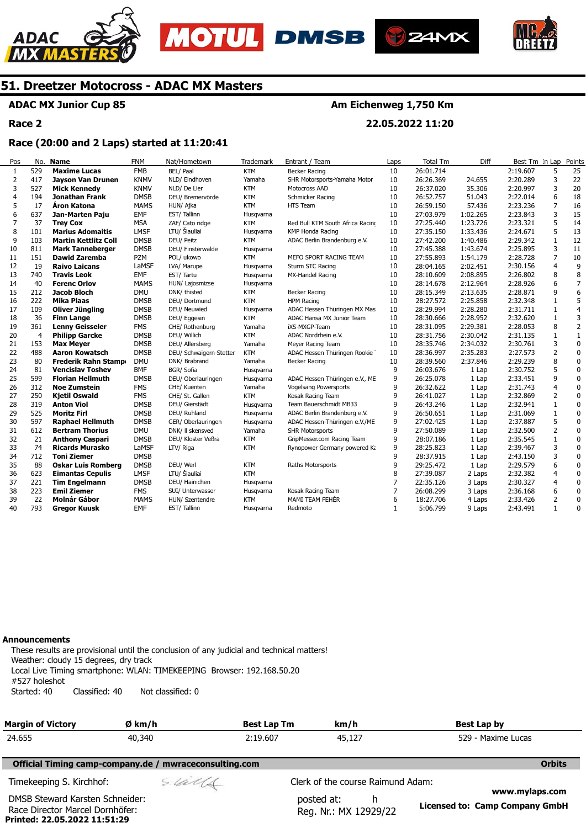





**22.05.2022 11:20** 



## **51. Dreetzer Motocross - ADAC MX Masters**

### **ADAC MX Junior Cup 85**

**Race 2** 

#### **Race (20:00 and 2 Laps) started at 11:20:41**

| Pos | No.            | <b>Name</b>                 | <b>FNM</b>  | Nat/Hometown            | Trademark  | Entrant / Team                   | Laps         | <b>Total Tm</b> | Diff     | Best Tm In Lap |                | Points         |
|-----|----------------|-----------------------------|-------------|-------------------------|------------|----------------------------------|--------------|-----------------|----------|----------------|----------------|----------------|
| 1   | 529            | <b>Maxime Lucas</b>         | <b>FMB</b>  | BEL/ Paal               | <b>KTM</b> | Becker Racing                    | 10           | 26:01.714       |          | 2:19.607       | 5              | 25             |
| 2   | 417            | <b>Jayson Van Drunen</b>    | <b>KNMV</b> | NLD/ Eindhoven          | Yamaha     | SHR Motorsports-Yamaha Motor     | 10           | 26:26.369       | 24.655   | 2:20.289       | 3              | 22             |
| 3   | 527            | <b>Mick Kennedy</b>         | <b>KNMV</b> | NLD/De Lier             | <b>KTM</b> | Motocross AAD                    | 10           | 26:37.020       | 35.306   | 2:20.997       | 3              | 20             |
| 4   | 194            | Jonathan Frank              | <b>DMSB</b> | DEU/ Bremervörde        | <b>KTM</b> | Schmicker Racing                 | 10           | 26:52.757       | 51.043   | 2:22.014       | 6              | 18             |
| 5   | 17             | <b>Áron Katona</b>          | <b>MAMS</b> | HUN/ Ajka               | <b>KTM</b> | HTS Team                         | 10           | 26:59.150       | 57.436   | 2:23.236       | 7              | 16             |
| 6   | 637            | Jan-Marten Paju             | <b>EMF</b>  | EST/Tallinn             | Husgvarna  |                                  | 10           | 27:03.979       | 1:02.265 | 2:23.843       | 3              | 15             |
| 7   | 37             | <b>Trey Cox</b>             | <b>MSA</b>  | ZAF/ Cato ridge         | <b>KTM</b> | Red Bull KTM South Africa Racino | 10           | 27:25.440       | 1:23.726 | 2:23.321       |                | 14             |
| 8   | 101            | <b>Marius Adomaitis</b>     | <b>LMSF</b> | LTU/ Šiauliai           | Husgvarna  | KMP Honda Racing                 | 10           | 27:35.150       | 1:33.436 | 2:24.671       | 5              | 13             |
| 9   | 103            | <b>Martin Kettlitz Coll</b> | <b>DMSB</b> | DEU/ Peitz              | <b>KTM</b> | ADAC Berlin Brandenburg e.V.     | 10           | 27:42.200       | 1:40.486 | 2:29.342       | $\mathbf{1}$   | 12             |
| 10  | 811            | <b>Mark Tanneberger</b>     | <b>DMSB</b> | DEU/ Finsterwalde       | Husqvarna  |                                  | 10           | 27:45.388       | 1:43.674 | 2:25.895       | 3              | 11             |
| 11  | 151            | <b>Dawid Zaremba</b>        | <b>PZM</b>  | POL/ ukowo              | <b>KTM</b> | MEFO SPORT RACING TEAM           | 10           | 27:55.893       | 1:54.179 | 2:28.728       | $\overline{7}$ | $10\,$         |
| 12  | 19             | <b>Raivo Laicans</b>        | LaMSF       | LVA/ Marupe             | Husgvarna  | Sturm STC Racing                 | 10           | 28:04.165       | 2:02.451 | 2:30.156       | $\overline{4}$ | 9              |
| 13  | 740            | <b>Travis Leok</b>          | <b>EMF</b>  | EST/Tartu               | Husgvarna  | MX-Handel Racing                 | 10           | 28:10.609       | 2:08.895 | 2:26.802       | 8              | 8              |
| 14  | 40             | <b>Ferenc Orlov</b>         | <b>MAMS</b> | HUN/ Lajosmizse         | Husqvarna  |                                  | 10           | 28:14.678       | 2:12.964 | 2:28.926       | 6              | $\overline{7}$ |
| 15  | 212            | <b>Jacob Bloch</b>          | <b>DMU</b>  | DNK/ thisted            | <b>KTM</b> | Becker Racing                    | 10           | 28:15.349       | 2:13.635 | 2:28.871       | 9              | 6              |
| 16  | 222            | <b>Mika Plaas</b>           | <b>DMSB</b> | DEU/ Dortmund           | <b>KTM</b> | <b>HPM Racing</b>                | 10           | 28:27.572       | 2:25.858 | 2:32.348       | $\mathbf{1}$   | 5              |
| 17  | 109            | Oliver Jüngling             | <b>DMSB</b> | DEU/ Neuwied            | Husgvarna  | ADAC Hessen Thüringen MX Mas     | 10           | 28:29.994       | 2:28.280 | 2:31.711       | $\mathbf{1}$   | $\overline{4}$ |
| 18  | 36             | <b>Finn Lange</b>           | <b>DMSB</b> | DEU/ Eggesin            | <b>KTM</b> | ADAC Hansa MX Junior Team        | 10           | 28:30.666       | 2:28.952 | 2:32.620       | $\mathbf{1}$   | 3              |
| 19  | 361            | <b>Lenny Geisseler</b>      | <b>FMS</b>  | CHE/ Rothenburg         | Yamaha     | iXS-MXGP-Team                    | 10           | 28:31.095       | 2:29.381 | 2:28.053       | 8              | $\overline{2}$ |
| 20  | $\overline{4}$ | <b>Philipp Garcke</b>       | <b>DMSB</b> | DEU/ Willich            | <b>KTM</b> | ADAC Nordrhein e.V.              | 10           | 28:31.756       | 2:30.042 | 2:31.135       | $\mathbf{1}$   | $1\,$          |
| 21  | 153            | <b>Max Meyer</b>            | <b>DMSB</b> | DEU/ Allersberg         | Yamaha     | Meyer Racing Team                | 10           | 28:35.746       | 2:34.032 | 2:30.761       | 3              | $\mathbf 0$    |
| 22  | 488            | <b>Aaron Kowatsch</b>       | <b>DMSB</b> | DEU/ Schwaigern-Stetten | <b>KTM</b> | ADAC Hessen Thüringen Rookie     | 10           | 28:36.997       | 2:35.283 | 2:27.573       | $\overline{2}$ | $\mathbf 0$    |
| 23  | 80             | <b>Frederik Rahn Stamp</b>  | <b>DMU</b>  | DNK/ Brabrand           | Yamaha     | <b>Becker Racing</b>             | 10           | 28:39.560       | 2:37.846 | 2:29.239       | 8              | $\mathbf 0$    |
| 24  | 81             | <b>Vencislav Toshev</b>     | <b>BMF</b>  | BGR/ Sofia              | Husqvarna  |                                  | 9            | 26:03.676       | 1 Lap    | 2:30.752       | 5              | $\pmb{0}$      |
| 25  | 599            | <b>Florian Hellmuth</b>     | <b>DMSB</b> | DEU/ Oberlauringen      | Husgvarna  | ADAC Hessen Thüringen e.V., ME   | 9            | 26:25.078       | 1 Lap    | 2:33.451       | 9              | 0              |
| 26  | 312            | <b>Noe Zumstein</b>         | <b>FMS</b>  | CHE/ Kuenten            | Yamaha     | Vogelsang Powersports            | 9            | 26:32.622       | 1 Lap    | 2:31.743       | $\overline{4}$ | $\mathbf 0$    |
| 27  | 250            | <b>Kjetil Oswald</b>        | <b>FMS</b>  | CHE/ St. Gallen         | <b>KTM</b> | Kosak Racing Team                | 9            | 26:41.027       | 1 Lap    | 2:32.869       | 2              | $\mathbf 0$    |
| 28  | 319            | <b>Anton Viol</b>           | <b>DMSB</b> | DEU/ Gierstädt          | Husgvarna  | Team Bauerschmidt MB33           | 9            | 26:43.246       | 1 Lap    | 2:32.941       | $\mathbf{1}$   | 0              |
| 29  | 525            | <b>Moritz Firl</b>          | <b>DMSB</b> | DEU/ Ruhland            | Husqvarna  | ADAC Berlin Brandenburg e.V.     | 9            | 26:50.651       | 1 Lap    | 2:31.069       | $\mathbf{1}$   | 0              |
| 30  | 597            | <b>Raphael Hellmuth</b>     | <b>DMSB</b> | GER/ Oberlauringen      | Husqvarna  | ADAC Hessen-Thüringen e.V./ME    | 9            | 27:02.425       | 1 Lap    | 2:37.887       | 5              | 0              |
| 31  | 612            | <b>Bertram Thorius</b>      | <b>DMU</b>  | DNK/ II skensved        | Yamaha     | <b>SHR Motorsports</b>           | 9            | 27:50.089       | 1 Lap    | 2:32.500       | $\overline{2}$ | $\mathbf 0$    |
| 32  | 21             | <b>Anthony Caspari</b>      | <b>DMSB</b> | DEU/ Kloster Veßra      | <b>KTM</b> | GripMesser.com Racing Team       | 9            | 28:07.186       | 1 Lap    | 2:35.545       | $\mathbf{1}$   | $\mathbf 0$    |
| 33  | 74             | <b>Ricards Murasko</b>      | LaMSF       | LTV/ Riga               | <b>KTM</b> | Rynopower Germany powered Ka     | 9            | 28:25.823       | 1 Lap    | 2:39.467       | 3              | 0              |
| 34  | 712            | <b>Toni Ziemer</b>          | <b>DMSB</b> |                         |            |                                  | 9            | 28:37.915       | 1 Lap    | 2:43.150       | 3              | 0              |
| 35  | 88             | <b>Oskar Luis Romberg</b>   | <b>DMSB</b> | DEU/ Werl               | <b>KTM</b> | Raths Motorsports                | 9            | 29:25.472       | 1 Lap    | 2:29.579       | 6              | 0              |
| 36  | 623            | <b>Eimantas Cepulis</b>     | <b>LMSF</b> | LTU/ Šiauliai           | <b>KTM</b> |                                  | 8            | 27:39.087       | 2 Laps   | 2:32.382       | $\overline{4}$ | $\pmb{0}$      |
| 37  | 221            | <b>Tim Engelmann</b>        | <b>DMSB</b> | DEU/ Hainichen          | Husgvarna  |                                  | 7            | 22:35.126       | 3 Laps   | 2:30.327       | 4              | $\mathbf 0$    |
| 38  | 223            | <b>Emil Ziemer</b>          | <b>FMS</b>  | SUI/ Unterwasser        | Husgvarna  | Kosak Racing Team                | 7            | 26:08.299       | 3 Laps   | 2:36.168       | 6              | $\mathbf 0$    |
| 39  | 22             | <b>Molnár Gábor</b>         | <b>MAMS</b> | HUN/ Szentendre         | <b>KTM</b> | MAMI TEAM FEHÉR                  | 6            | 18:27.706       | 4 Laps   | 2:33.426       | $\overline{2}$ | $\pmb{0}$      |
| 40  | 793            | <b>Gregor Kuusk</b>         | <b>EMF</b>  | EST/Tallinn             | Husgvarna  | Redmoto                          | $\mathbf{1}$ | 5:06.799        | 9 Laps   | 2:43.491       | $\mathbf{1}$   | 0              |
|     |                |                             |             |                         |            |                                  |              |                 |          |                |                |                |

#### **Announcements**

**Printed: 22.05.2022 11:51:29** 

These results are provisional until the conclusion of any judicial and technical matters! Weather: cloudy 15 degrees, dry track Local Live Timing smartphone: WLAN: TIMEKEEPING Browser: 192.168.50.20 #527 holeshot Started: 40 Classified: 40 Not classified: 0

| <b>Margin of Victory</b>                                           | Ø km/h                                                 | <b>Best Lap Tm</b> | km/h                                      | Best Lap by                                             |
|--------------------------------------------------------------------|--------------------------------------------------------|--------------------|-------------------------------------------|---------------------------------------------------------|
| 24.655                                                             | 40,340                                                 | 2:19.607           | 45,127                                    | 529 - Maxime Lucas                                      |
|                                                                    | Official Timing camp-company.de / mwraceconsulting.com |                    |                                           | <b>Orbits</b>                                           |
| Timekeeping S. Kirchhof:                                           | sulf                                                   |                    | Clerk of the course Raimund Adam:         |                                                         |
| DMSB Steward Karsten Schneider:<br>Race Director Marcel Dornhöfer: |                                                        |                    | posted at:<br>h.<br>Reg. Nr.: MX 12929/22 | www.mylaps.com<br><b>Licensed to: Camp Company GmbH</b> |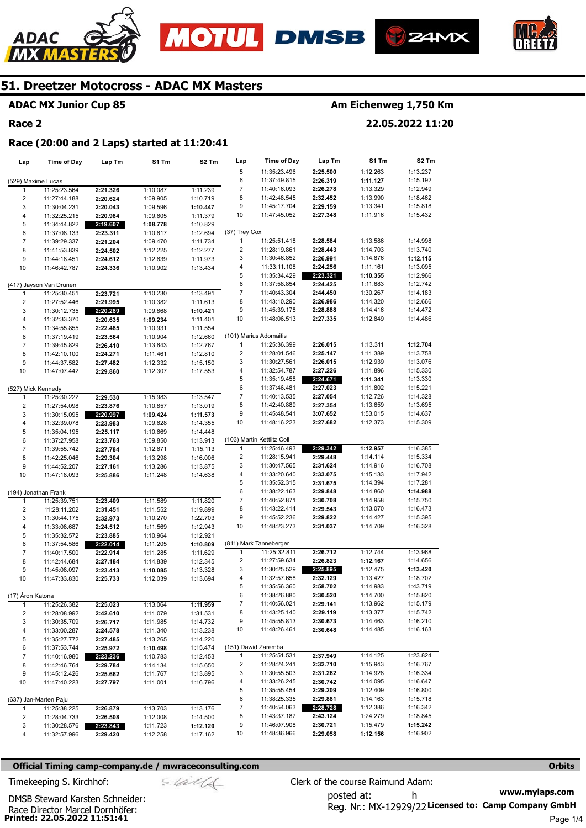







#### **ADAC MX Junior Cup 85**

#### **Race 2**

## **Am Eichenweg 1,750 Km**

**22.05.2022 11:20** 

**Race (20:00 and 2 Laps) started at 11:20:41** 

| Lap                | <b>Time of Day</b>           | Lap Tm               | S1 Tm                | S2 Tm                | Lap                 | Time of Day                         | Lap Tm               | S1 Tm                | S2 Tm                |
|--------------------|------------------------------|----------------------|----------------------|----------------------|---------------------|-------------------------------------|----------------------|----------------------|----------------------|
|                    |                              |                      |                      |                      | 5                   | 11:35:23.496                        | 2:25.500             | 1:12.263             | 1:13.237             |
| (529) Maxime Lucas |                              |                      |                      |                      | 6                   | 11:37:49.815                        | 2:26.319             | 1:11.127             | 1:15.192             |
| 1                  | 11:25:23.564                 | 2:21.326             | 1:10.087             | 1:11.239             | 7                   | 11:40:16.093                        | 2:26.278             | 1:13.329             | 1:12.949             |
| 2                  | 11:27:44.188                 | 2:20.624             | 1:09.905             | 1:10.719             | 8                   | 11:42:48.545                        | 2:32.452             | 1:13.990             | 1:18.462             |
| 3                  | 11:30:04.231                 | 2:20.043             | 1:09.596             | 1:10.447             | 9                   | 11:45:17.704                        | 2:29.159             | 1:13.341             | 1:15.818             |
| 4                  | 11:32:25.215                 | 2:20.984             | 1:09.605             | 1:11.379             | 10                  | 11:47:45.052                        | 2:27.348             | 1:11.916             | 1:15.432             |
| 5                  | 11:34:44.822                 | 2:19.607             | 1:08.778             | 1:10.829             |                     |                                     |                      |                      |                      |
| 6                  | 11:37:08.133                 | 2:23.311             | 1:10.617             | 1:12.694             | (37) Trey Cox       |                                     |                      |                      |                      |
| $\overline{7}$     | 11:39:29.337                 | 2:21.204             | 1:09.470             | 1:11.734             | 1                   | 11:25:51.418                        | 2:28.584             | 1:13.586             | 1:14.998             |
| 8                  | 11:41:53.839                 | 2:24.502             | 1:12.225             | 1:12.277             | 2                   | 11:28:19.861                        | 2:28.443             | 1:14.703             | 1:13.740             |
| 9                  | 11:44:18.451                 | 2:24.612             | 1:12.639             | 1:11.973             | 3                   | 11:30:46.852                        | 2:26.991             | 1:14.876             | 1:12.115             |
| 10                 | 11:46:42.787                 | 2:24.336             | 1:10.902             | 1:13.434             | 4                   | 11:33:11.108                        | 2:24.256             | 1:11.161             | 1:13.095             |
|                    |                              |                      |                      |                      | 5                   | 11:35:34.429                        | 2:23.321             | 1:10.355             | 1:12.966             |
|                    | (417) Jayson Van Drunen      |                      |                      |                      | 6                   | 11:37:58.854                        | 2:24.425             | 1:11.683             | 1:12.742             |
| 1                  | 11:25:30.451                 | 2:23.721             | 1:10.230             | 1:13.491             | 7                   | 11:40:43.304                        | 2:44.450             | 1:30.267             | 1:14.183             |
| $\overline{c}$     | 11:27:52.446                 | 2:21.995             | 1:10.382             | 1:11.613             | 8                   | 11:43:10.290                        | 2:26.986             | 1:14.320             | 1:12.666             |
| 3                  | 11:30:12.735                 | 2:20.289             | 1:09.868             | 1:10.421             | 9                   | 11:45:39.178                        | 2:28.888             | 1:14.416             | 1:14.472             |
| 4                  | 11:32:33.370                 | 2:20.635             | 1:09.234             | 1:11.401             | 10                  | 11:48:06.513                        | 2:27.335             | 1:12.849             | 1:14.486             |
| 5                  | 11:34:55.855                 | 2:22.485             | 1:10.931             | 1:11.554             |                     |                                     |                      |                      |                      |
| 6                  | 11:37:19.419                 | 2:23.564             | 1:10.904             | 1:12.660             |                     | (101) Marius Adomaitis              |                      |                      |                      |
| $\overline{7}$     | 11:39:45.829                 | 2:26.410             | 1:13.643             | 1:12.767             | 1                   | 11:25:36.399                        | 2:26.015             | 1:13.311             | 1:12.704             |
| 8                  | 11:42:10.100                 | 2:24.271             | 1:11.461             | 1:12.810             | 2                   | 11:28:01.546                        | 2:25.147             | 1:11.389             | 1:13.758             |
| 9                  | 11:44:37.582                 | 2:27.482             | 1:12.332             | 1:15.150             | 3                   | 11:30:27.561                        | 2:26.015             | 1:12.939             | 1:13.076             |
| 10                 | 11:47:07.442                 | 2:29.860             | 1:12.307             | 1:17.553             | 4                   | 11:32:54.787                        | 2:27.226             | 1:11.896             | 1:15.330             |
|                    |                              |                      |                      |                      | 5                   | 11:35:19.458                        | 2:24.671             | 1:11.341             | 1:13.330             |
| (527) Mick Kennedy |                              |                      |                      |                      | 6                   | 11:37:46.481                        | 2:27.023             | 1:11.802             | 1:15.221             |
| $\mathbf{1}$       | 11:25:30.222                 | 2:29.530             | 1:15.983             | 1:13.547             | 7                   | 11:40:13.535                        | 2:27.054             | 1:12.726             | 1:14.328             |
| $\overline{2}$     | 11:27:54.098                 | 2:23.876             | 1:10.857             | 1:13.019             | 8                   | 11:42:40.889                        | 2:27.354             | 1:13.659             | 1:13.695             |
| 3                  | 11:30:15.095                 | 2:20.997             | 1:09.424             | 1:11.573             | 9                   | 11:45:48.541                        | 3:07.652             | 1:53.015             | 1:14.637             |
| 4                  | 11:32:39.078                 | 2:23.983             | 1:09.628             | 1:14.355             | 10                  | 11:48:16.223                        | 2:27.682             | 1:12.373             | 1:15.309             |
| 5                  | 11:35:04.195                 | 2:25.117             | 1:10.669             | 1:14.448             |                     |                                     |                      |                      |                      |
| 6                  | 11:37:27.958                 | 2:23.763             | 1:09.850             | 1:13.913             |                     | (103) Martin Kettlitz Coll          |                      |                      |                      |
| $\overline{7}$     | 11:39:55.742                 | 2:27.784             | 1:12.671             | 1:15.113             | 1                   | 11:25:46.493                        | 2:29.342             | 1:12.957             | 1:16.385             |
| 8                  | 11:42:25.046                 | 2:29.304             | 1:13.298             | 1:16.006             | 2                   | 11:28:15.941                        | 2:29.448             | 1:14.114             | 1:15.334             |
| 9                  | 11:44:52.207                 | 2:27.161             | 1:13.286             | 1:13.875             | 3                   | 11:30:47.565                        | 2:31.624             | 1:14.916             | 1:16.708             |
| 10                 | 11:47:18.093                 | 2:25.886             | 1:11.248             | 1:14.638             | 4                   | 11:33:20.640                        | 2:33.075             | 1:15.133             | 1:17.942             |
|                    |                              |                      |                      |                      | 5                   | 11:35:52.315                        | 2:31.675             | 1:14.394             | 1:17.281             |
|                    | (194) Jonathan Frank         |                      |                      |                      | 6                   | 11:38:22.163                        | 2:29.848             | 1:14.860             | 1:14.988             |
| 1                  | 11:25:39.751                 | 2:23.409             | 1:11.589             | 1:11.820             | 7                   | 11:40:52.871                        | 2:30.708             | 1:14.958             | 1:15.750             |
| $\overline{2}$     | 11:28:11.202                 | 2:31.451             | 1:11.552             | 1:19.899             | 8                   | 11:43:22.414                        | 2:29.543             | 1:13.070             | 1:16.473             |
| 3                  | 11:30:44.175                 | 2:32.973             | 1:10.270             | 1:22.703             | 9                   | 11:45:52.236                        | 2:29.822             | 1:14.427             | 1:15.395             |
| 4                  | 11:33:08.687                 | 2:24.512             | 1:11.569             | 1:12.943             | 10                  | 11:48:23.273                        | 2:31.037             | 1:14.709             | 1:16.328             |
| 5                  | 11:35:32.572                 | 2:23.885             | 1:10.964             | 1:12.921             |                     |                                     |                      |                      |                      |
| 6                  | 11:37:54.586                 | 2:22.014             | 1:11.205             | 1:10.809             |                     | (811) Mark Tanneberger              |                      |                      |                      |
| $\overline{7}$     | 11:40:17.500                 | 2:22.914             | 1:11.285             | 1:11.629             | 1                   | 11:25:32.811                        | 2:26.712             | 1:12.744             | 1:13.968             |
| 8                  | 11:42:44.684                 | 2:27.184             | 1:14.839             | 1:12.345             | $\overline{2}$      | 11:27:59.634                        | 2:26.823             | 1:12.167             | 1:14.656             |
| 9                  | 11:45:08.097                 | 2:23.413             | 1:10.085             | 1:13.328             | 3                   | 11:30:25.529                        | 2:25.895             | 1:12.475             | 1:13.420             |
| 10                 | 11:47:33.830                 | 2:25.733             | 1:12.039             | 1:13.694             | 4                   | 11:32:57.658<br>11:35:56.360        | 2:32.129             | 1:13.427             | 1:18.702             |
|                    |                              |                      |                      |                      | 5                   |                                     | 2:58.702             | 1:14.983             | 1:43.719             |
| (17) Aron Katona   |                              |                      |                      |                      | 6<br>$\overline{7}$ | 11:38:26.880                        | 2:30.520<br>2:29.141 | 1:14.700<br>1:13.962 | 1:15.820             |
| 1                  | 11:25:26.382                 | 2:25.023             | 1:13.064             | 1:11.959             |                     | 11:40:56.021                        |                      |                      | 1:15.179             |
| 2                  | 11:28:08.992                 | 2:42.610             | 1:11.079             | 1:31.531             | 8<br>9              | 11:43:25.140<br>11:45:55.813        | 2:29.119             | 1:13.377             | 1:15.742             |
| 3                  | 11:30:35.709                 | 2:26.717             | 1:11.985             | 1:14.732             |                     |                                     | 2:30.673             | 1:14.463             | 1:16.210             |
| 4                  | 11:33:00.287                 | 2:24.578             | 1:11.340             | 1:13.238             | 10                  | 11:48:26.461                        | 2:30.648             | 1:14.485             | 1:16.163             |
| 5                  | 11:35:27.772                 | 2:27.485             | 1:13.265             | 1:14.220             |                     |                                     |                      |                      |                      |
| 6                  | 11:37:53.744                 | 2:25.972             | 1:10.498             | 1:15.474             | $\mathbf{1}$        | (151) Dawid Zaremba<br>11:25:51.531 | 2:37.949             | 1:14.125             | 1:23.824             |
| $\overline{7}$     | 11:40:16.980                 | 2:23.236             | 1:10.783             | 1:12.453             | 2                   | 11:28:24.241                        |                      | 1:15.943             | 1:16.767             |
| 8                  | 11:42:46.764                 | 2:29.784             | 1:14.134             | 1:15.650             | 3                   |                                     | 2:32.710<br>2:31.262 |                      |                      |
| 9                  | 11:45:12.426                 | 2:25.662             | 1:11.767             | 1:13.895             | 4                   | 11:30:55.503<br>11:33:26.245        | 2:30.742             | 1:14.928<br>1:14.095 | 1:16.334<br>1:16.647 |
| 10                 | 11:47:40.223                 | 2:27.797             | 1:11.001             | 1:16.796             | 5                   | 11:35:55.454                        | 2:29.209             | 1:12.409             | 1:16.800             |
|                    |                              |                      |                      |                      | 6                   | 11:38:25.335                        | 2:29.881             | 1:14.163             | 1:15.718             |
|                    | (637) Jan-Marten Paju        |                      |                      |                      | 7                   | 11:40:54.063                        | 2:28.728             | 1:12.386             | 1:16.342             |
| $\mathbf{1}$       | 11:25:38.225                 | 2:26.879             | 1:13.703             | 1:13.176             | 8                   | 11:43:37.187                        | 2:43.124             | 1:24.279             | 1:18.845             |
| 2<br>3             | 11:28:04.733                 | 2:26.508             | 1:12.008             | 1:14.500             | 9                   | 11:46:07.908                        | 2:30.721             | 1:15.479             | 1:15.242             |
| 4                  | 11:30:28.576<br>11:32:57.996 | 2:23.843<br>2:29.420 | 1:11.723<br>1:12.258 | 1:12.120<br>1:17.162 | 10                  | 11:48:36.966                        | 2:29.058             | 1:12.156             | 1:16.902             |
|                    |                              |                      |                      |                      |                     |                                     |                      |                      |                      |

#### **Official Timing camp-company.de / mwraceconsulting.com <b>Orbits Orbits Orbits Orbits**

**www.mylaps.com**  Reg. Nr.: MX-12929/22 Licensed to: Camp Company GmbH posted at: h Timekeeping S. Kirchhof:  $\le \frac{1}{2}$  Clerk of the course Raimund Adam:

Race Director Marcel Dornhöfer:<br>**Printed: 22.05.2022 11:51:41** DMSB Steward Karsten Schneider: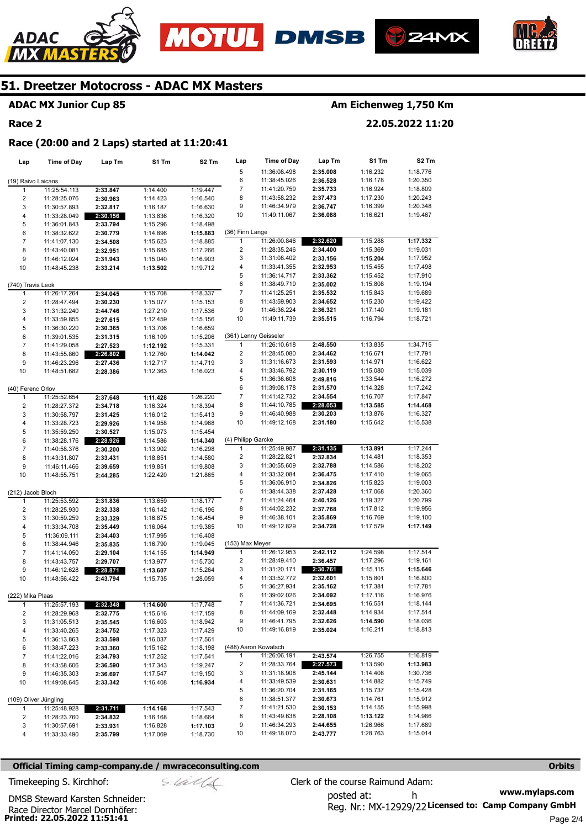







## **ADAC MX Junior Cup 85**

#### **Race 2**

## **Am Eichenweg 1,750 Km**

**22.05.2022 11:20** 

#### **Race (20:00 and 2 Laps) started at 11:20:41**

| Lap                     | <b>Time of Day</b>    | Lap Tm   | S1 Tm    | S2 Tm    | Lap                | <b>Time of Day</b>    | Lap Tm   | S1 Tm    | S2 Tm    |
|-------------------------|-----------------------|----------|----------|----------|--------------------|-----------------------|----------|----------|----------|
|                         |                       |          |          |          | 5                  | 11:36:08.498          | 2:35.008 | 1:16.232 | 1:18.776 |
| (19) Raivo Laicans      |                       |          |          |          | 6                  | 11:38:45.026          | 2:36.528 | 1:16.178 | 1:20.350 |
| 1                       | 11:25:54.113          | 2:33.847 | 1:14.400 | 1:19.447 | 7                  | 11:41:20.759          | 2:35.733 | 1:16.924 | 1:18.809 |
| $\overline{\mathbf{c}}$ | 11:28:25.076          | 2:30.963 | 1:14.423 | 1:16.540 | 8                  | 11:43:58.232          | 2:37.473 | 1:17.230 | 1:20.243 |
| 3                       | 11:30:57.893          | 2:32.817 | 1:16.187 | 1:16.630 | 9                  | 11:46:34.979          | 2:36.747 | 1:16.399 | 1:20.348 |
| 4                       | 11:33:28.049          | 2:30.156 | 1:13.836 | 1:16.320 | 10                 | 11:49:11.067          | 2:36.088 | 1:16.621 | 1:19.467 |
| 5                       | 11:36:01.843          | 2:33.794 | 1:15.296 | 1:18.498 |                    |                       |          |          |          |
| 6                       | 11:38:32.622          | 2:30.779 | 1:14.896 | 1:15.883 | (36) Finn Lange    |                       |          |          |          |
| $\overline{7}$          | 11:41:07.130          | 2:34.508 | 1:15.623 | 1:18.885 | $\mathbf{1}$       | 11:26:00.846          | 2:32.620 | 1:15.288 | 1:17.332 |
| 8                       | 11:43:40.081          | 2:32.951 | 1:15.685 | 1:17.266 | $\overline{2}$     | 11:28:35.246          | 2:34.400 | 1:15.369 | 1:19.031 |
| 9                       | 11:46:12.024          | 2:31.943 | 1:15.040 | 1:16.903 | 3                  | 11:31:08.402          | 2:33.156 | 1:15.204 | 1:17.952 |
| 10                      | 11:48:45.238          | 2:33.214 | 1:13.502 | 1:19.712 | 4                  | 11:33:41.355          | 2:32.953 | 1:15.455 | 1:17.498 |
|                         |                       |          |          |          | 5                  | 11:36:14.717          | 2:33.362 | 1:15.452 | 1:17.910 |
| (740) Travis Leok       |                       |          |          |          | 6                  | 11:38:49.719          | 2:35.002 | 1:15.808 | 1:19.194 |
| 1                       | 11:26:17.264          | 2:34.045 | 1:15.708 | 1:18.337 | 7                  | 11:41:25.251          | 2:35.532 | 1:15.843 | 1:19.689 |
| $\overline{\mathbf{c}}$ | 11:28:47.494          | 2:30.230 | 1:15.077 | 1:15.153 | 8                  | 11:43:59.903          | 2:34.652 | 1:15.230 | 1:19.422 |
| 3                       | 11:31:32.240          | 2:44.746 | 1:27.210 | 1:17.536 | 9                  | 11:46:36.224          | 2:36.321 | 1:17.140 | 1:19.181 |
| $\pmb{4}$               | 11:33:59.855          | 2:27.615 | 1:12.459 | 1:15.156 | 10                 | 11:49:11.739          | 2:35.515 | 1:16.794 | 1:18.721 |
| 5                       | 11:36:30.220          | 2:30.365 | 1:13.706 | 1:16.659 |                    |                       |          |          |          |
| 6                       | 11:39:01.535          | 2:31.315 | 1:16.109 | 1:15.206 |                    | (361) Lenny Geisseler |          |          |          |
| $\overline{7}$          | 11:41:29.058          | 2:27.523 | 1:12.192 | 1:15.331 | $\mathbf{1}$       | 11:26:10.618          | 2:48.550 | 1:13.835 | 1:34.715 |
| 8                       | 11:43:55.860          | 2:26.802 | 1:12.760 | 1:14.042 | 2                  | 11:28:45.080          | 2:34.462 | 1:16.671 | 1:17.791 |
| 9                       | 11:46:23.296          | 2:27.436 | 1:12.717 | 1:14.719 | 3                  | 11:31:16.673          | 2:31.593 | 1:14.971 | 1:16.622 |
| 10                      | 11:48:51.682          | 2:28.386 | 1:12.363 | 1:16.023 | 4                  | 11:33:46.792          | 2:30.119 | 1:15.080 | 1:15.039 |
|                         |                       |          |          |          | 5                  | 11:36:36.608          | 2:49.816 | 1:33.544 | 1:16.272 |
| (40) Ferenc Orlov       |                       |          |          |          | 6                  | 11:39:08.178          | 2:31.570 | 1:14.328 | 1:17.242 |
| $\mathbf{1}$            | 11:25:52.654          | 2:37.648 | 1:11.428 | 1:26.220 | 7                  | 11:41:42.732          | 2:34.554 | 1:16.707 | 1:17.847 |
| $\overline{\mathbf{c}}$ | 11:28:27.372          | 2:34.718 | 1:16.324 | 1:18.394 | 8                  | 11:44:10.785          | 2:28.053 | 1:13.585 | 1:14.468 |
| 3                       | 11:30:58.797          | 2:31.425 | 1:16.012 | 1:15.413 | 9                  | 11:46:40.988          | 2:30.203 | 1:13.876 | 1:16.327 |
| 4                       | 11:33:28.723          | 2:29.926 | 1:14.958 | 1:14.968 | 10                 | 11:49:12.168          | 2:31.180 | 1:15.642 | 1:15.538 |
| 5                       | 11:35:59.250          | 2:30.527 | 1:15.073 | 1:15.454 |                    |                       |          |          |          |
| 6                       | 11:38:28.176          | 2:28.926 | 1:14.586 | 1:14.340 | (4) Philipp Garcke |                       |          |          |          |
| $\overline{7}$          | 11:40:58.376          | 2:30.200 | 1:13.902 | 1:16.298 | 1                  | 11:25:49.987          | 2:31.135 | 1:13.891 | 1:17.244 |
| 8                       | 11:43:31.807          | 2:33.431 | 1:18.851 | 1:14.580 | 2                  | 11:28:22.821          | 2:32.834 | 1:14.481 | 1:18.353 |
| 9                       | 11:46:11.466          | 2:39.659 | 1:19.851 | 1:19.808 | 3                  | 11:30:55.609          | 2:32.788 | 1:14.586 | 1:18.202 |
| 10                      | 11:48:55.751          | 2:44.285 | 1:22.420 | 1:21.865 | 4                  | 11:33:32.084          | 2:36.475 | 1:17.410 | 1:19.065 |
|                         |                       |          |          |          | 5                  | 11:36:06.910          | 2:34.826 | 1:15.823 | 1:19.003 |
| (212) Jacob Bloch       |                       |          |          |          | 6                  | 11:38:44.338          | 2:37.428 | 1:17.068 | 1:20.360 |
| 1                       | 11:25:53.592          | 2:31.836 | 1:13.659 | 1:18.177 | 7                  | 11:41:24.464          | 2:40.126 | 1:19.327 | 1:20.799 |
| $\overline{\mathbf{c}}$ | 11:28:25.930          | 2:32.338 | 1:16.142 | 1:16.196 | 8                  | 11:44:02.232          | 2:37.768 | 1:17.812 | 1:19.956 |
| 3                       | 11:30:59.259          | 2:33.329 | 1:16.875 | 1:16.454 | 9                  | 11:46:38.101          | 2:35.869 | 1:16.769 | 1:19.100 |
| 4                       | 11:33:34.708          | 2:35.449 | 1:16.064 | 1:19.385 | 10                 | 11:49:12.829          | 2:34.728 | 1:17.579 | 1:17.149 |
| 5                       | 11:36:09.111          | 2:34.403 | 1:17.995 | 1:16.408 |                    |                       |          |          |          |
| 6                       | 11:38:44.946          | 2:35.835 | 1:16.790 | 1:19.045 | (153) Max Meyer    |                       |          |          |          |
| $\overline{7}$          | 11:41:14.050          | 2:29.104 | 1:14.155 | 1:14.949 | 1                  | 11:26:12.953          | 2:42.112 | 1:24.598 | 1:17.514 |
| 8                       | 11:43:43.757          | 2:29.707 | 1:13.977 | 1:15.730 | $\overline{2}$     | 11:28:49.410          | 2:36.457 | 1:17.296 | 1:19.161 |
| 9                       | 11:46:12.628          | 2:28.871 | 1:13.607 | 1:15.264 | 3                  | 11:31:20.171          | 2:30.761 | 1:15.115 | 1:15.646 |
| 10                      | 11:48:56.422          | 2:43.794 | 1:15.735 | 1:28.059 | 4                  | 11:33:52.772          | 2:32.601 | 1:15.801 | 1:16.800 |
|                         |                       |          |          |          | 5                  | 11:36:27.934          | 2:35.162 | 1:17.381 | 1:17.781 |
| (222) Mika Plaas        |                       |          |          |          | 6                  | 11:39:02.026          | 2:34.092 | 1:17.116 | 1:16.976 |
| $\mathbf{1}$            | 11:25:57.193          | 2:32.348 | 1:14.600 | 1:17.748 | $\boldsymbol{7}$   | 11:41:36.721          | 2:34.695 | 1:16.551 | 1:18.144 |
| 2                       | 11:28:29.968          | 2:32.775 | 1:15.616 | 1:17.159 | 8                  | 11:44:09.169          | 2:32.448 | 1:14.934 | 1:17.514 |
| 3                       | 11:31:05.513          | 2:35.545 | 1:16.603 | 1:18.942 | 9                  | 11:46:41.795          | 2:32.626 | 1:14.590 | 1:18.036 |
| 4                       | 11:33:40.265          | 2:34.752 | 1:17.323 | 1:17.429 | 10                 | 11:49:16.819          | 2:35.024 | 1:16.211 | 1:18.813 |
| 5                       | 11:36:13.863          | 2:33.598 | 1:16.037 | 1:17.561 |                    |                       |          |          |          |
| 6                       | 11:38:47.223          | 2:33.360 | 1:15.162 | 1:18.198 |                    | (488) Aaron Kowatsch  |          |          |          |
| $\overline{7}$          | 11:41:22.016          | 2:34.793 | 1:17.252 | 1:17.541 | 1                  | 11:26:06.191          | 2:43.574 | 1:26.755 | 1:16.819 |
| 8                       | 11:43:58.606          | 2:36.590 | 1:17.343 | 1:19.247 | 2                  | 11:28:33.764          | 2:27.573 | 1:13.590 | 1:13.983 |
| 9                       | 11:46:35.303          | 2:36.697 | 1:17.547 | 1:19.150 | 3                  | 11:31:18.908          | 2:45.144 | 1:14.408 | 1:30.736 |
| 10                      | 11:49:08.645          | 2:33.342 | 1:16.408 | 1:16.934 | 4                  | 11:33:49.539          | 2:30.631 | 1:14.882 | 1:15.749 |
|                         |                       |          |          |          | 5                  | 11:36:20.704          | 2:31.165 | 1:15.737 | 1:15.428 |
|                         | (109) Oliver Jüngling |          |          |          | 6                  | 11:38:51.377          | 2:30.673 | 1:14.761 | 1:15.912 |
| 1                       | 11:25:48.928          | 2:31.711 | 1:14.168 | 1:17.543 | 7                  | 11:41:21.530          | 2:30.153 | 1:14.155 | 1:15.998 |
| 2                       | 11:28:23.760          | 2:34.832 | 1:16.168 | 1:18.664 | 8                  | 11:43:49.638          | 2:28.108 | 1:13.122 | 1:14.986 |
| 3                       | 11:30:57.691          | 2:33.931 | 1:16.828 | 1:17.103 | 9                  | 11:46:34.293          | 2:44.655 | 1:26.966 | 1:17.689 |
| 4                       | 11:33:33.490          | 2:35.799 | 1:17.069 | 1:18.730 | 10                 | 11:49:18.070          | 2:43.777 | 1:28.763 | 1:15.014 |
|                         |                       |          |          |          |                    |                       |          |          |          |

#### **Official Timing camp-company.de / mwraceconsulting.com <b>Orbits and Company.de Company** orbits **Orbits Orbits**

**www.mylaps.com**  Reg. Nr.: MX-12929/22 Licensed to: Camp Company GmbH posted at: h Timekeeping S. Kirchhof:  $\le \frac{1}{2}$  Clerk of the course Raimund Adam: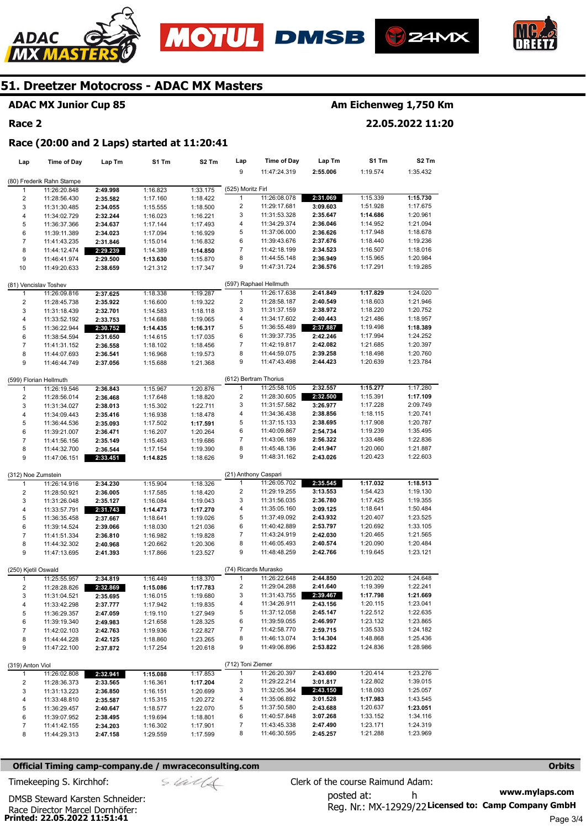







## **ADAC MX Junior Cup 85**

#### **Race 2**

## **Am Eichenweg 1,750 Km**

**22.05.2022 11:20** 

#### **Race (20:00 and 2 Laps) started at 11:20:41**

| Lap                     | <b>Time of Day</b>        | Lap Tm   | S1 Tm    | S2 Tm    | Lap                     | <b>Time of Day</b>           | Lap Tm               | S1 Tm                | S2 Tm                |
|-------------------------|---------------------------|----------|----------|----------|-------------------------|------------------------------|----------------------|----------------------|----------------------|
|                         |                           |          |          |          | 9                       | 11:47:24.319                 | 2:55.006             | 1:19.574             | 1:35.432             |
|                         | (80) Frederik Rahn Stampe |          |          |          |                         |                              |                      |                      |                      |
| 1                       | 11:26:20.848              | 2:49.998 | 1:16.823 | 1:33.175 | (525) Moritz Firl       |                              |                      |                      |                      |
| $\overline{\mathbf{c}}$ | 11:28:56.430              | 2:35.582 | 1:17.160 | 1:18.422 | $\mathbf{1}$            | 11:26:08.078                 | 2:31.069             | 1:15.339             | 1:15.730             |
| 3                       | 11:31:30.485              | 2:34.055 | 1:15.555 | 1:18.500 | 2                       | 11:29:17.681                 | 3:09.603             | 1:51.928             | 1:17.675             |
| 4                       | 11:34:02.729              | 2:32.244 | 1:16.023 | 1:16.221 | 3                       | 11:31:53.328                 | 2:35.647             | 1:14.686             | 1:20.961             |
| 5                       | 11:36:37.366              | 2:34.637 | 1:17.144 | 1:17.493 | 4                       | 11:34:29.374                 | 2:36.046             | 1:14.952             | 1:21.094             |
| 6                       | 11:39:11.389              | 2:34.023 | 1:17.094 | 1:16.929 | 5                       | 11:37:06.000                 | 2:36.626             | 1:17.948             | 1:18.678             |
| $\overline{7}$          | 11:41:43.235              | 2:31.846 | 1:15.014 | 1:16.832 | 6                       | 11:39:43.676                 | 2:37.676             | 1:18.440             | 1:19.236             |
| 8                       | 11:44:12.474              | 2:29.239 | 1:14.389 | 1:14.850 | 7                       | 11:42:18.199                 | 2:34.523             | 1:16.507             | 1:18.016             |
| 9                       | 11:46:41.974              | 2:29.500 | 1:13.630 | 1:15.870 | 8                       | 11:44:55.148                 | 2:36.949             | 1:15.965             | 1:20.984             |
| 10                      | 11:49:20.633              | 2:38.659 | 1:21.312 | 1:17.347 | 9                       | 11:47:31.724                 | 2:36.576             | 1:17.291             | 1:19.285             |
|                         |                           |          |          |          |                         |                              |                      |                      |                      |
|                         | (81) Vencislav Toshev     |          |          |          |                         | (597) Raphael Hellmuth       |                      |                      |                      |
| 1                       | 11:26:09.816              | 2:37.625 | 1:18.338 | 1:19.287 | 1                       | 11:26:17.638                 | 2:41.849             | 1:17.829             | 1:24.020             |
| $\overline{c}$          | 11:28:45.738              | 2:35.922 | 1:16.600 | 1:19.322 | $\overline{\mathbf{c}}$ | 11:28:58.187                 | 2:40.549             | 1:18.603             | 1:21.946             |
| 3                       | 11:31:18.439              | 2:32.701 | 1:14.583 | 1:18.118 | 3                       | 11:31:37.159                 | 2:38.972             | 1:18.220             | 1:20.752             |
| 4                       | 11:33:52.192              | 2:33.753 | 1:14.688 | 1:19.065 | 4                       | 11:34:17.602                 | 2:40.443             | 1:21.486             | 1:18.957             |
| 5                       | 11:36:22.944              | 2:30.752 | 1:14.435 | 1:16.317 | 5                       | 11:36:55.489                 | 2:37.887             | 1:19.498             | 1:18.389             |
| 6                       | 11:38:54.594              | 2:31.650 | 1:14.615 | 1:17.035 | 6                       | 11:39:37.735                 | 2:42.246             | 1:17.994             | 1:24.252             |
| $\overline{7}$          | 11:41:31.152              | 2:36.558 | 1:18.102 | 1:18.456 | $\boldsymbol{7}$        | 11:42:19.817                 | 2:42.082             | 1:21.685             | 1:20.397             |
| 8                       | 11:44:07.693              | 2:36.541 | 1:16.968 | 1:19.573 | 8                       | 11:44:59.075                 | 2:39.258             | 1:18.498             | 1:20.760             |
| 9                       | 11:46:44.749              | 2:37.056 | 1:15.688 | 1:21.368 | 9                       | 11:47:43.498                 | 2:44.423             | 1:20.639             | 1:23.784             |
|                         |                           |          |          |          |                         |                              |                      |                      |                      |
|                         | (599) Florian Hellmuth    |          |          |          |                         | (612) Bertram Thorius        |                      |                      |                      |
| 1                       | 11:26:19.546              | 2:36.843 | 1:15.967 | 1:20.876 | $\mathbf{1}$            | 11:25:58.105                 | 2:32.557             | 1:15.277             | 1:17.280             |
| $\overline{c}$          | 11:28:56.014              | 2:36.468 | 1:17.648 | 1:18.820 | 2                       | 11:28:30.605                 | 2:32.500             | 1:15.391             | 1:17.109             |
| 3                       | 11:31:34.027              | 2:38.013 | 1:15.302 | 1:22.711 | 3                       | 11:31:57.582                 | 3:26.977             | 1:17.228             | 2:09.749             |
| 4                       | 11:34:09.443              | 2:35.416 | 1:16.938 | 1:18.478 | 4                       | 11:34:36.438                 | 2:38.856             | 1:18.115             | 1:20.741             |
| 5                       | 11:36:44.536              | 2:35.093 | 1:17.502 | 1:17.591 | 5                       | 11:37:15.133                 | 2:38.695             | 1:17.908             | 1:20.787<br>1:35.495 |
| 6<br>$\overline{7}$     | 11:39:21.007              | 2:36.471 | 1:16.207 | 1:20.264 | 6<br>7                  | 11:40:09.867<br>11:43:06.189 | 2:54.734<br>2:56.322 | 1:19.239<br>1:33.486 | 1:22.836             |
| 8                       | 11:41:56.156              | 2:35.149 | 1:15.463 | 1:19.686 | 8                       | 11:45:48.136                 | 2:41.947             | 1:20.060             | 1:21.887             |
| 9                       | 11:44:32.700              | 2:36.544 | 1:17.154 | 1:19.390 | 9                       | 11:48:31.162                 | 2:43.026             | 1:20.423             | 1:22.603             |
|                         | 11:47:06.151              | 2:33.451 | 1:14.825 | 1:18.626 |                         |                              |                      |                      |                      |
| (312) Noe Zumstein      |                           |          |          |          | (21) Anthony Caspari    |                              |                      |                      |                      |
| 1                       | 11:26:14.916              | 2:34.230 | 1:15.904 | 1:18.326 | 1                       | 11:26:05.702                 | 2:35.545             | 1:17.032             | 1:18.513             |
| 2                       | 11:28:50.921              | 2:36.005 | 1:17.585 | 1:18.420 | $\overline{\mathbf{c}}$ | 11:29:19.255                 | 3:13.553             | 1:54.423             | 1:19.130             |
| 3                       | 11:31:26.048              | 2:35.127 | 1:16.084 | 1:19.043 | 3                       | 11:31:56.035                 | 2:36.780             | 1:17.425             | 1:19.355             |
| 4                       | 11:33:57.791              | 2:31.743 | 1:14.473 | 1:17.270 | 4                       | 11:35:05.160                 | 3:09.125             | 1:18.641             | 1:50.484             |
| 5                       | 11:36:35.458              | 2:37.667 | 1:18.641 | 1:19.026 | 5                       | 11:37:49.092                 | 2:43.932             | 1:20.407             | 1:23.525             |
| 6                       | 11:39:14.524              | 2:39.066 | 1:18.030 | 1:21.036 | 6                       | 11:40:42.889                 | 2:53.797             | 1:20.692             | 1:33.105             |
| 7                       | 11:41:51.334              | 2:36.810 | 1:16.982 | 1:19.828 | 7                       | 11:43:24.919                 | 2:42.030             | 1:20.465             | 1:21.565             |
| 8                       | 11:44:32.302              | 2:40.968 | 1:20.662 | 1:20.306 | 8                       | 11:46:05.493                 | 2:40.574             | 1:20.090             | 1:20.484             |
| 9                       | 11:47:13.695              | 2:41.393 | 1:17.866 | 1:23.527 | 9                       | 11:48:48.259                 | 2:42.766             | 1:19.645             | 1:23.121             |
|                         |                           |          |          |          |                         |                              |                      |                      |                      |
| (250) Kjetil Oswald     |                           |          |          |          |                         | (74) Ricards Murasko         |                      |                      |                      |
| 1                       | 11:25:55.957              | 2:34.819 | 1:16.449 | 1:18.370 | 1                       | 11:26:22.648                 | 2:44.850             | 1:20.202             | 1:24.648             |
| $\overline{c}$          | 11:28:28.826              | 2:32.869 | 1:15.086 | 1:17.783 | $\overline{\mathbf{c}}$ | 11:29:04.288                 | 2:41.640             | 1:19.399             | 1:22.241             |
| 3                       | 11:31:04.521              | 2:35.695 | 1:16.015 | 1:19.680 | 3                       | 11:31:43.755                 | 2:39.467             | 1:17.798             | 1:21.669             |
| 4                       | 11:33:42.298              | 2:37.777 | 1:17.942 | 1:19.835 | 4                       | 11:34:26.911                 | 2:43.156             | 1:20.115             | 1:23.041             |
| 5                       | 11:36:29.357              | 2:47.059 | 1:19.110 | 1:27.949 | 5                       | 11:37:12.058                 | 2:45.147             | 1:22.512             | 1:22.635             |
| 6                       | 11:39:19.340              | 2:49.983 | 1:21.658 | 1:28.325 | 6                       | 11:39:59.055                 | 2:46.997             | 1:23.132             | 1:23.865             |
| 7                       | 11:42:02.103              | 2:42.763 | 1:19.936 | 1:22.827 | 7                       | 11:42:58.770                 | 2:59.715             | 1:35.533             | 1:24.182             |
| 8                       | 11:44:44.228              | 2:42.125 | 1:18.860 | 1:23.265 | 8                       | 11:46:13.074                 | 3:14.304             | 1:48.868             | 1:25.436             |
| 9                       | 11:47:22.100              | 2:37.872 | 1:17.254 | 1:20.618 | 9                       | 11:49:06.896                 | 2:53.822             | 1:24.836             | 1:28.986             |
|                         |                           |          |          |          |                         |                              |                      |                      |                      |
| (319) Anton Viol        |                           |          |          |          | (712) Toni Ziemer       |                              |                      |                      |                      |
| 1                       | 11:26:02.808              | 2:32.941 | 1:15.088 | 1:17.853 | $\mathbf{1}$            | 11:26:20.397                 | 2:43.690             | 1:20.414             | 1:23.276             |
| 2                       | 11:28:36.373              | 2:33.565 | 1:16.361 | 1:17.204 | $\overline{c}$          | 11:29:22.214                 | 3:01.817             | 1:22.802             | 1:39.015             |
| 3                       | 11:31:13.223              | 2:36.850 | 1:16.151 | 1:20.699 | 3                       | 11:32:05.364                 | 2:43.150             | 1:18.093             | 1:25.057             |
| 4                       | 11:33:48.810              | 2:35.587 | 1:15.315 | 1:20.272 | 4                       | 11:35:06.892                 | 3:01.528             | 1:17.983             | 1:43.545             |
| 5                       | 11:36:29.457              | 2:40.647 | 1:18.577 | 1:22.070 | 5<br>6                  | 11:37:50.580                 | 2:43.688             | 1:20.637             | 1:23.051             |
| 6                       | 11:39:07.952              | 2:38.495 | 1:19.694 | 1:18.801 | $\overline{7}$          | 11:40:57.848<br>11:43:45.338 | 3:07.268             | 1:33.152<br>1:23.171 | 1:34.116<br>1:24.319 |
| 7                       | 11:41:42.155              | 2:34.203 | 1:16.302 | 1:17.901 | 8                       | 11:46:30.595                 | 2:47.490<br>2:45.257 | 1:21.288             | 1:23.969             |
| 8                       | 11:44:29.313              | 2:47.158 | 1:29.559 | 1:17.599 |                         |                              |                      |                      |                      |

#### **Official Timing camp-company.de / mwraceconsulting.com <b>Orbits Orbits Orbits Orbits**

**www.mylaps.com**  Reg. Nr.: MX-12929/22 Licensed to: Camp Company GmbH posted at: h Timekeeping S. Kirchhof:  $\frac{1}{2}$  Clerk of the course Raimund Adam: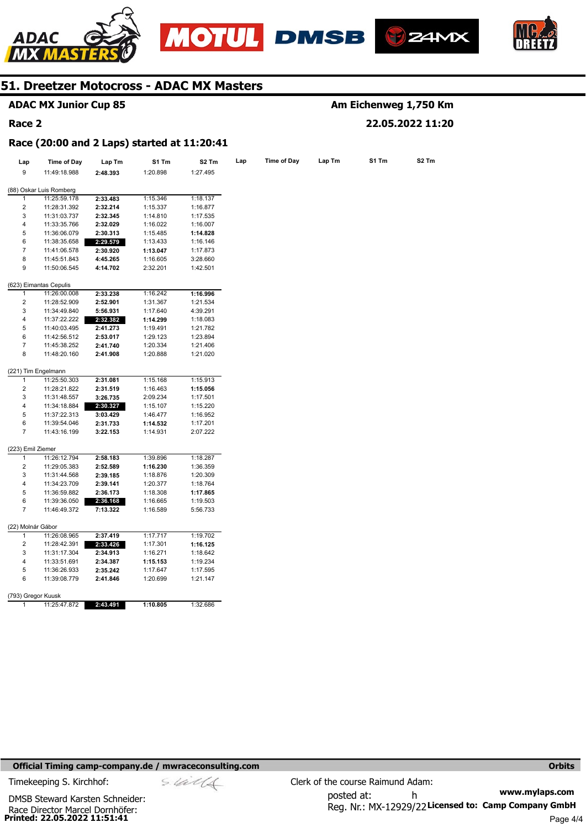







## **ADAC MX Junior Cup 85**

#### **Race 2**

## **Am Eichenweg 1,750 Km 22.05.2022 11:20**

**Race (20:00 and 2 Laps) started at 11:20:41** 

| Lap                     | <b>Time of Day</b>      | Lap Tm   | S1 Tm    | S2 Tm    | Lap | <b>Time of Day</b> | Lap Tm | S1 Tm | S2 Tm |
|-------------------------|-------------------------|----------|----------|----------|-----|--------------------|--------|-------|-------|
| 9                       | 11:49:18.988            | 2:48.393 | 1:20.898 | 1:27.495 |     |                    |        |       |       |
|                         | (88) Oskar Luis Romberg |          |          |          |     |                    |        |       |       |
| 1                       | 11:25:59.178            | 2:33.483 | 1:15.346 | 1:18.137 |     |                    |        |       |       |
| $\overline{2}$          | 11:28:31.392            | 2:32.214 | 1:15.337 | 1:16.877 |     |                    |        |       |       |
| 3                       | 11:31:03.737            | 2:32.345 | 1:14.810 | 1:17.535 |     |                    |        |       |       |
| 4                       | 11:33:35.766            | 2:32.029 | 1:16.022 | 1:16.007 |     |                    |        |       |       |
| 5                       | 11:36:06.079            | 2:30.313 | 1:15.485 | 1:14.828 |     |                    |        |       |       |
| 6                       | 11:38:35.658            | 2:29.579 | 1:13.433 | 1:16.146 |     |                    |        |       |       |
| 7                       | 11:41:06.578            | 2:30.920 | 1:13.047 | 1:17.873 |     |                    |        |       |       |
| 8                       | 11:45:51.843            | 4:45.265 | 1:16.605 | 3:28.660 |     |                    |        |       |       |
| 9                       | 11:50:06.545            | 4:14.702 | 2:32.201 | 1:42.501 |     |                    |        |       |       |
|                         | (623) Eimantas Cepulis  |          |          |          |     |                    |        |       |       |
| 1                       | 11:26:00.008            | 2:33.238 | 1:16.242 | 1:16.996 |     |                    |        |       |       |
| $\boldsymbol{2}$        | 11:28:52.909            | 2:52.901 | 1:31.367 | 1:21.534 |     |                    |        |       |       |
| 3                       | 11:34:49.840            | 5:56.931 | 1:17.640 | 4:39.291 |     |                    |        |       |       |
| 4                       | 11:37:22.222            | 2:32.382 | 1:14.299 | 1:18.083 |     |                    |        |       |       |
| 5                       | 11:40:03.495            | 2:41.273 | 1:19.491 | 1:21.782 |     |                    |        |       |       |
| 6                       | 11:42:56.512            | 2:53.017 | 1:29.123 | 1:23.894 |     |                    |        |       |       |
| $\overline{7}$          | 11:45:38.252            | 2:41.740 | 1:20.334 | 1:21.406 |     |                    |        |       |       |
| 8                       | 11:48:20.160            | 2:41.908 | 1:20.888 | 1:21.020 |     |                    |        |       |       |
|                         | (221) Tim Engelmann     |          |          |          |     |                    |        |       |       |
| 1                       | 11:25:50.303            | 2:31.081 | 1:15.168 | 1:15.913 |     |                    |        |       |       |
| 2                       | 11:28:21.822            | 2:31.519 | 1:16.463 | 1:15.056 |     |                    |        |       |       |
| 3                       | 11:31:48.557            | 3:26.735 | 2:09.234 | 1:17.501 |     |                    |        |       |       |
| 4                       | 11:34:18.884            | 2:30.327 | 1:15.107 | 1:15.220 |     |                    |        |       |       |
| 5                       | 11:37:22.313            | 3:03.429 | 1:46.477 | 1:16.952 |     |                    |        |       |       |
| 6                       | 11:39:54.046            | 2:31.733 | 1:14.532 | 1:17.201 |     |                    |        |       |       |
| 7                       | 11:43:16.199            | 3:22.153 | 1:14.931 | 2:07.222 |     |                    |        |       |       |
| (223) Emil Ziemer       |                         |          |          |          |     |                    |        |       |       |
| $\mathbf{1}$            | 11:26:12.794            | 2:58.183 | 1:39.896 | 1:18.287 |     |                    |        |       |       |
| $\overline{\mathbf{c}}$ | 11:29:05.383            | 2:52.589 | 1:16.230 | 1:36.359 |     |                    |        |       |       |
| 3                       | 11:31:44.568            | 2:39.185 | 1:18.876 | 1:20.309 |     |                    |        |       |       |
| 4                       | 11:34:23.709            | 2:39.141 | 1:20.377 | 1:18.764 |     |                    |        |       |       |
| 5                       | 11:36:59.882            | 2:36.173 | 1:18.308 | 1:17.865 |     |                    |        |       |       |
| 6                       | 11:39:36.050            | 2:36.168 | 1:16.665 | 1:19.503 |     |                    |        |       |       |
| $\overline{7}$          | 11:46:49.372            | 7:13.322 | 1:16.589 | 5:56.733 |     |                    |        |       |       |
| (22) Molnár Gábor       |                         |          |          |          |     |                    |        |       |       |
| $\mathbf{1}$            | 11:26:08.965            | 2:37.419 | 1:17.717 | 1:19.702 |     |                    |        |       |       |
| $\overline{\mathbf{c}}$ | 11:28:42.391            | 2:33.426 | 1:17.301 | 1:16.125 |     |                    |        |       |       |
| 3                       | 11:31:17.304            | 2:34.913 | 1:16.271 | 1:18.642 |     |                    |        |       |       |
| 4                       | 11:33:51.691            | 2:34.387 | 1:15.153 | 1:19.234 |     |                    |        |       |       |
| 5                       | 11:36:26.933            | 2:35.242 | 1:17.647 | 1:17.595 |     |                    |        |       |       |
| 6                       | 11:39:08.779            | 2:41.846 | 1:20.699 | 1:21.147 |     |                    |        |       |       |
| (793) Gregor Kuusk      |                         |          |          |          |     |                    |        |       |       |
| 1                       | 11:25:47.872            | 2:43.491 | 1:10.805 | 1:32.686 |     |                    |        |       |       |
|                         |                         |          |          |          |     |                    |        |       |       |

#### **Official Timing camp-company.de / mwraceconsulting.com <b>Orbits and Company.de Company** orbits **Orbits Orbits**

**www.mylaps.com**  Reg. Nr.: MX-12929/22 Licensed to: Camp Company GmbH posted at: h Timekeeping S. Kirchhof:  $\le \frac{1}{2}$  Clerk of the course Raimund Adam: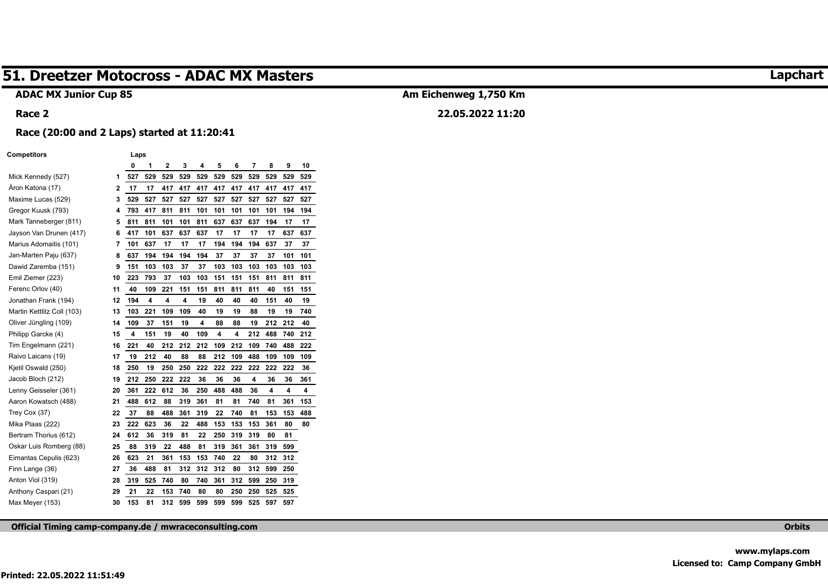#### **ADAC MX Junior Cup 85**

## **Am Eichenweg 1,750 Km**

## **22.05.2022 11:20**

#### **Race (20:00 and 2 Laps) started at 11:20:41**

#### **Competitors Laps**

**Race 2** 

|                            |    | 0   | 1   | $\overline{2}$ | 3   | 4   | 5   | 6   | 7   | 8   | 9   | 10  |
|----------------------------|----|-----|-----|----------------|-----|-----|-----|-----|-----|-----|-----|-----|
| Mick Kennedy (527)         | 1  | 527 | 529 | 529            | 529 | 529 | 529 | 529 | 529 | 529 | 529 | 529 |
| Åron Katona (17)           | 2  | 17  | 17  | 417            | 417 | 417 | 417 | 417 | 417 | 417 | 417 | 417 |
| Maxime Lucas (529)         | 3  | 529 | 527 | 527            | 527 | 527 | 527 | 527 | 527 | 527 | 527 | 527 |
| Gregor Kuusk (793)         | 4  | 793 | 417 | 811            | 811 | 101 | 101 | 101 | 101 | 101 | 194 | 194 |
| Mark Tanneberger (811)     | 5  | 811 | 811 | 101            | 101 | 811 | 637 | 637 | 637 | 194 | 17  | 17  |
| Jayson Van Drunen (417)    | 6  | 417 | 101 | 637            | 637 | 637 | 17  | 17  | 17  | 17  | 637 | 637 |
| Marius Adomaitis (101)     | 7  | 101 | 637 | 17             | 17  | 17  | 194 | 194 | 194 | 637 | 37  | 37  |
| Jan-Marten Paju (637)      | 8  | 637 | 194 | 194            | 194 | 194 | 37  | 37  | 37  | 37  | 101 | 101 |
| Dawid Zaremba (151)        | 9  | 151 | 103 | 103            | 37  | 37  | 103 | 103 | 103 | 103 | 103 | 103 |
| Emil Ziemer (223)          | 10 | 223 | 793 | 37             | 103 | 103 | 151 | 151 | 151 | 811 | 811 | 811 |
| Ferenc Orlov (40)          | 11 | 40  | 109 | 221            | 151 | 151 | 811 | 811 | 811 | 40  | 151 | 151 |
| Jonathan Frank (194)       | 12 | 194 | 4   | 4              | 4   | 19  | 40  | 40  | 40  | 151 | 40  | 19  |
| Martin Kettlitz Coll (103) | 13 | 103 | 221 | 109            | 109 | 40  | 19  | 19  | 88  | 19  | 19  | 740 |
| Oliver Jüngling (109)      | 14 | 109 | 37  | 151            | 19  | 4   | 88  | 88  | 19  | 212 | 212 | 40  |
| Philipp Garcke (4)         | 15 | 4   | 151 | 19             | 40  | 109 | 4   | 4   | 212 | 488 | 740 | 212 |
| Tim Engelmann (221)        | 16 | 221 | 40  | 212            | 212 | 212 | 109 | 212 | 109 | 740 | 488 | 222 |
| Raivo Laicans (19)         | 17 | 19  | 212 | 40             | 88  | 88  | 212 | 109 | 488 | 109 | 109 | 109 |
| Kjetil Oswald (250)        | 18 | 250 | 19  | 250            | 250 | 222 | 222 | 222 | 222 | 222 | 222 | 36  |
| Jacob Bloch (212)          | 19 | 212 | 250 | 222            | 222 | 36  | 36  | 36  | 4   | 36  | 36  | 361 |
| Lenny Geisseler (361)      | 20 | 361 | 222 | 612            | 36  | 250 | 488 | 488 | 36  | 4   | 4   | 4   |
| Aaron Kowatsch (488)       | 21 | 488 | 612 | 88             | 319 | 361 | 81  | 81  | 740 | 81  | 361 | 153 |
| Trey Cox (37)              | 22 | 37  | 88  | 488            | 361 | 319 | 22  | 740 | 81  | 153 | 153 | 488 |
| Mika Plaas (222)           | 23 | 222 | 623 | 36             | 22  | 488 | 153 | 153 | 153 | 361 | 80  | 80  |
| Bertram Thorius (612)      | 24 | 612 | 36  | 319            | 81  | 22  | 250 | 319 | 319 | 80  | 81  |     |
| Oskar Luis Romberg (88)    | 25 | 88  | 319 | 22             | 488 | 81  | 319 | 361 | 361 | 319 | 599 |     |
| Eimantas Cepulis (623)     | 26 | 623 | 21  | 361            | 153 | 153 | 740 | 22  | 80  | 312 | 312 |     |
| Finn Lange (36)            | 27 | 36  | 488 | 81             | 312 | 312 | 312 | 80  | 312 | 599 | 250 |     |
| Anton Viol (319)           | 28 | 319 | 525 | 740            | 80  | 740 | 361 | 312 | 599 | 250 | 319 |     |
| Anthony Caspari (21)       | 29 | 21  | 22  | 153            | 740 | 80  | 80  | 250 | 250 | 525 | 525 |     |
| Max Meyer (153)            | 30 | 153 | 81  | 312            | 599 | 599 | 599 | 599 | 525 | 597 | 597 |     |

**Official Timing camp-company.de / mwraceconsulting.com Orbits** 

## **Lapchart**